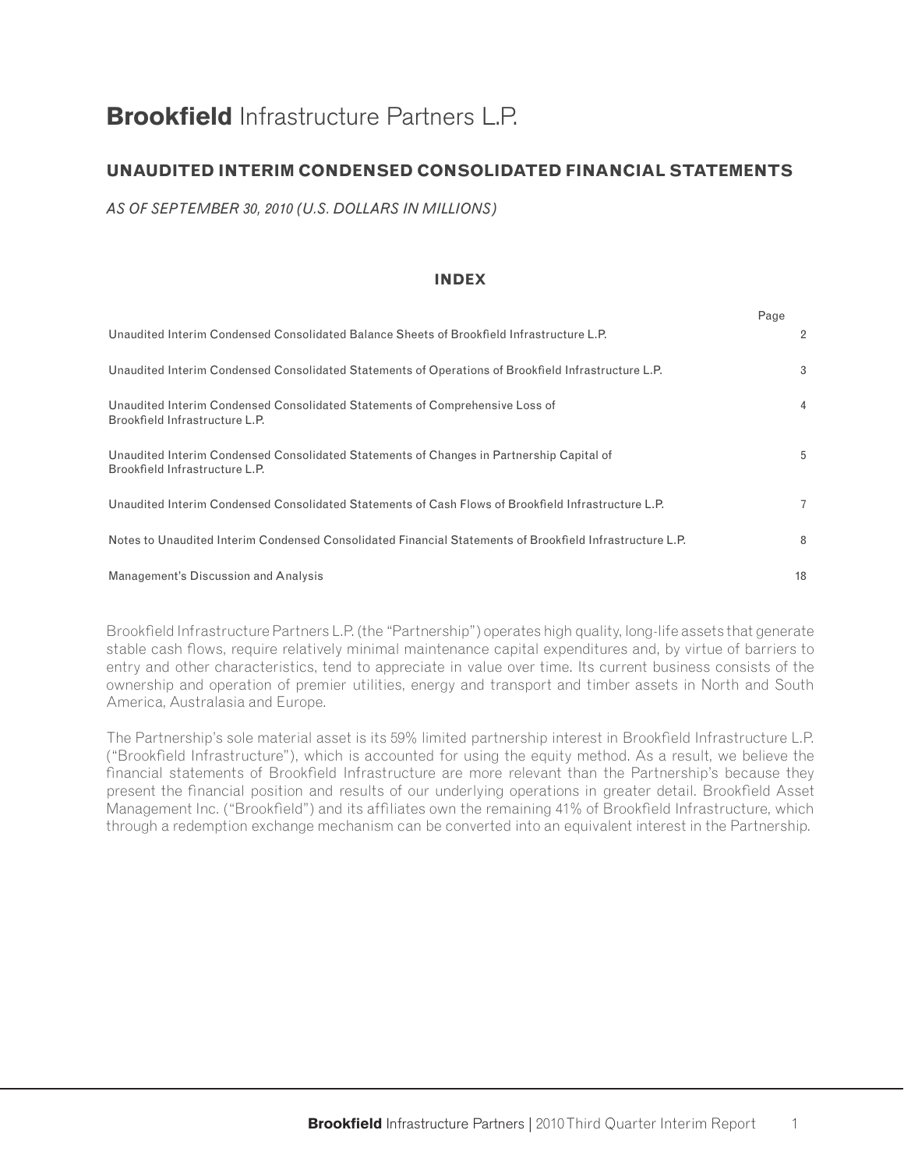# **Brookfield** Infrastructure Partners L.P.

# **UNAUDITED INTERIM CONDENSED CONSOLIDATED FINANCIAL STATEMENTS**

*AS OF SEPTEMBER 30, 2010 (U.S. DOLLARS IN MILLIONS)*

#### **INDEX**

|                                                                                                                            | Page |                |
|----------------------------------------------------------------------------------------------------------------------------|------|----------------|
| Unaudited Interim Condensed Consolidated Balance Sheets of Brookfield Infrastructure L.P.                                  |      | $\overline{2}$ |
| Unaudited Interim Condensed Consolidated Statements of Operations of Brookfield Infrastructure L.P.                        |      | 3              |
| Unaudited Interim Condensed Consolidated Statements of Comprehensive Loss of<br>Brookfield Infrastructure L.P.             |      | $\overline{4}$ |
| Unaudited Interim Condensed Consolidated Statements of Changes in Partnership Capital of<br>Brookfield Infrastructure L.P. |      | 5              |
| Unaudited Interim Condensed Consolidated Statements of Cash Flows of Brookfield Infrastructure L.P.                        |      | $\overline{7}$ |
| Notes to Unaudited Interim Condensed Consolidated Financial Statements of Brookfield Infrastructure L.P.                   |      | 8              |
| Management's Discussion and Analysis                                                                                       |      | 18             |

Brookfield Infrastructure Partners L.P. (the "Partnership") operates high quality, long-life assets that generate stable cash flows, require relatively minimal maintenance capital expenditures and, by virtue of barriers to entry and other characteristics, tend to appreciate in value over time. Its current business consists of the ownership and operation of premier utilities, energy and transport and timber assets in North and South America, Australasia and Europe.

The Partnership's sole material asset is its 59% limited partnership interest in Brookfield Infrastructure L.P. ("Brookfield Infrastructure"), which is accounted for using the equity method. As a result, we believe the financial statements of Brookfield Infrastructure are more relevant than the Partnership's because they present the financial position and results of our underlying operations in greater detail. Brookfield Asset Management Inc. ("Brookfield") and its affiliates own the remaining 41% of Brookfield Infrastructure, which through a redemption exchange mechanism can be converted into an equivalent interest in the Partnership.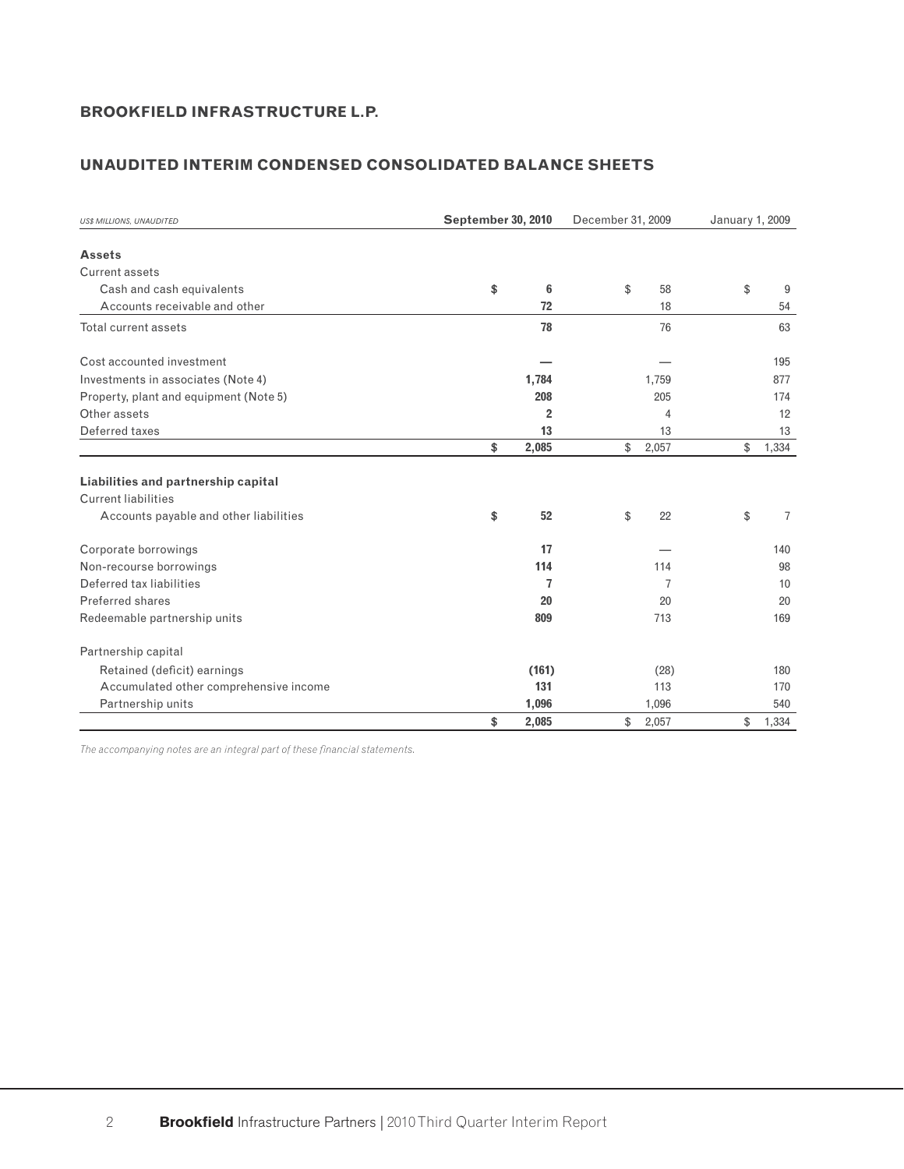# **UNAUDITED INTERIM CONDENSED CONSOLIDATED BALANCE SHEETS**

| <b>US\$ MILLIONS, UNAUDITED</b>        | September 30, 2010 |                | December 31, 2009 |                | January 1, 2009 |                |
|----------------------------------------|--------------------|----------------|-------------------|----------------|-----------------|----------------|
| <b>Assets</b>                          |                    |                |                   |                |                 |                |
| Current assets                         |                    |                |                   |                |                 |                |
| Cash and cash equivalents              | \$                 | 6              | \$                | 58             | \$              | 9              |
| Accounts receivable and other          |                    | 72             |                   | 18             |                 | 54             |
| Total current assets                   |                    | 78             |                   | 76             |                 | 63             |
| Cost accounted investment              |                    |                |                   |                |                 | 195            |
| Investments in associates (Note 4)     |                    | 1,784          |                   | 1,759          |                 | 877            |
| Property, plant and equipment (Note 5) |                    | 208            |                   | 205            |                 | 174            |
| Other assets                           |                    | $\overline{2}$ |                   | 4              |                 | 12             |
| Deferred taxes                         |                    | 13             |                   | 13             |                 | 13             |
|                                        | \$                 | 2,085          | \$                | 2,057          | \$              | 1,334          |
| Liabilities and partnership capital    |                    |                |                   |                |                 |                |
| <b>Current liabilities</b>             |                    |                |                   |                |                 |                |
| Accounts payable and other liabilities | \$                 | 52             | \$                | 22             | \$              | $\overline{7}$ |
| Corporate borrowings                   |                    | 17             |                   |                |                 | 140            |
| Non-recourse borrowings                |                    | 114            |                   | 114            |                 | 98             |
| Deferred tax liabilities               |                    | 7              |                   | $\overline{7}$ |                 | 10             |
| Preferred shares                       |                    | 20             |                   | 20             |                 | 20             |
| Redeemable partnership units           |                    | 809            |                   | 713            |                 | 169            |
| Partnership capital                    |                    |                |                   |                |                 |                |
| Retained (deficit) earnings            |                    | (161)          |                   | (28)           |                 | 180            |
| Accumulated other comprehensive income |                    | 131            |                   | 113            |                 | 170            |
| Partnership units                      |                    | 1,096          |                   | 1,096          |                 | 540            |
|                                        | \$                 | 2.085          | \$                | 2.057          | \$              | 1,334          |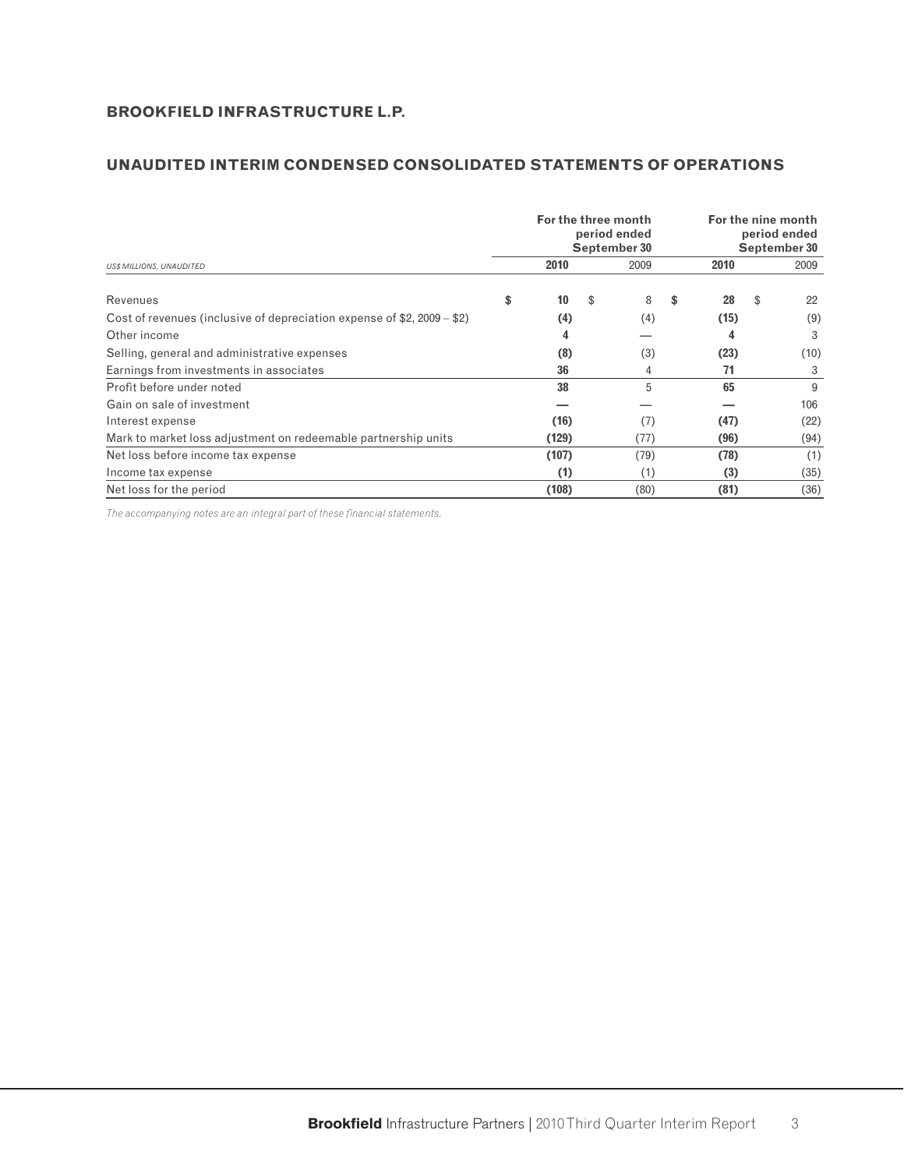# **UNAUDITED INTERIM CONDENSED CONSOLIDATED STATEMENTS OF OPERATIONS**

|                                                                           | For the three month | period ended<br>September 30 | For the nine month<br>period ended<br>September 30 |    |      |  |  |
|---------------------------------------------------------------------------|---------------------|------------------------------|----------------------------------------------------|----|------|--|--|
| <b>US\$ MILLIONS, UNAUDITED</b>                                           | 2010                | 2009                         | 2010                                               |    | 2009 |  |  |
| Revenues                                                                  | \$<br>10            | \$<br>8                      | \$<br>28                                           | \$ | 22   |  |  |
| Cost of revenues (inclusive of depreciation expense of $$2, 2009 - $2)$ ) | (4)                 | (4)                          | (15)                                               |    | (9)  |  |  |
| Other income                                                              | 4                   |                              | 4                                                  |    | 3    |  |  |
| Selling, general and administrative expenses                              | (8)                 | (3)                          | (23)                                               |    | (10) |  |  |
| Earnings from investments in associates                                   | 36                  | 4                            | 71                                                 |    | 3    |  |  |
| Profit before under noted                                                 | 38                  | 5                            | 65                                                 |    | 9    |  |  |
| Gain on sale of investment                                                |                     |                              |                                                    |    | 106  |  |  |
| Interest expense                                                          | (16)                | (7)                          | (47)                                               |    | (22) |  |  |
| Mark to market loss adjustment on redeemable partnership units            | (129)               | (77)                         | (96)                                               |    | (94) |  |  |
| Net loss before income tax expense                                        | (107)               | (79)                         | (78)                                               |    | (1)  |  |  |
| Income tax expense                                                        | (1)                 | (1)                          | (3)                                                |    | (35) |  |  |
| Net loss for the period                                                   | (108)               | (80)                         | (81)                                               |    | (36) |  |  |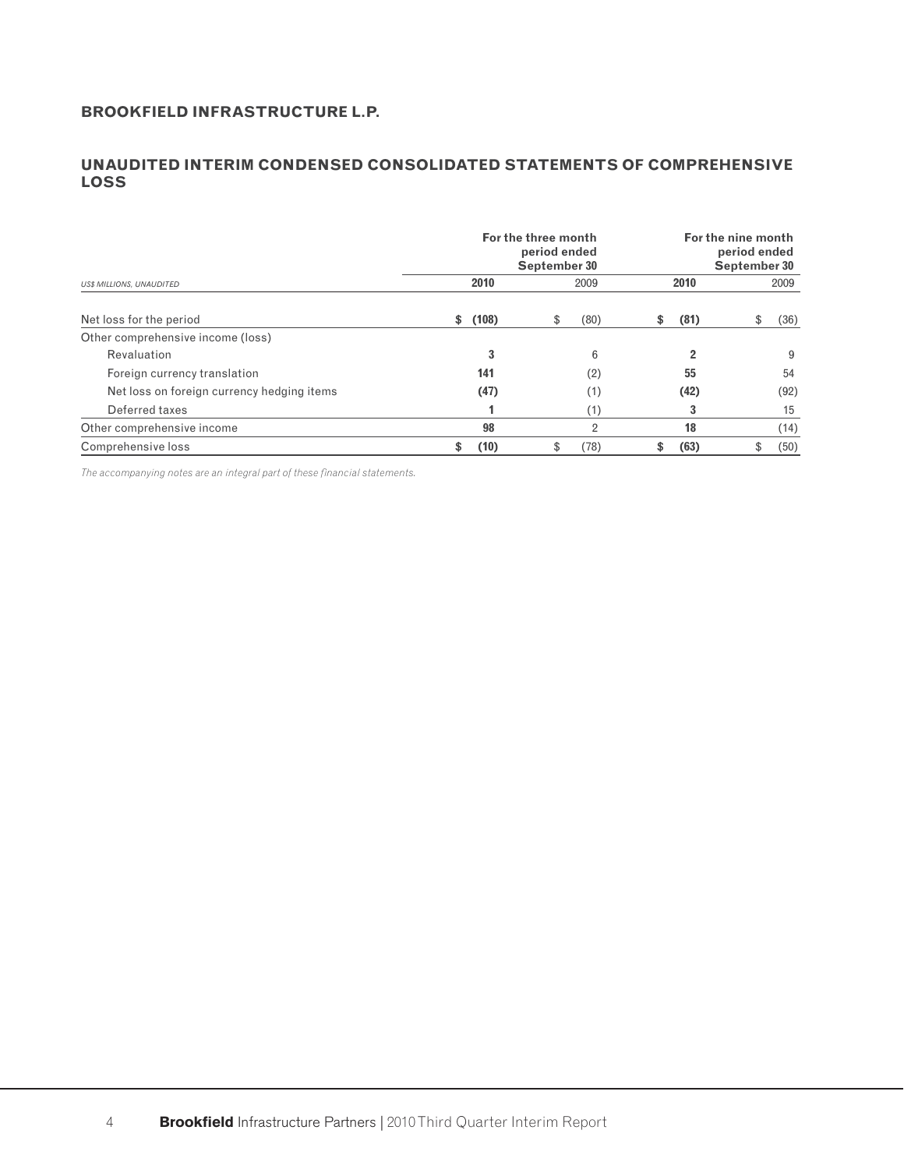# **UNAUDITED INTERIM CONDENSED CONSOLIDATED STATEMENTS OF COMPREHENSIVE LOSS**

|                                                                                                                                                | For the three month<br>period ended<br>September 30 |            | For the nine month<br>period ended<br>September 30 |            |
|------------------------------------------------------------------------------------------------------------------------------------------------|-----------------------------------------------------|------------|----------------------------------------------------|------------|
| <b>US\$ MILLIONS, UNAUDITED</b><br>Revaluation<br>Foreign currency translation<br>Net loss on foreign currency hedging items<br>Deferred taxes | 2010                                                | 2009       | 2010                                               | 2009       |
| Net loss for the period                                                                                                                        | (108)<br>\$                                         | (80)<br>\$ | (81)<br>\$                                         | \$<br>(36) |
| Other comprehensive income (loss)                                                                                                              |                                                     |            |                                                    |            |
|                                                                                                                                                | 3                                                   | 6          | $\overline{2}$                                     | 9          |
|                                                                                                                                                | 141                                                 | (2)        | 55                                                 | 54         |
|                                                                                                                                                | (47)                                                | (1)        | (42)                                               | (92)       |
|                                                                                                                                                |                                                     | (1)        | 3                                                  | 15         |
| Other comprehensive income                                                                                                                     | 98                                                  | 2          | 18                                                 | (14)       |
| Comprehensive loss                                                                                                                             | (10)<br>\$                                          | (78)<br>\$ | (63)<br>\$                                         | \$<br>(50) |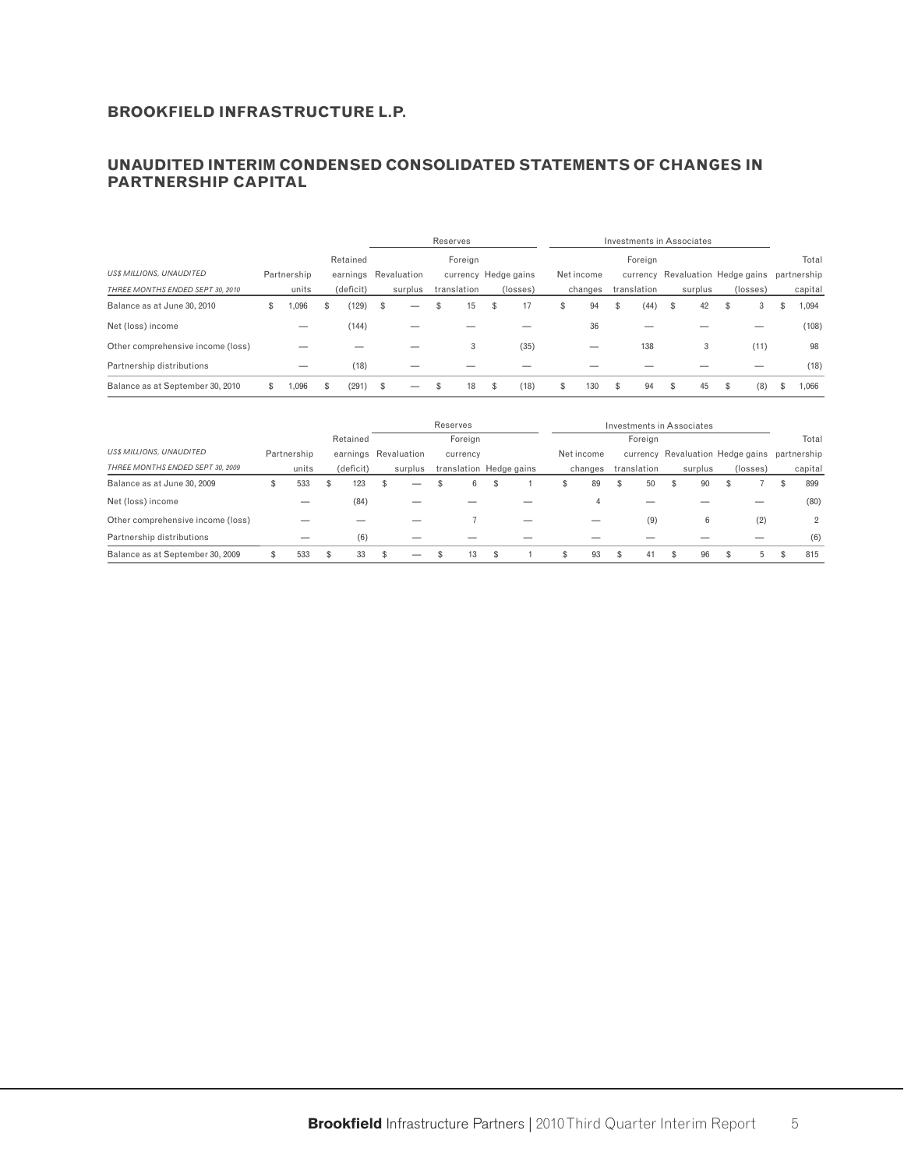### **UNAUDITED INTERIM CONDENSED CONSOLIDATED STATEMENTS OF CHANGES IN PARTNERSHIP CAPITAL**

|                                   |   |             |   |           |          |                      |    | Reserves    |    |                      |            |             | Investments in Associates |                                  |     |             |
|-----------------------------------|---|-------------|---|-----------|----------|----------------------|----|-------------|----|----------------------|------------|-------------|---------------------------|----------------------------------|-----|-------------|
|                                   |   |             |   | Retained  |          |                      |    | Foreign     |    |                      |            | Foreign     |                           |                                  |     | Total       |
| <b>US\$ MILLIONS, UNAUDITED</b>   |   | Partnership |   |           |          | earnings Revaluation |    |             |    | currency Hedge gains | Net income |             |                           | currency Revaluation Hedge gains |     | partnership |
| THREE MONTHS ENDED SEPT 30, 2010  |   | units       |   | (deficit) |          | surplus              |    | translation |    | (losses)             | changes    | translation | surplus                   | (losses)                         |     | capital     |
| Balance as at June 30, 2010       | ъ | .096        | S | (129)     | <b>S</b> | _                    | £. | 15          | S  | 17                   | \$<br>94   | \$<br>(44)  | \$<br>42                  | \$<br>3                          | S   | 1,094       |
| Net (loss) income                 |   |             |   | (144)     |          |                      |    |             |    |                      | 36         |             |                           |                                  |     | (108)       |
| Other comprehensive income (loss) |   |             |   |           |          |                      |    | 3           |    | (35)                 |            | 138         | 3                         | (11)                             |     | 98          |
| Partnership distributions         |   | _           |   | (18)      |          |                      |    |             |    |                      |            |             |                           |                                  |     | (18)        |
| Balance as at September 30, 2010  |   | .096        |   | (291)     | \$       |                      |    | 18          | \$ | (18)                 | \$<br>130  | \$<br>94    | \$<br>45                  | \$<br>(8)                        | \$. | 1.066       |

|                                   |   |             |   |           |    |                      | Reserves |                         |   |            |    |             |   | Investments in Associates |                                  |   |             |
|-----------------------------------|---|-------------|---|-----------|----|----------------------|----------|-------------------------|---|------------|----|-------------|---|---------------------------|----------------------------------|---|-------------|
|                                   |   |             |   | Retained  |    |                      | Foreign  |                         |   |            |    | Foreign     |   |                           |                                  |   | Total       |
| <b>US\$ MILLIONS, UNAUDITED</b>   |   | Partnership |   |           |    | earnings Revaluation | currency |                         |   | Net income |    |             |   |                           | currency Revaluation Hedge gains |   | partnership |
| THREE MONTHS ENDED SEPT 30, 2009  |   | units       |   | (deficit) |    | surplus              |          | translation Hedge gains |   | changes    |    | translation |   | surplus                   | (losses)                         |   | capital     |
| Balance as at June 30, 2009       | ъ | 533         | Ъ | 123       | Эh | _                    | 6        | \$                      | S | 89         | S  | 50          | Ъ | 90                        |                                  | ъ | 899         |
| Net (loss) income                 |   |             |   | (84)      |    |                      |          |                         |   | 4          |    |             |   |                           |                                  |   | (80)        |
| Other comprehensive income (loss) |   |             |   |           |    |                      |          |                         |   |            |    | (9)         |   | 6                         | (2)                              |   | 2           |
| Partnership distributions         |   |             |   | (6)       |    |                      |          |                         |   |            |    |             |   |                           |                                  |   | (6)         |
| Balance as at September 30, 2009  |   | 533         |   | 33        |    |                      | 13       |                         |   | 93         | \$ | 41          |   | 96                        | 5                                |   | 815         |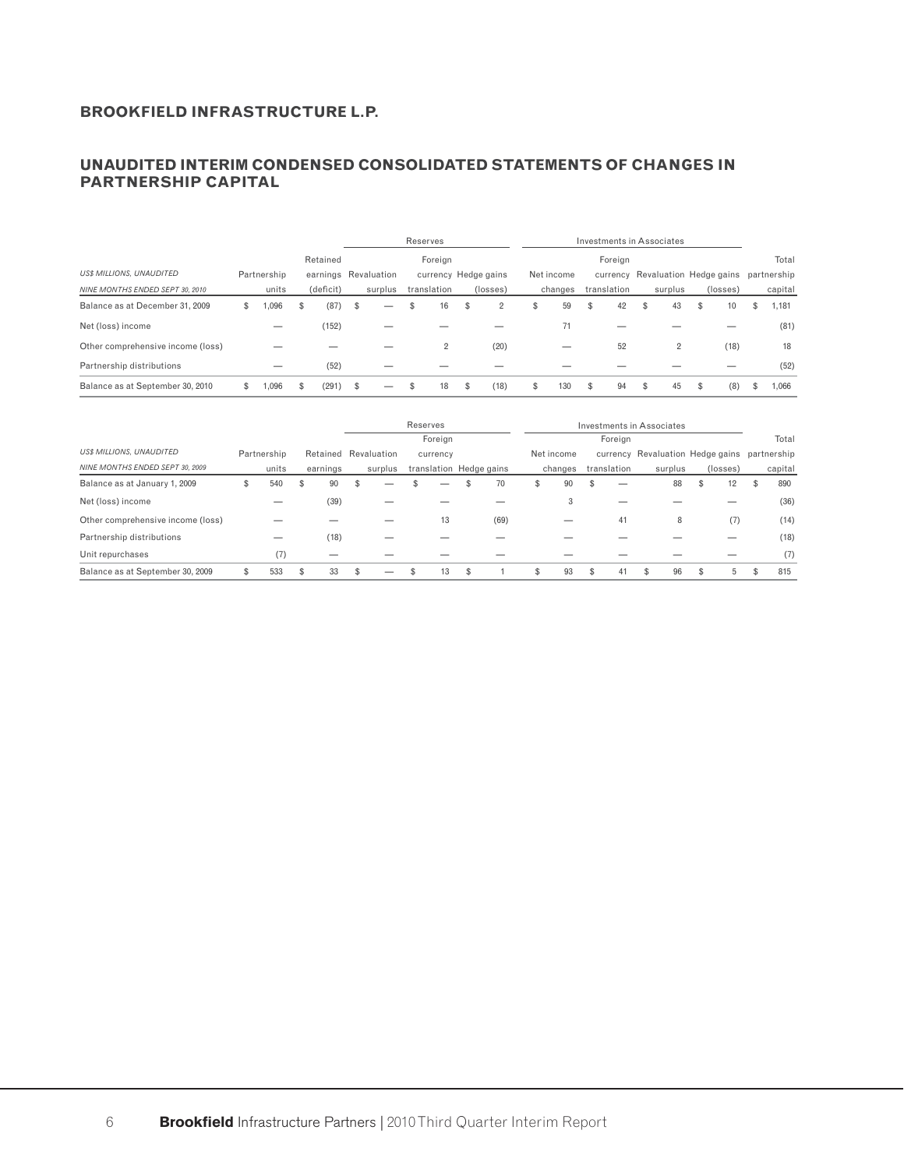## **UNAUDITED INTERIM CONDENSED CONSOLIDATED STATEMENTS OF CHANGES IN PARTNERSHIP CAPITAL**

|                                   |             |     |           |                      | Reserves       |                      |     |            |    |             | Investments in Associates        |           |   |             |
|-----------------------------------|-------------|-----|-----------|----------------------|----------------|----------------------|-----|------------|----|-------------|----------------------------------|-----------|---|-------------|
|                                   |             |     | Retained  |                      | Foreian        |                      |     |            |    | Foreian     |                                  |           |   | Total       |
| <b>US\$ MILLIONS, UNAUDITED</b>   | Partnership |     |           | earnings Revaluation |                | currency Hedge gains |     | Net income |    |             | currency Revaluation Hedge gains |           |   | partnership |
| NINE MONTHS ENDED SEPT 30, 2010   | units       |     | (deficit) | surplus              | translation    | (losses)             |     | changes    |    | translation | surplus                          | (losses)  |   | capital     |
| Balance as at December 31, 2009   | \$<br>0.096 | \$. | (87)      | \$<br>_              | \$<br>16       | \$<br>2              | \$. | 59         | \$ | 42          | \$<br>43                         | \$<br>10  | S | 1,181       |
| Net (loss) income                 |             |     | (152)     |                      |                |                      |     | 71         |    |             |                                  |           |   | (81)        |
| Other comprehensive income (loss) |             |     |           |                      | $\overline{2}$ | (20)                 |     |            |    | 52          | 2                                | (18)      |   | 18          |
| Partnership distributions         |             |     | (52)      |                      |                |                      |     |            |    |             |                                  |           |   | (52)        |
| Balance as at September 30, 2010  | ,096        |     | (291)     | \$                   | 18             | (18)                 |     | 130        | £. | 94          | \$<br>45                         | \$<br>(8) |   | 0.066       |

|                                   |             |   |          |                      | Reserves |          |                         |   |            |             | Investments in Associates                    |          |   |         |
|-----------------------------------|-------------|---|----------|----------------------|----------|----------|-------------------------|---|------------|-------------|----------------------------------------------|----------|---|---------|
|                                   |             |   |          |                      |          | Foreign  |                         |   |            | Foreign     |                                              |          |   | Total   |
| <b>US\$ MILLIONS, UNAUDITED</b>   | Partnership |   |          | Retained Revaluation |          | currency |                         |   | Net income |             | currency Revaluation Hedge gains partnership |          |   |         |
| NINE MONTHS ENDED SEPT 30, 2009   | units       |   | earnings | surplus              |          |          | translation Hedge gains |   | changes    | translation | surplus                                      | (losses) |   | capital |
| Balance as at January 1, 2009     | 540         | ъ | 90       |                      |          |          | 70                      | ъ | 90         |             | 88                                           | S<br>12  | ъ | 890     |
| Net (loss) income                 |             |   | (39)     |                      |          |          |                         |   | 3          |             |                                              |          |   | (36)    |
| Other comprehensive income (loss) |             |   |          |                      |          | 13       | (69)                    |   |            | 41          | 8                                            | (7)      |   | (14)    |
| Partnership distributions         |             |   | (18)     |                      |          |          |                         |   |            |             |                                              |          |   | (18)    |
| Unit repurchases                  | (7)         |   |          |                      |          |          |                         |   |            |             |                                              |          |   | (7)     |
| Balance as at September 30, 2009  | 533         |   | 33       |                      |          | 13       |                         | S | 93         | 41          | 96                                           | 5.       |   | 815     |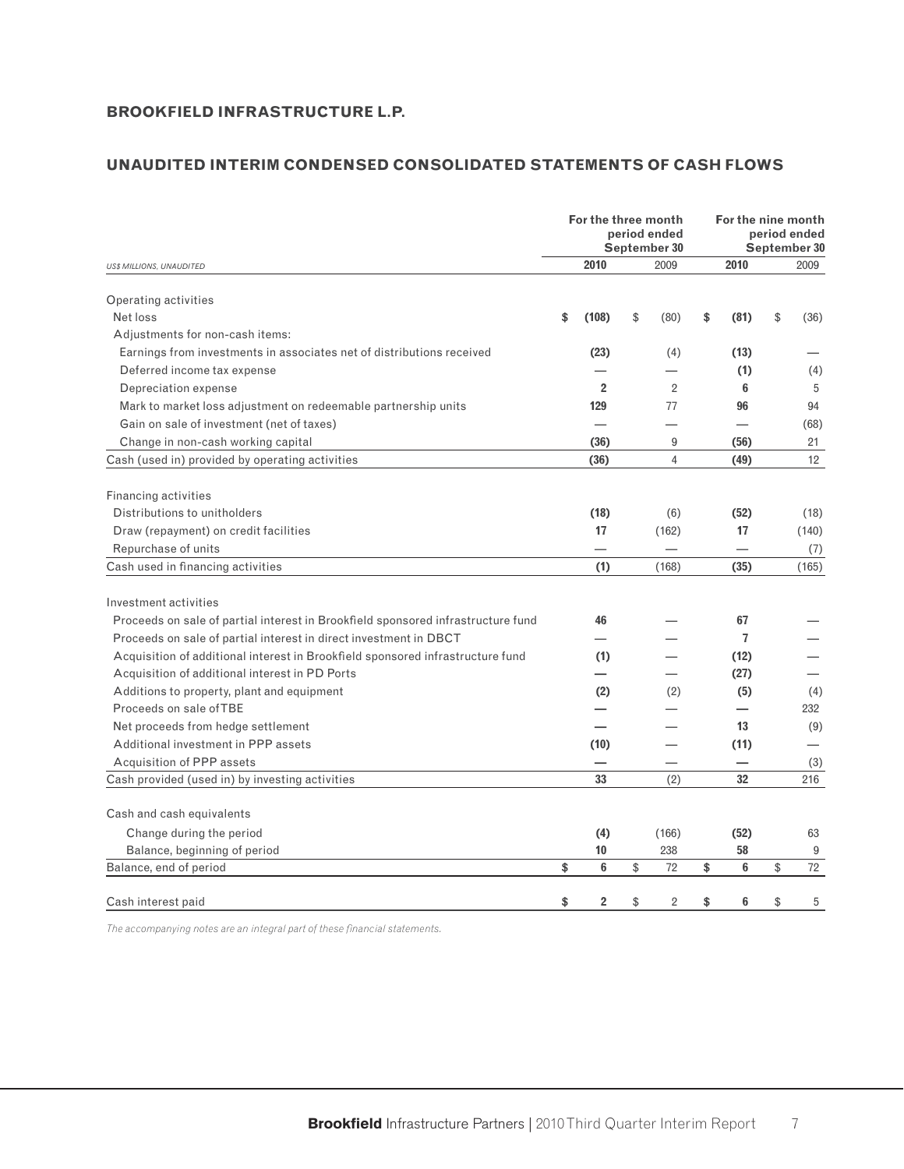# **UNAUDITED INTERIM CONDENSED CONSOLIDATED STATEMENTS OF CASH FLOWS**

|                                                                                  | For the three month | period ended<br>September 30 | For the nine month | period ended<br>September 30 |  |
|----------------------------------------------------------------------------------|---------------------|------------------------------|--------------------|------------------------------|--|
| <b>US\$ MILLIONS, UNAUDITED</b>                                                  | 2010                | 2009                         | 2010               | 2009                         |  |
| Operating activities                                                             |                     |                              |                    |                              |  |
| Net loss                                                                         | \$<br>(108)         | \$<br>(80)                   | \$<br>(81)         | \$<br>(36)                   |  |
| Adjustments for non-cash items:                                                  |                     |                              |                    |                              |  |
| Earnings from investments in associates net of distributions received            | (23)                | (4)                          | (13)               |                              |  |
| Deferred income tax expense                                                      |                     |                              | (1)                | (4)                          |  |
| Depreciation expense                                                             | $\overline{2}$      | $\overline{2}$               | 6                  | 5                            |  |
| Mark to market loss adjustment on redeemable partnership units                   | 129                 | 77                           | 96                 | 94                           |  |
| Gain on sale of investment (net of taxes)                                        |                     |                              |                    | (68)                         |  |
| Change in non-cash working capital                                               | (36)                | 9                            | (56)               | 21                           |  |
| Cash (used in) provided by operating activities                                  | (36)                | $\overline{4}$               | (49)               | 12                           |  |
|                                                                                  |                     |                              |                    |                              |  |
| Financing activities                                                             |                     |                              |                    |                              |  |
| Distributions to unitholders                                                     | (18)                | (6)                          | (52)               | (18)                         |  |
| Draw (repayment) on credit facilities                                            | 17                  | (162)                        | 17                 | (140)                        |  |
| Repurchase of units                                                              |                     |                              |                    | (7)                          |  |
| Cash used in financing activities                                                | (1)                 | (168)                        | (35)               | (165)                        |  |
|                                                                                  |                     |                              |                    |                              |  |
| Investment activities                                                            |                     |                              |                    |                              |  |
| Proceeds on sale of partial interest in Brookfield sponsored infrastructure fund | 46                  |                              | 67                 |                              |  |
| Proceeds on sale of partial interest in direct investment in DBCT                |                     |                              | $\overline{7}$     |                              |  |
| Acquisition of additional interest in Brookfield sponsored infrastructure fund   | (1)                 |                              | (12)               |                              |  |
| Acquisition of additional interest in PD Ports                                   |                     |                              | (27)               |                              |  |
| Additions to property, plant and equipment                                       | (2)                 | (2)                          | (5)                | (4)                          |  |
| Proceeds on sale of TBE                                                          |                     |                              |                    | 232                          |  |
| Net proceeds from hedge settlement                                               |                     |                              | 13                 | (9)                          |  |
| Additional investment in PPP assets                                              | (10)                |                              | (11)               |                              |  |
| Acquisition of PPP assets                                                        |                     |                              |                    | (3)                          |  |
| Cash provided (used in) by investing activities                                  | 33                  | (2)                          | 32                 | 216                          |  |
|                                                                                  |                     |                              |                    |                              |  |
| Cash and cash equivalents                                                        |                     |                              |                    |                              |  |
| Change during the period                                                         | (4)                 | (166)                        | (52)               | 63                           |  |
| Balance, beginning of period                                                     | 10                  | 238                          | 58                 | 9                            |  |
| Balance, end of period                                                           | \$<br>6             | \$<br>72                     | \$<br>6            | \$<br>72                     |  |
| Cash interest paid                                                               | \$<br>2             | \$<br>2                      | \$<br>6            | \$<br>5                      |  |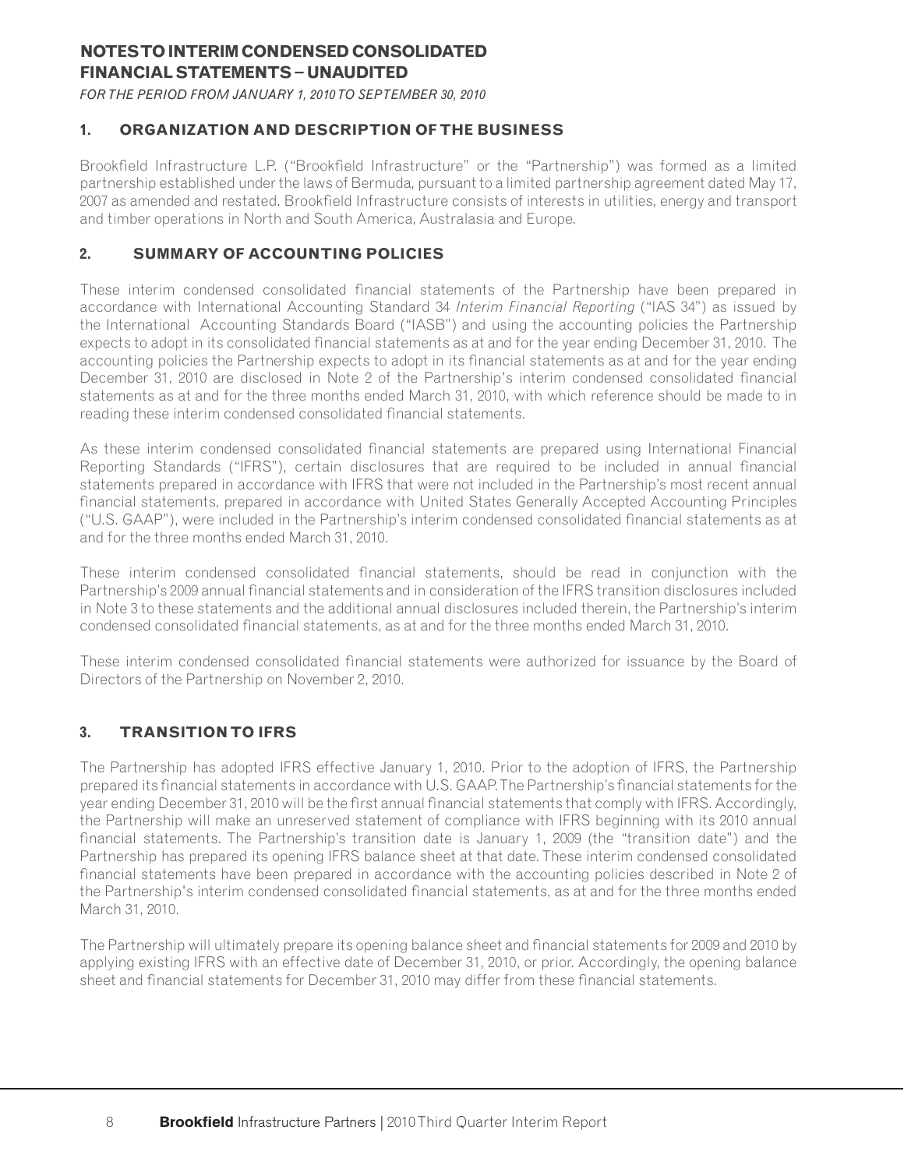# **NOTES TO INTERIM CONDENSED CONSOLIDATED FINANCIAL STATEMENTS − UNAUDITED**

*FOR THE PERIOD FROM JANUARY 1, 2010 TO SEPTEMBER 30, 2010*

# **1. ORGANIZATION AND DESCRIPTION OF THE BUSINESS**

Brookfield Infrastructure L.P. ("Brookfield Infrastructure" or the "Partnership") was formed as a limited partnership established under the laws of Bermuda, pursuant to a limited partnership agreement dated May 17, 2007 as amended and restated. Brookfield Infrastructure consists of interests in utilities, energy and transport and timber operations in North and South America, Australasia and Europe.

# **2. SUMMARY OF ACCOUNTING POLICIES**

These interim condensed consolidated financial statements of the Partnership have been prepared in accordance with International Accounting Standard 34 *Interim Financial Reporting* ("IAS 34") as issued by the International Accounting Standards Board ("IASB") and using the accounting policies the Partnership expects to adopt in its consolidated financial statements as at and for the year ending December 31, 2010. The accounting policies the Partnership expects to adopt in its financial statements as at and for the year ending December 31, 2010 are disclosed in Note 2 of the Partnership's interim condensed consolidated financial statements as at and for the three months ended March 31, 2010, with which reference should be made to in reading these interim condensed consolidated financial statements.

As these interim condensed consolidated financial statements are prepared using International Financial Reporting Standards ("IFRS"), certain disclosures that are required to be included in annual financial statements prepared in accordance with IFRS that were not included in the Partnership's most recent annual financial statements, prepared in accordance with United States Generally Accepted Accounting Principles ("U.S. GAAP"), were included in the Partnership's interim condensed consolidated financial statements as at and for the three months ended March 31, 2010.

These interim condensed consolidated financial statements, should be read in conjunction with the Partnership's 2009 annual financial statements and in consideration of the IFRS transition disclosures included in Note 3 to these statements and the additional annual disclosures included therein, the Partnership's interim condensed consolidated financial statements, as at and for the three months ended March 31, 2010.

These interim condensed consolidated financial statements were authorized for issuance by the Board of Directors of the Partnership on November 2, 2010.

# **3. TRANSITION TO IFRS**

The Partnership has adopted IFRS effective January 1, 2010. Prior to the adoption of IFRS, the Partnership prepared its financial statements in accordance with U.S. GAAP. The Partnership's financial statements for the year ending December 31, 2010 will be the first annual financial statements that comply with IFRS. Accordingly, the Partnership will make an unreserved statement of compliance with IFRS beginning with its 2010 annual financial statements. The Partnership's transition date is January 1, 2009 (the "transition date") and the Partnership has prepared its opening IFRS balance sheet at that date. These interim condensed consolidated financial statements have been prepared in accordance with the accounting policies described in Note 2 of the Partnership's interim condensed consolidated financial statements, as at and for the three months ended March 31, 2010.

The Partnership will ultimately prepare its opening balance sheet and financial statements for 2009 and 2010 by applying existing IFRS with an effective date of December 31, 2010, or prior. Accordingly, the opening balance sheet and financial statements for December 31, 2010 may differ from these financial statements.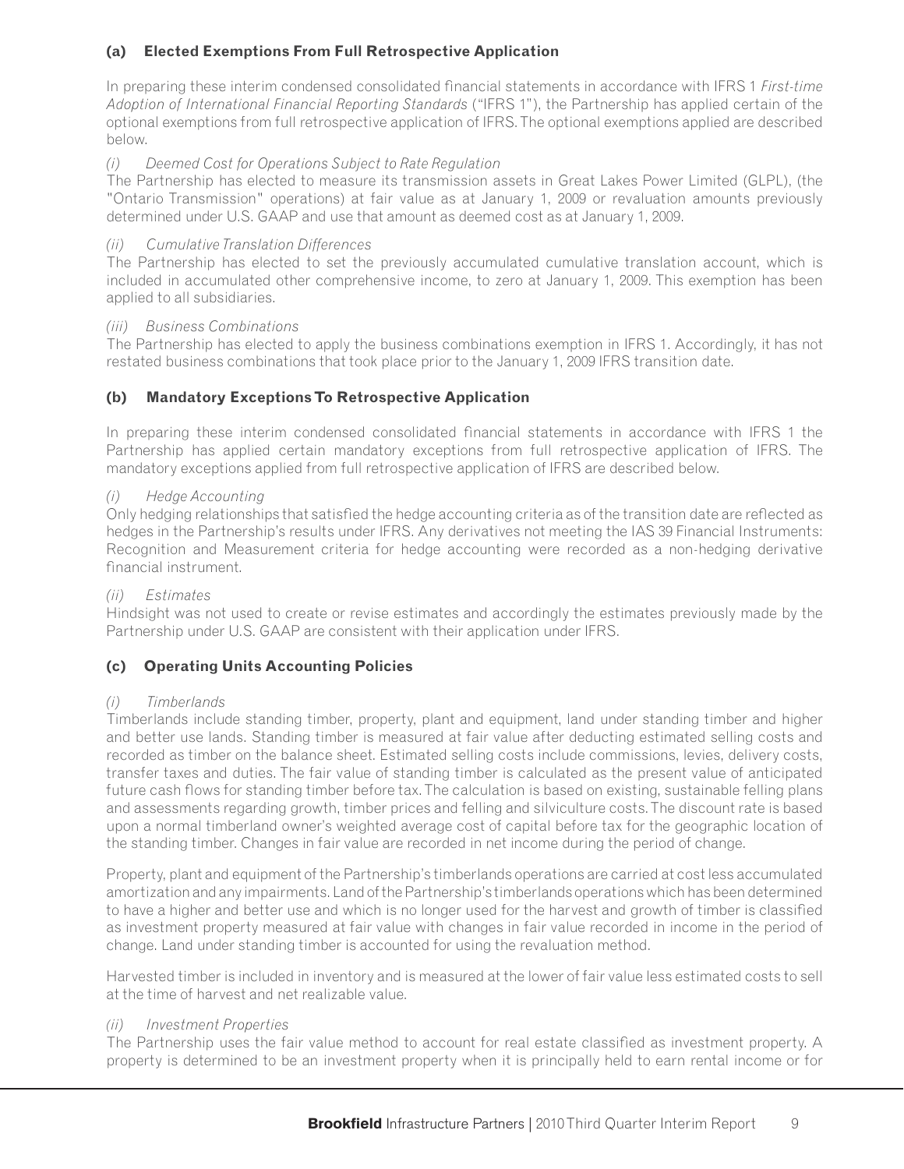# **(a) Elected Exemptions From Full Retrospective Application**

In preparing these interim condensed consolidated financial statements in accordance with IFRS 1 *First-time Adoption of International Financial Reporting Standards* ("IFRS 1"), the Partnership has applied certain of the optional exemptions from full retrospective application of IFRS. The optional exemptions applied are described below.

# *(i) Deemed Cost for Operations Subject to Rate Regulation*

The Partnership has elected to measure its transmission assets in Great Lakes Power Limited (GLPL), (the "Ontario Transmission" operations) at fair value as at January 1, 2009 or revaluation amounts previously determined under U.S. GAAP and use that amount as deemed cost as at January 1, 2009.

# *(ii) Cumulative Translation Differences*

The Partnership has elected to set the previously accumulated cumulative translation account, which is included in accumulated other comprehensive income, to zero at January 1, 2009. This exemption has been applied to all subsidiaries.

### *(iii) Business Combinations*

The Partnership has elected to apply the business combinations exemption in IFRS 1. Accordingly, it has not restated business combinations that took place prior to the January 1, 2009 IFRS transition date.

# **(b) Mandatory Exceptions To Retrospective Application**

In preparing these interim condensed consolidated financial statements in accordance with IFRS 1 the Partnership has applied certain mandatory exceptions from full retrospective application of IFRS. The mandatory exceptions applied from full retrospective application of IFRS are described below.

### *(i) Hedge Accounting*

Only hedging relationships that satisfied the hedge accounting criteria as of the transition date are reflected as hedges in the Partnership's results under IFRS. Any derivatives not meeting the IAS 39 Financial Instruments: Recognition and Measurement criteria for hedge accounting were recorded as a non-hedging derivative financial instrument.

### *(ii) Estimates*

Hindsight was not used to create or revise estimates and accordingly the estimates previously made by the Partnership under U.S. GAAP are consistent with their application under IFRS.

# **(c) Operating Units Accounting Policies**

### *(i) Timberlands*

Timberlands include standing timber, property, plant and equipment, land under standing timber and higher and better use lands. Standing timber is measured at fair value after deducting estimated selling costs and recorded as timber on the balance sheet. Estimated selling costs include commissions, levies, delivery costs, transfer taxes and duties. The fair value of standing timber is calculated as the present value of anticipated future cash flows for standing timber before tax. The calculation is based on existing, sustainable felling plans and assessments regarding growth, timber prices and felling and silviculture costs. The discount rate is based upon a normal timberland owner's weighted average cost of capital before tax for the geographic location of the standing timber. Changes in fair value are recorded in net income during the period of change.

Property, plant and equipment of the Partnership's timberlands operations are carried at cost less accumulated amortization and any impairments. Land of the Partnership's timberlands operations which has been determined to have a higher and better use and which is no longer used for the harvest and growth of timber is classified as investment property measured at fair value with changes in fair value recorded in income in the period of change. Land under standing timber is accounted for using the revaluation method.

Harvested timber is included in inventory and is measured at the lower of fair value less estimated costs to sell at the time of harvest and net realizable value.

### *(ii) Investment Properties*

The Partnership uses the fair value method to account for real estate classified as investment property. A property is determined to be an investment property when it is principally held to earn rental income or for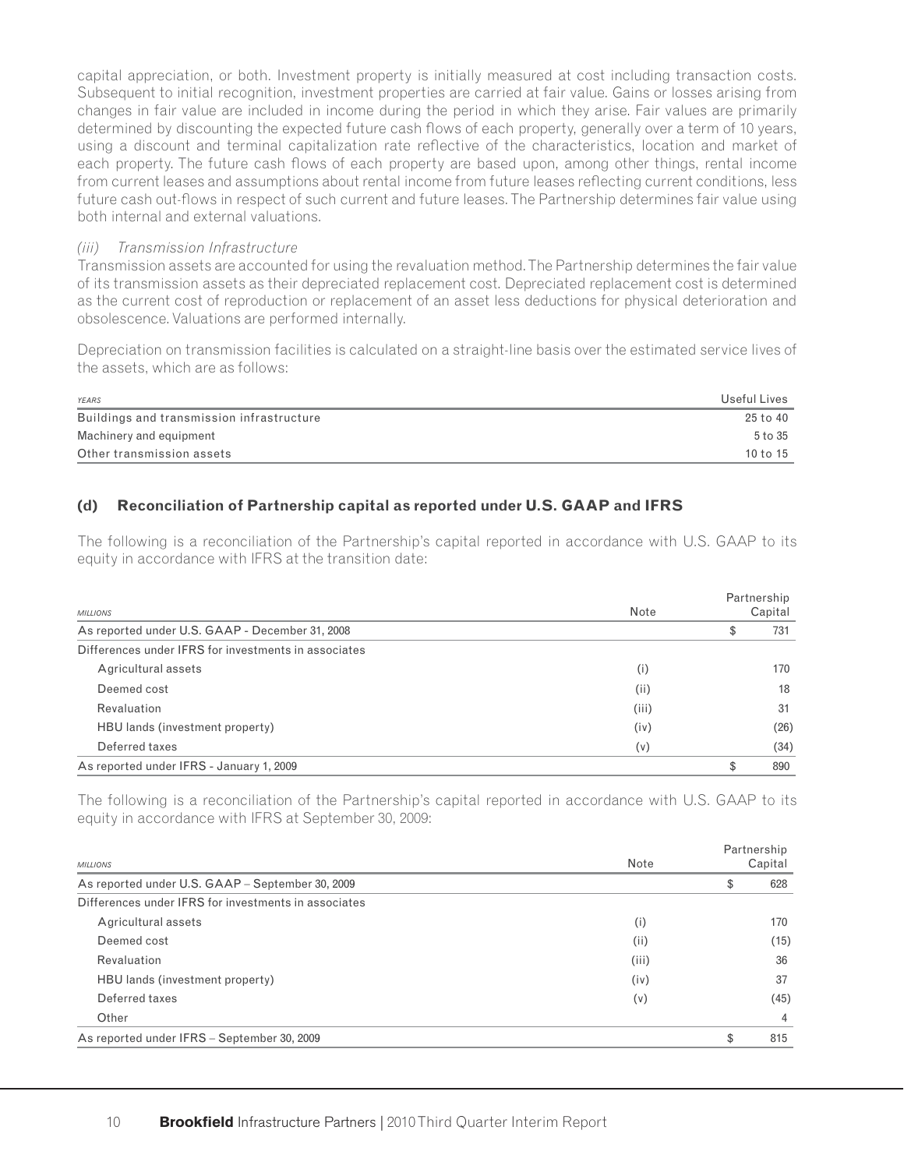capital appreciation, or both. Investment property is initially measured at cost including transaction costs. Subsequent to initial recognition, investment properties are carried at fair value. Gains or losses arising from changes in fair value are included in income during the period in which they arise. Fair values are primarily determined by discounting the expected future cash flows of each property, generally over a term of 10 years, using a discount and terminal capitalization rate reflective of the characteristics, location and market of each property. The future cash flows of each property are based upon, among other things, rental income from current leases and assumptions about rental income from future leases reflecting current conditions, less future cash out-flows in respect of such current and future leases. The Partnership determines fair value using both internal and external valuations.

#### *(iii) Transmission Infrastructure*

Transmission assets are accounted for using the revaluation method. The Partnership determines the fair value of its transmission assets as their depreciated replacement cost. Depreciated replacement cost is determined as the current cost of reproduction or replacement of an asset less deductions for physical deterioration and obsolescence. Valuations are performed internally.

Depreciation on transmission facilities is calculated on a straight-line basis over the estimated service lives of the assets, which are as follows:

| Useful Lives |
|--------------|
| 25 to 40     |
| 5 to 35      |
| 10 to $15$   |
|              |

## **(d) Reconciliation of Partnership capital as reported under U.S. GAAP and IFRS**

The following is a reconciliation of the Partnership's capital reported in accordance with U.S. GAAP to its equity in accordance with IFRS at the transition date:

| <b>MILLIONS</b>                                      | Note  | Partnership<br>Capital |
|------------------------------------------------------|-------|------------------------|
| As reported under U.S. GAAP - December 31, 2008      |       | \$<br>731              |
| Differences under IFRS for investments in associates |       |                        |
| Agricultural assets                                  | (i)   | 170                    |
| Deemed cost                                          | (iii) | 18                     |
| Revaluation                                          | (iii) | 31                     |
| HBU lands (investment property)                      | (iv)  | (26)                   |
| Deferred taxes                                       | (v)   | (34)                   |
| As reported under IFRS - January 1, 2009             |       | \$<br>890              |

The following is a reconciliation of the Partnership's capital reported in accordance with U.S. GAAP to its equity in accordance with IFRS at September 30, 2009:

| <b>MILLIONS</b>                                      | Note  | Partnership<br>Capital |
|------------------------------------------------------|-------|------------------------|
| As reported under U.S. GAAP - September 30, 2009     |       | \$<br>628              |
| Differences under IFRS for investments in associates |       |                        |
| Agricultural assets                                  | (i)   | 170                    |
| Deemed cost                                          | (i)   | (15)                   |
| Revaluation                                          | (iii) | 36                     |
| HBU lands (investment property)                      | (iv)  | 37                     |
| Deferred taxes                                       | (v)   | (45)                   |
| Other                                                |       | 4                      |
| As reported under IFRS - September 30, 2009          |       | \$<br>815              |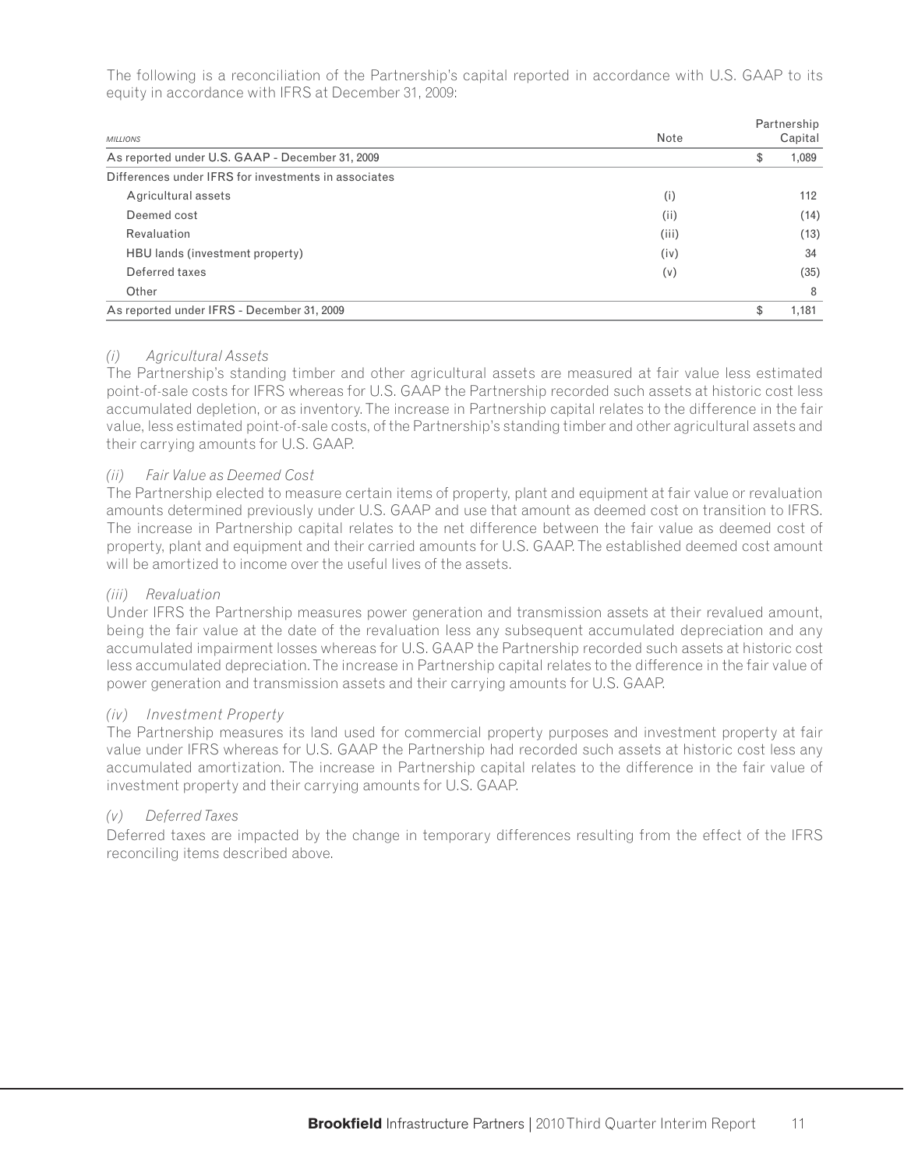The following is a reconciliation of the Partnership's capital reported in accordance with U.S. GAAP to its equity in accordance with IFRS at December 31, 2009:

| <b>MILLIONS</b>                                      | Note  | Partnership<br>Capital |
|------------------------------------------------------|-------|------------------------|
| As reported under U.S. GAAP - December 31, 2009      |       | \$<br>1,089            |
| Differences under IFRS for investments in associates |       |                        |
| Agricultural assets                                  | (i)   | 112                    |
| Deemed cost                                          | (ii)  | (14)                   |
| Revaluation                                          | (iii) | (13)                   |
| HBU lands (investment property)                      | (iv)  | 34                     |
| Deferred taxes                                       | (v)   | (35)                   |
| Other                                                |       | 8                      |
| As reported under IFRS - December 31, 2009           |       | \$<br>1.181            |

### *(i) Agricultural Assets*

The Partnership's standing timber and other agricultural assets are measured at fair value less estimated point-of-sale costs for IFRS whereas for U.S. GAAP the Partnership recorded such assets at historic cost less accumulated depletion, or as inventory. The increase in Partnership capital relates to the difference in the fair value, less estimated point-of-sale costs, of the Partnership's standing timber and other agricultural assets and their carrying amounts for U.S. GAAP.

#### *(ii) Fair Value as Deemed Cost*

The Partnership elected to measure certain items of property, plant and equipment at fair value or revaluation amounts determined previously under U.S. GAAP and use that amount as deemed cost on transition to IFRS. The increase in Partnership capital relates to the net difference between the fair value as deemed cost of property, plant and equipment and their carried amounts for U.S. GAAP. The established deemed cost amount will be amortized to income over the useful lives of the assets.

### *(iii) Revaluation*

Under IFRS the Partnership measures power generation and transmission assets at their revalued amount, being the fair value at the date of the revaluation less any subsequent accumulated depreciation and any accumulated impairment losses whereas for U.S. GAAP the Partnership recorded such assets at historic cost less accumulated depreciation. The increase in Partnership capital relates to the difference in the fair value of power generation and transmission assets and their carrying amounts for U.S. GAAP.

### *(iv) Investment Property*

The Partnership measures its land used for commercial property purposes and investment property at fair value under IFRS whereas for U.S. GAAP the Partnership had recorded such assets at historic cost less any accumulated amortization. The increase in Partnership capital relates to the difference in the fair value of investment property and their carrying amounts for U.S. GAAP.

### *(v) Deferred Taxes*

Deferred taxes are impacted by the change in temporary differences resulting from the effect of the IFRS reconciling items described above.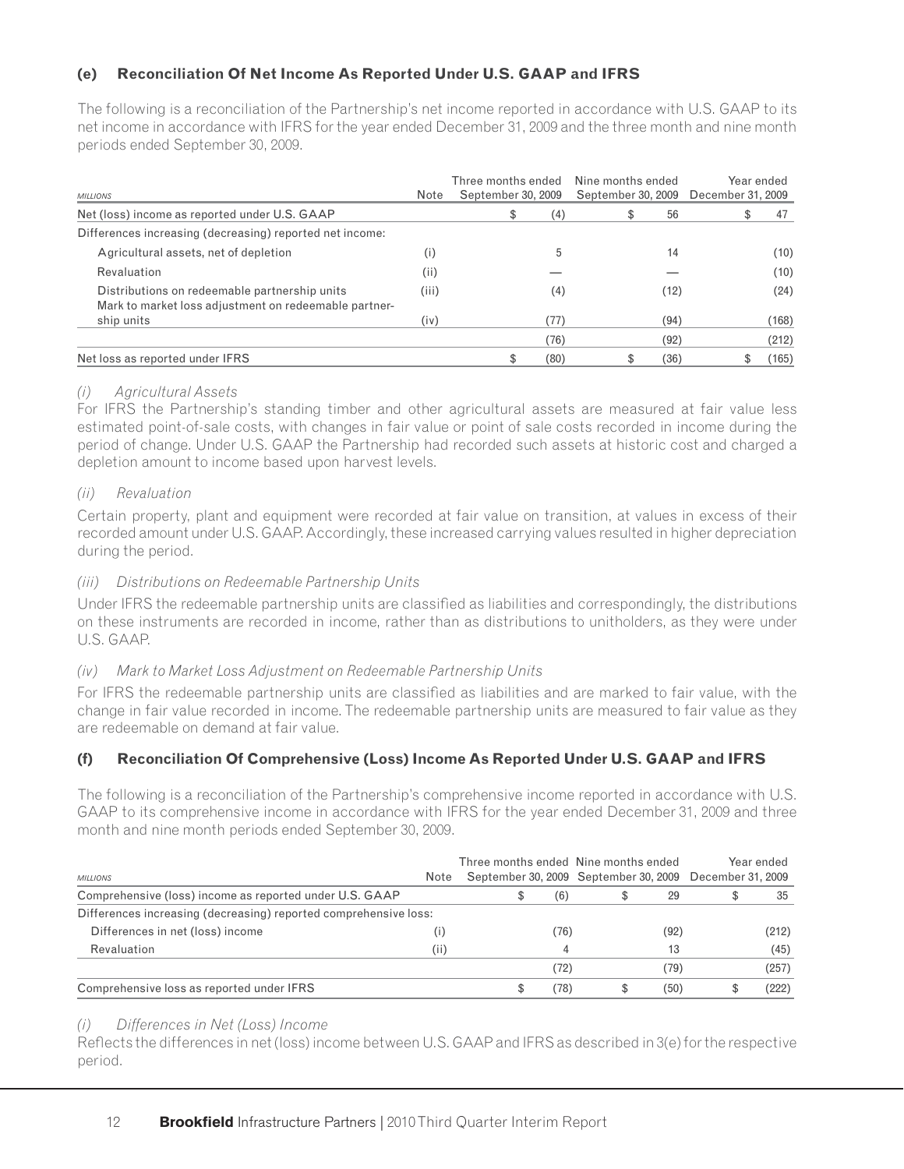# **(e) Reconciliation Of Net Income As Reported Under U.S. GAAP and IFRS**

The following is a reconciliation of the Partnership's net income reported in accordance with U.S. GAAP to its net income in accordance with IFRS for the year ended December 31, 2009 and the three month and nine month periods ended September 30, 2009.

| <b>MILLIONS</b>                                                                                        | Note  | Three months ended<br>September 30, 2009 |      | Nine months ended<br>September 30, 2009 |      | December 31, 2009 | Year ended |
|--------------------------------------------------------------------------------------------------------|-------|------------------------------------------|------|-----------------------------------------|------|-------------------|------------|
| Net (loss) income as reported under U.S. GAAP                                                          |       | \$                                       | (4)  | S                                       | 56   |                   | 47         |
| Differences increasing (decreasing) reported net income:                                               |       |                                          |      |                                         |      |                   |            |
| Agricultural assets, net of depletion                                                                  | (i)   |                                          | 5    |                                         | 14   |                   | (10)       |
| Revaluation                                                                                            | (i)   |                                          |      |                                         |      |                   | (10)       |
| Distributions on redeemable partnership units<br>Mark to market loss adjustment on redeemable partner- | (iii) |                                          | (4)  |                                         | (12) |                   | (24)       |
| ship units                                                                                             | (iv)  |                                          | (77) |                                         | (94) |                   | (168)      |
|                                                                                                        |       |                                          | (76) |                                         | (92) |                   | (212)      |
| Net loss as reported under IFRS                                                                        |       |                                          | (80) |                                         | (36) |                   | (165)      |

## *(i) Agricultural Assets*

For IFRS the Partnership's standing timber and other agricultural assets are measured at fair value less estimated point-of-sale costs, with changes in fair value or point of sale costs recorded in income during the period of change. Under U.S. GAAP the Partnership had recorded such assets at historic cost and charged a depletion amount to income based upon harvest levels.

### *(ii) Revaluation*

Certain property, plant and equipment were recorded at fair value on transition, at values in excess of their recorded amount under U.S. GAAP. Accordingly, these increased carrying values resulted in higher depreciation during the period.

## *(iii) Distributions on Redeemable Partnership Units*

Under IFRS the redeemable partnership units are classified as liabilities and correspondingly, the distributions on these instruments are recorded in income, rather than as distributions to unitholders, as they were under U.S. GAAP.

# *(iv) Mark to Market Loss Adjustment on Redeemable Partnership Units*

For IFRS the redeemable partnership units are classified as liabilities and are marked to fair value, with the change in fair value recorded in income. The redeemable partnership units are measured to fair value as they are redeemable on demand at fair value.

# **(f) Reconciliation Of Comprehensive (Loss) Income As Reported Under U.S. GAAP and IFRS**

The following is a reconciliation of the Partnership's comprehensive income reported in accordance with U.S. GAAP to its comprehensive income in accordance with IFRS for the year ended December 31, 2009 and three month and nine month periods ended September 30, 2009.

| <b>MILLIONS</b>                                                  |      | Three months ended Nine months ended |      |      | Year ended<br>September 30, 2009 September 30, 2009 December 31, 2009 |       |  |
|------------------------------------------------------------------|------|--------------------------------------|------|------|-----------------------------------------------------------------------|-------|--|
| Comprehensive (loss) income as reported under U.S. GAAP          |      |                                      | (6)  | 29   |                                                                       | 35    |  |
| Differences increasing (decreasing) reported comprehensive loss: |      |                                      |      |      |                                                                       |       |  |
| Differences in net (loss) income                                 |      |                                      | (76) | (92) |                                                                       | (212) |  |
| Revaluation                                                      | (ii) |                                      |      | 13   |                                                                       | (45)  |  |
|                                                                  |      |                                      | (72) | (79) |                                                                       | (257) |  |
| Comprehensive loss as reported under IFRS                        |      | S                                    | (78) | (50) |                                                                       | (222) |  |

### *(i) Differences in Net (Loss) Income*

Reflects the differences in net (loss) income between U.S. GAAP and IFRS as described in 3(e) for the respective period.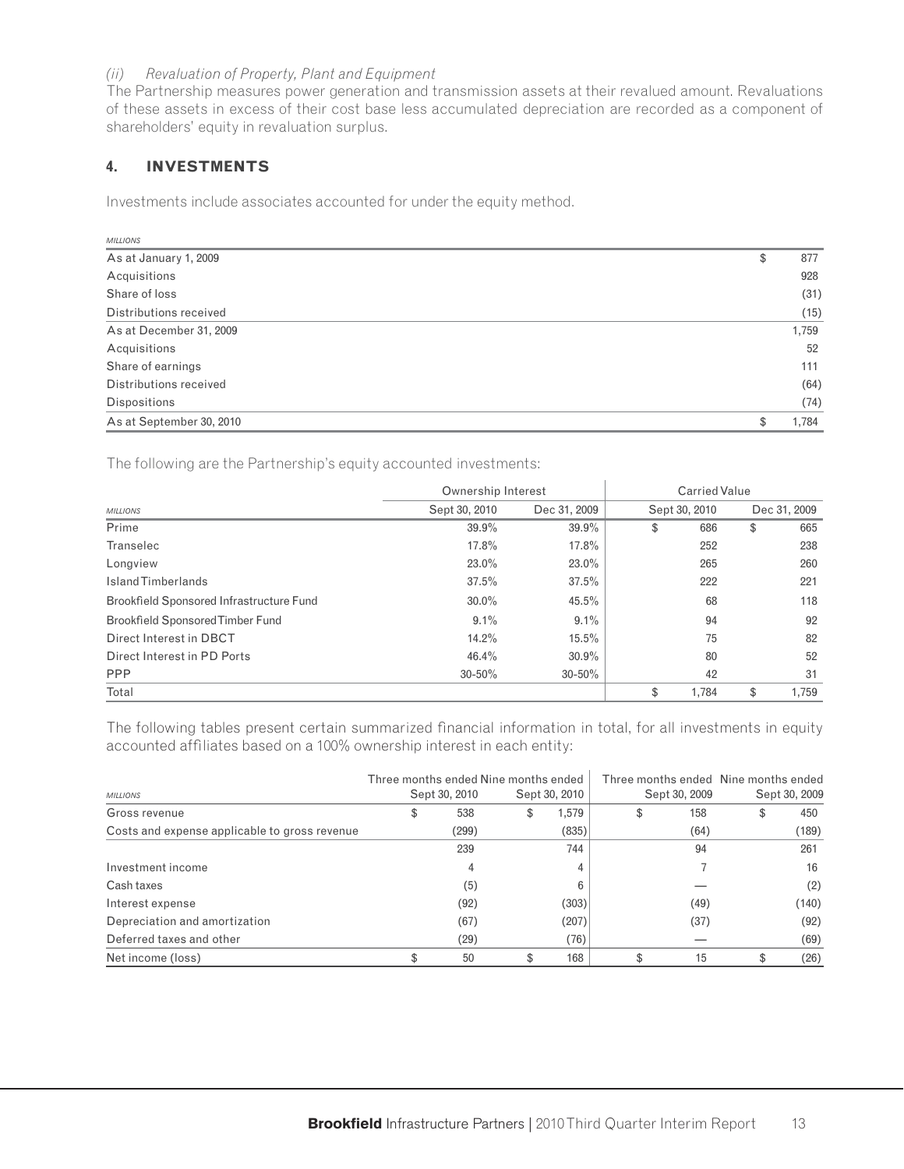### *(ii) Revaluation of Property, Plant and Equipment*

The Partnership measures power generation and transmission assets at their revalued amount. Revaluations of these assets in excess of their cost base less accumulated depreciation are recorded as a component of shareholders' equity in revaluation surplus.

# **4. INVESTMENTS**

Investments include associates accounted for under the equity method.

| <b>MILLIONS</b>          |             |
|--------------------------|-------------|
| As at January 1, 2009    | \$<br>877   |
| Acquisitions             | 928         |
| Share of loss            | (31)        |
| Distributions received   | (15)        |
| As at December 31, 2009  | 1,759       |
| Acquisitions             | 52          |
| Share of earnings        | 111         |
| Distributions received   | (64)        |
| <b>Dispositions</b>      | (74)        |
| As at September 30, 2010 | \$<br>1,784 |

The following are the Partnership's equity accounted investments:

|                                          | Ownership Interest |              | Carried Value |               |    |              |  |  |  |  |
|------------------------------------------|--------------------|--------------|---------------|---------------|----|--------------|--|--|--|--|
| <b>MILLIONS</b>                          | Sept 30, 2010      | Dec 31, 2009 |               | Sept 30, 2010 |    | Dec 31, 2009 |  |  |  |  |
| Prime                                    | 39.9%              | 39.9%        | \$            | 686           | \$ | 665          |  |  |  |  |
| Transelec                                | 17.8%              | 17.8%        |               | 252           |    | 238          |  |  |  |  |
| Longview                                 | $23.0\%$           | $23.0\%$     |               | 265           |    | 260          |  |  |  |  |
| <b>IslandTimberlands</b>                 | 37.5%              | 37.5%        |               | 222           |    | 221          |  |  |  |  |
| Brookfield Sponsored Infrastructure Fund | $30.0\%$           | 45.5%        |               | 68            |    | 118          |  |  |  |  |
| Brookfield Sponsored Timber Fund         | 9.1%               | $9.1\%$      |               | 94            |    | 92           |  |  |  |  |
| Direct Interest in DBCT                  | 14.2%              | 15.5%        |               | 75            |    | 82           |  |  |  |  |
| Direct Interest in PD Ports              | 46.4%              | 30.9%        |               | 80            |    | 52           |  |  |  |  |
| <b>PPP</b>                               | $30 - 50\%$        | $30 - 50\%$  |               | 42            |    | 31           |  |  |  |  |
| Total                                    |                    |              | \$            | 1,784         | \$ | 1,759        |  |  |  |  |

The following tables present certain summarized financial information in total, for all investments in equity accounted affiliates based on a 100% ownership interest in each entity:

|                                               | Three months ended Nine months ended |    |               |               | Three months ended Nine months ended |               |  |
|-----------------------------------------------|--------------------------------------|----|---------------|---------------|--------------------------------------|---------------|--|
| <b>MILLIONS</b>                               | Sept 30, 2010                        |    | Sept 30, 2010 | Sept 30, 2009 |                                      | Sept 30, 2009 |  |
| Gross revenue                                 | 538                                  | S  | 1,579         | 158           | \$                                   | 450           |  |
| Costs and expense applicable to gross revenue | (299)                                |    | (835)         | (64)          |                                      | (189)         |  |
|                                               | 239                                  |    | 744           | 94            |                                      | 261           |  |
| Investment income                             | 4                                    |    |               |               |                                      | 16            |  |
| Cash taxes                                    | (5)                                  |    |               |               |                                      | (2)           |  |
| Interest expense                              | (92)                                 |    | (303)         | (49)          |                                      | (140)         |  |
| Depreciation and amortization                 | (67)                                 |    | (207)         | (37)          |                                      | (92)          |  |
| Deferred taxes and other                      | (29)                                 |    | (76)          |               |                                      | (69)          |  |
| Net income (loss)                             | 50                                   | \$ | 168           | 15            | \$                                   | (26)          |  |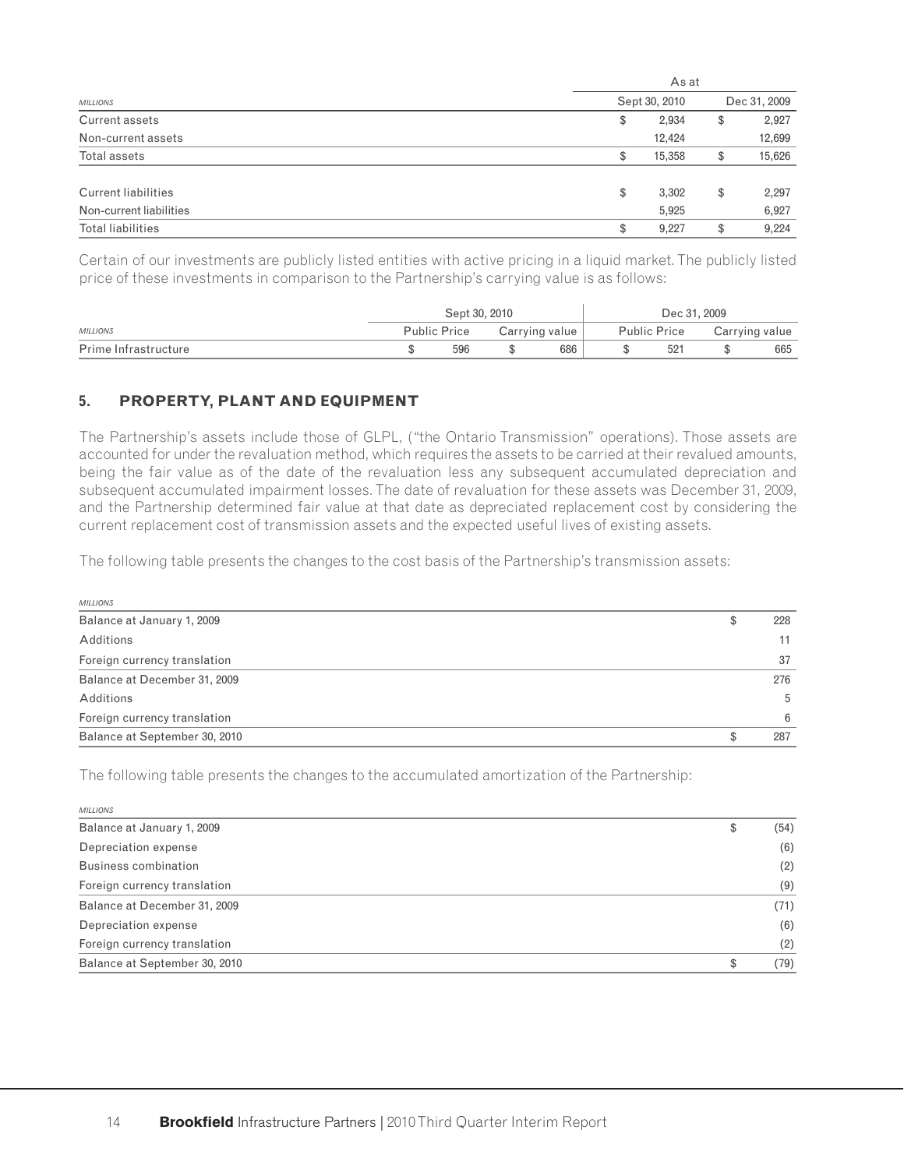|                            | As at         |    |              |  |  |  |  |  |
|----------------------------|---------------|----|--------------|--|--|--|--|--|
| <b>MILLIONS</b>            | Sept 30, 2010 |    | Dec 31, 2009 |  |  |  |  |  |
| Current assets             | \$<br>2,934   | \$ | 2,927        |  |  |  |  |  |
| Non-current assets         | 12,424        |    | 12,699       |  |  |  |  |  |
| Total assets               | \$<br>15,358  | \$ | 15,626       |  |  |  |  |  |
| <b>Current liabilities</b> | \$<br>3,302   | \$ | 2,297        |  |  |  |  |  |
| Non-current liabilities    | 5,925         |    | 6,927        |  |  |  |  |  |
| Total liabilities          | \$<br>9,227   | \$ | 9,224        |  |  |  |  |  |

Certain of our investments are publicly listed entities with active pricing in a liquid market. The publicly listed price of these investments in comparison to the Partnership's carrying value is as follows:

|                      | Sept 30, 2010       |                | Dec 31, 2009        |                |     |  |
|----------------------|---------------------|----------------|---------------------|----------------|-----|--|
| <b>MILLIONS</b>      | <b>Public Price</b> | Carrying value | <b>Public Price</b> | Carrying value |     |  |
| Prime Infrastructure | 596                 | 686            | 521                 |                | 665 |  |

# **5. PROPERTY, PLANT AND EQUIPMENT**

The Partnership's assets include those of GLPL, ("the Ontario Transmission" operations). Those assets are accounted for under the revaluation method, which requires the assets to be carried at their revalued amounts, being the fair value as of the date of the revaluation less any subsequent accumulated depreciation and subsequent accumulated impairment losses. The date of revaluation for these assets was December 31, 2009, and the Partnership determined fair value at that date as depreciated replacement cost by considering the current replacement cost of transmission assets and the expected useful lives of existing assets.

The following table presents the changes to the cost basis of the Partnership's transmission assets:

| <b>MILLIONS</b>               |    |     |
|-------------------------------|----|-----|
| Balance at January 1, 2009    | \$ | 228 |
| Additions                     |    |     |
| Foreign currency translation  |    | 37  |
| Balance at December 31, 2009  |    | 276 |
| Additions                     |    | 5   |
| Foreign currency translation  |    | 6   |
| Balance at September 30, 2010 | £. | 287 |

The following table presents the changes to the accumulated amortization of the Partnership:

| <b>MILLIONS</b>               |            |
|-------------------------------|------------|
| Balance at January 1, 2009    | \$<br>(54) |
| Depreciation expense          | (6)        |
| Business combination          | (2)        |
| Foreign currency translation  | (9)        |
| Balance at December 31, 2009  | (71)       |
| Depreciation expense          | (6)        |
| Foreign currency translation  | (2)        |
| Balance at September 30, 2010 | \$<br>(79) |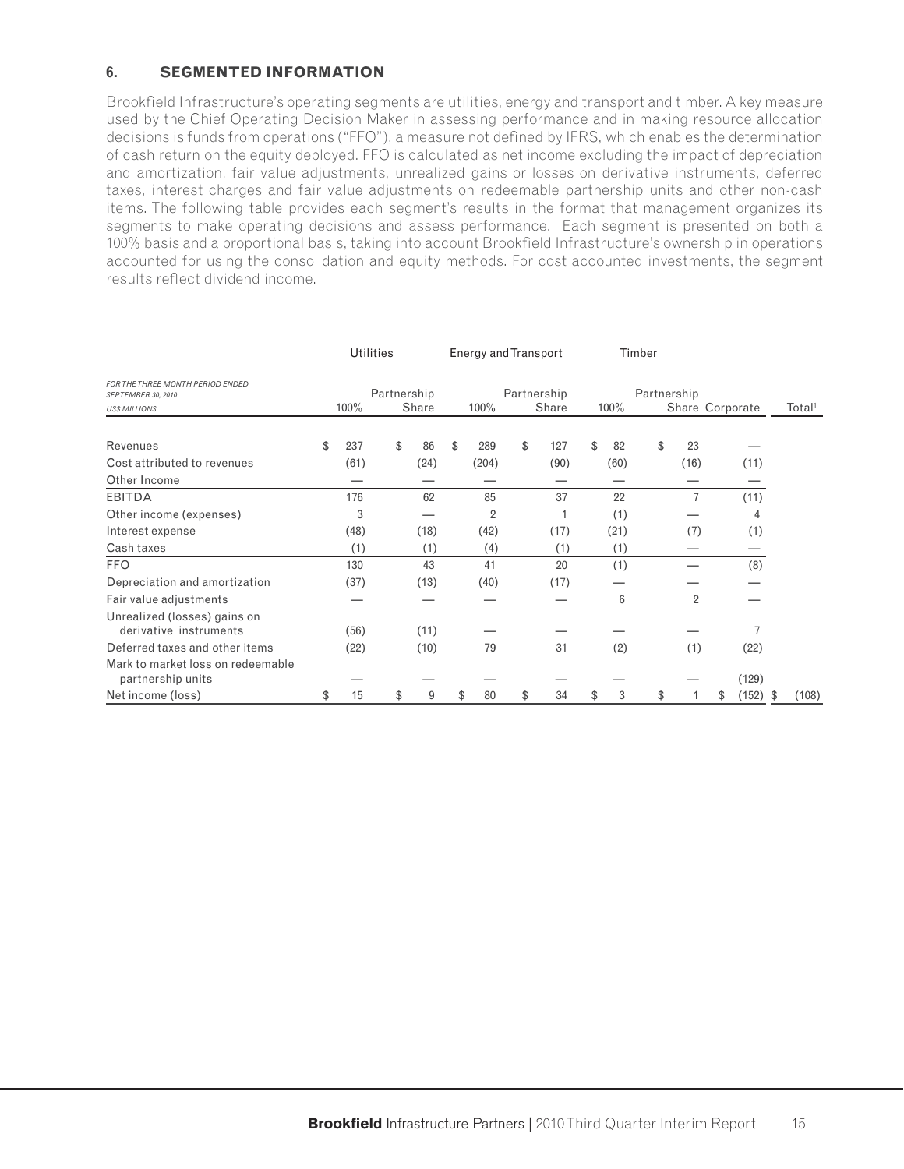# **6. SEGMENTED INFORMATION**

Brookfield Infrastructure's operating segments are utilities, energy and transport and timber. A key measure used by the Chief Operating Decision Maker in assessing performance and in making resource allocation decisions is funds from operations ("FFO"), a measure not defined by IFRS, which enables the determination of cash return on the equity deployed. FFO is calculated as net income excluding the impact of depreciation and amortization, fair value adjustments, unrealized gains or losses on derivative instruments, deferred taxes, interest charges and fair value adjustments on redeemable partnership units and other non-cash items. The following table provides each segment's results in the format that management organizes its segments to make operating decisions and assess performance. Each segment is presented on both a 100% basis and a proportional basis, taking into account Brookfield Infrastructure's ownership in operations accounted for using the consolidation and equity methods. For cost accounted investments, the segment results reflect dividend income.

|                                                                                |    |      | <b>Utilities</b>     |      |   | Energy and Transport |    |                      |    |      | Timber      |                |                 |            |                    |
|--------------------------------------------------------------------------------|----|------|----------------------|------|---|----------------------|----|----------------------|----|------|-------------|----------------|-----------------|------------|--------------------|
| FOR THE THREE MONTH PERIOD ENDED<br>SEPTEMBER 30, 2010<br><b>US\$ MILLIONS</b> |    | 100% | Partnership<br>Share |      |   | 100%                 |    | Partnership<br>Share |    | 100% | Partnership |                | Share Corporate |            | Total <sup>1</sup> |
| Revenues<br>Cost attributed to revenues                                        | \$ | 237  | \$                   | 86   |   | \$<br>289            | \$ | 127                  | \$ | 82   | \$          | 23             |                 |            |                    |
| Other Income                                                                   |    | (61) |                      | (24) |   | (204)                |    | (90)                 |    | (60) |             | (16)           |                 | (11)       |                    |
| <b>EBITDA</b>                                                                  |    | 176  |                      | 62   |   | 85                   |    | 37                   |    | 22   |             | 7              |                 | (11)       |                    |
| Other income (expenses)                                                        |    | 3    |                      |      |   | $\overline{2}$       |    |                      |    | (1)  |             |                |                 | 4          |                    |
| Interest expense                                                               |    | (48) |                      | (18) |   | (42)                 |    | (17)                 |    | (21) |             | (7)            |                 | (1)        |                    |
| Cash taxes                                                                     |    | (1)  |                      | (1)  |   | (4)                  |    | (1)                  |    | (1)  |             |                |                 |            |                    |
| <b>FFO</b>                                                                     |    | 130  |                      | 43   |   | 41                   |    | 20                   |    | (1)  |             |                |                 | (8)        |                    |
| Depreciation and amortization                                                  |    | (37) |                      | (13) |   | (40)                 |    | (17)                 |    |      |             |                |                 |            |                    |
| Fair value adjustments                                                         |    |      |                      |      |   |                      |    |                      |    | 6    |             | $\overline{2}$ |                 |            |                    |
| Unrealized (losses) gains on<br>derivative instruments                         |    | (56) |                      | (11) |   |                      |    |                      |    |      |             |                |                 |            |                    |
| Deferred taxes and other items                                                 |    | (22) |                      | (10) |   | 79                   |    | 31                   |    | (2)  |             | (1)            |                 | (22)       |                    |
| Mark to market loss on redeemable<br>partnership units                         |    |      |                      |      |   |                      |    |                      |    |      |             |                |                 | (129)      |                    |
| Net income (loss)                                                              | \$ | 15   | \$                   |      | 9 | \$<br>80             | \$ | 34                   | \$ | 3    | \$          |                | \$              | $(152)$ \$ | (108)              |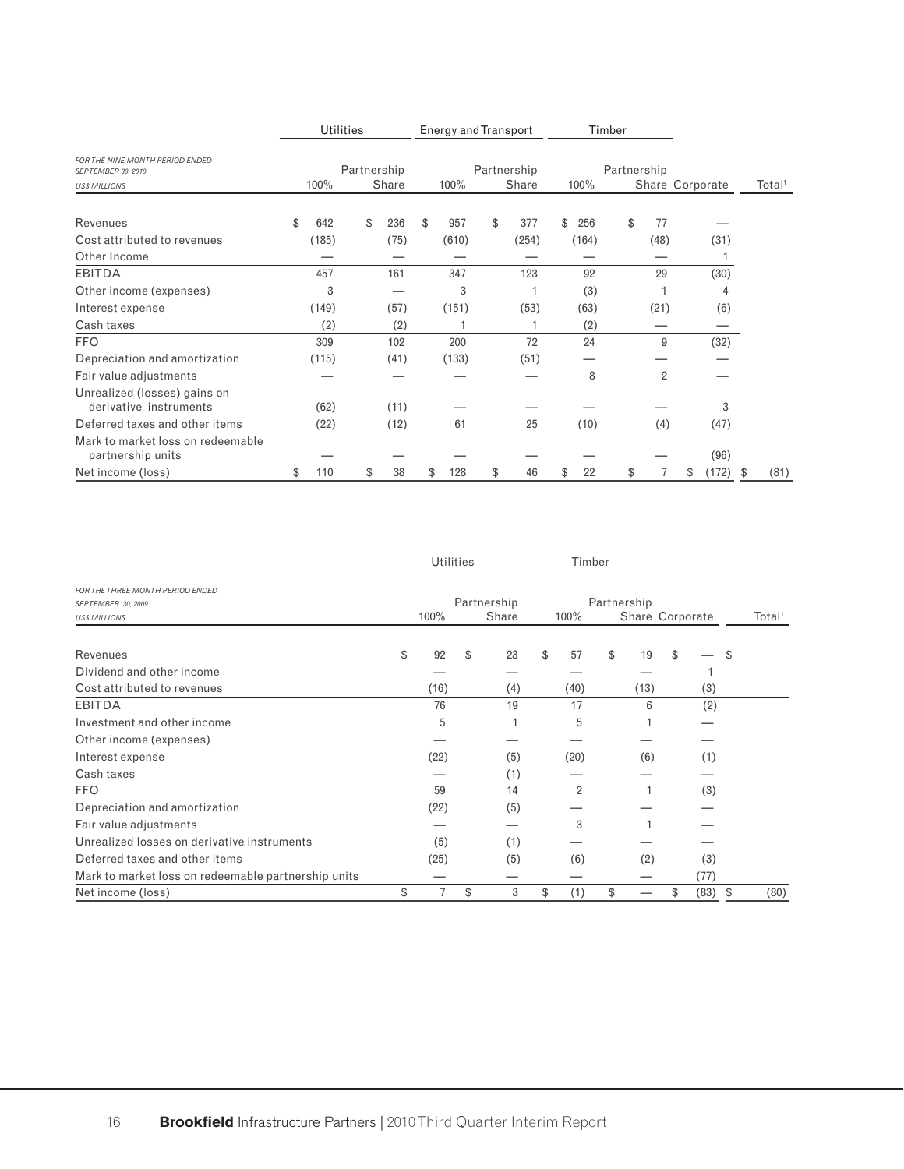|                                                                              | <b>Utilities</b> |                              |  |    |      |    | Energy and Transport         |    |  |       |                     |       | Timber |    |                |                 |       |    |                    |
|------------------------------------------------------------------------------|------------------|------------------------------|--|----|------|----|------------------------------|----|--|-------|---------------------|-------|--------|----|----------------|-----------------|-------|----|--------------------|
| FOR THE NINE MONTH PERIOD ENDED<br>SEPTEMBER 30, 2010<br><b>USS MILLIONS</b> |                  | Partnership<br>100%<br>Share |  |    |      |    | Partnership<br>100%<br>Share |    |  |       | Partnership<br>100% |       |        |    |                | Share Corporate |       |    | Total <sup>1</sup> |
|                                                                              |                  |                              |  |    |      |    |                              |    |  |       |                     |       |        |    |                |                 |       |    |                    |
| Revenues                                                                     | \$               | 642                          |  | \$ | 236  | \$ | 957                          | \$ |  | 377   | \$                  | 256   |        | \$ | 77             |                 |       |    |                    |
| Cost attributed to revenues                                                  |                  | (185)                        |  |    | (75) |    | (610)                        |    |  | (254) |                     | (164) |        |    | (48)           |                 | (31)  |    |                    |
| Other Income                                                                 |                  |                              |  |    |      |    |                              |    |  |       |                     |       |        |    |                |                 |       |    |                    |
| <b>EBITDA</b>                                                                |                  | 457                          |  |    | 161  |    | 347                          |    |  | 123   |                     | 92    |        |    | 29             |                 | (30)  |    |                    |
| Other income (expenses)                                                      |                  | 3                            |  |    |      |    | 3                            |    |  |       |                     | (3)   |        |    |                |                 | 4     |    |                    |
| Interest expense                                                             |                  | (149)                        |  |    | (57) |    | (151)                        |    |  | (53)  |                     | (63)  |        |    | (21)           |                 | (6)   |    |                    |
| Cash taxes                                                                   |                  | (2)                          |  |    | (2)  |    |                              |    |  |       |                     | (2)   |        |    |                |                 |       |    |                    |
| <b>FFO</b>                                                                   |                  | 309                          |  |    | 102  |    | 200                          |    |  | 72    |                     | 24    |        |    | 9              |                 | (32)  |    |                    |
| Depreciation and amortization                                                |                  | (115)                        |  |    | (41) |    | (133)                        |    |  | (51)  |                     |       |        |    |                |                 |       |    |                    |
| Fair value adjustments                                                       |                  |                              |  |    |      |    |                              |    |  |       |                     | 8     |        |    | $\overline{2}$ |                 |       |    |                    |
| Unrealized (losses) gains on<br>derivative instruments                       |                  | (62)                         |  |    | (11) |    |                              |    |  |       |                     |       |        |    |                |                 | 3     |    |                    |
| Deferred taxes and other items                                               |                  | (22)                         |  |    | (12) |    | 61                           |    |  | 25    |                     | (10)  |        |    | (4)            |                 | (47)  |    |                    |
| Mark to market loss on redeemable<br>partnership units                       |                  |                              |  |    |      |    |                              |    |  |       |                     |       |        |    |                |                 | (96)  |    |                    |
| Net income (loss)                                                            | \$               | 110                          |  | \$ | 38   | \$ | 128                          | \$ |  | 46    | \$                  | 22    |        | \$ |                | \$              | (172) | \$ | (81)               |

|                                                                                | <b>Utilities</b> |    |                      | Timber         |    |                                |            |                    |
|--------------------------------------------------------------------------------|------------------|----|----------------------|----------------|----|--------------------------------|------------|--------------------|
| FOR THE THREE MONTH PERIOD ENDED<br>SEPTEMBER 30, 2009<br><b>US\$ MILLIONS</b> | 100%             |    | Partnership<br>Share | 100%           |    | Partnership<br>Share Corporate |            | Total <sup>1</sup> |
|                                                                                |                  |    |                      |                |    |                                |            |                    |
| Revenues                                                                       | \$<br>92         | \$ | 23                   | \$<br>57       | \$ | 19                             | \$         | \$                 |
| Dividend and other income                                                      |                  |    |                      |                |    |                                |            |                    |
| Cost attributed to revenues                                                    | (16)             |    | (4)                  | (40)           |    | (13)                           | (3)        |                    |
| <b>EBITDA</b>                                                                  | 76               |    | 19                   | 17             |    | 6                              | (2)        |                    |
| Investment and other income                                                    | 5                |    |                      | 5              |    |                                |            |                    |
| Other income (expenses)                                                        |                  |    |                      |                |    |                                |            |                    |
| Interest expense                                                               | (22)             |    | (5)                  | (20)           |    | (6)                            | (1)        |                    |
| Cash taxes                                                                     |                  |    | (1)                  |                |    |                                |            |                    |
| <b>FFO</b>                                                                     | 59               |    | 14                   | $\overline{2}$ |    |                                | (3)        |                    |
| Depreciation and amortization                                                  | (22)             |    | (5)                  |                |    |                                |            |                    |
| Fair value adjustments                                                         |                  |    |                      | 3              |    |                                |            |                    |
| Unrealized losses on derivative instruments                                    | (5)              |    | (1)                  |                |    |                                |            |                    |
| Deferred taxes and other items                                                 | (25)             |    | (5)                  | (6)            |    | (2)                            | (3)        |                    |
| Mark to market loss on redeemable partnership units                            |                  |    |                      |                |    |                                | (77)       |                    |
| Net income (loss)                                                              | \$<br>7          | \$ | 3                    | \$<br>(1)      | \$ |                                | \$<br>(83) | \$<br>(80)         |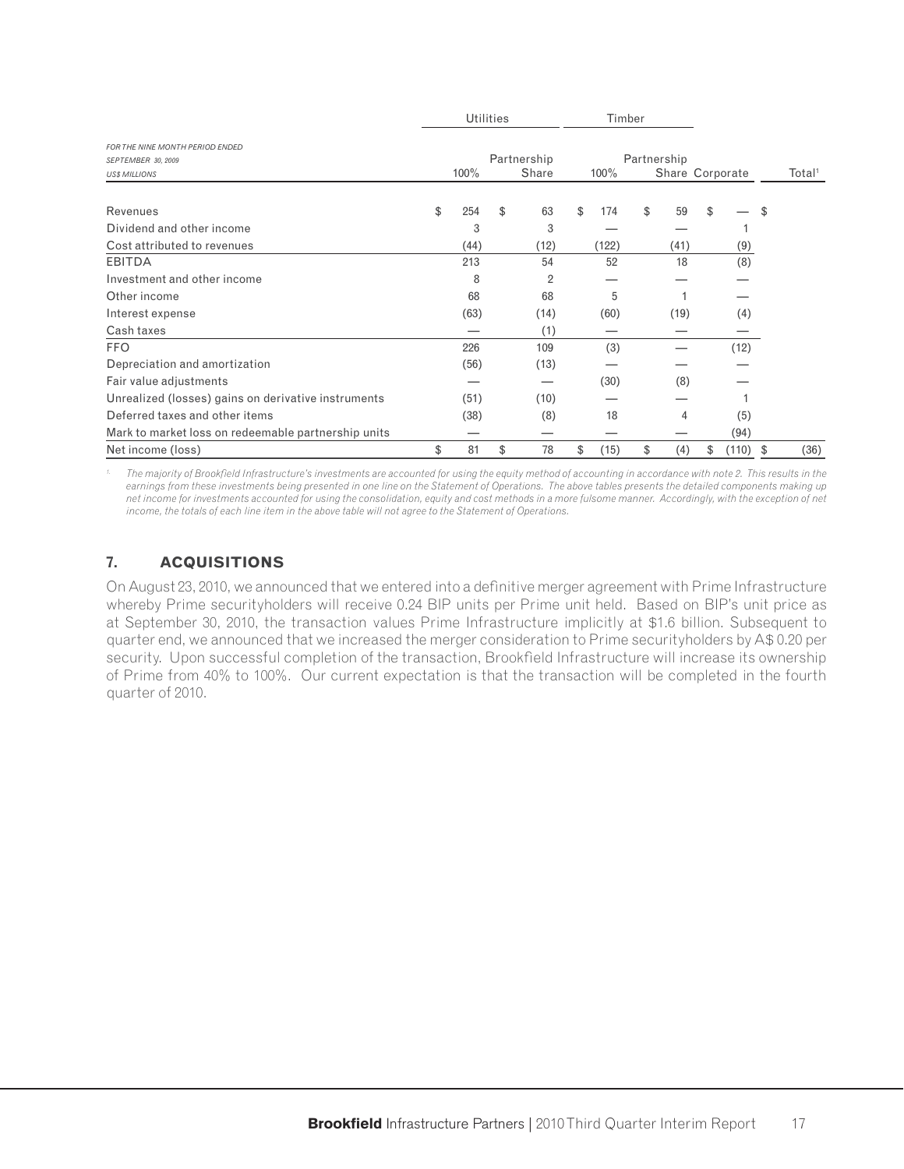|                                                                               |           | <b>Utilities</b> |                      | Timber |       |             |      |                 |       |                    |
|-------------------------------------------------------------------------------|-----------|------------------|----------------------|--------|-------|-------------|------|-----------------|-------|--------------------|
| FOR THE NINE MONTH PERIOD ENDED<br>SEPTEMBER 30, 2009<br><b>US\$ MILLIONS</b> | 100%      |                  | Partnership<br>Share | 100%   |       | Partnership |      | Share Corporate |       | Total <sup>1</sup> |
|                                                                               |           |                  |                      |        |       |             |      |                 |       |                    |
| Revenues                                                                      | \$<br>254 | \$               | 63                   | \$     | 174   | \$          | 59   | \$              |       | \$                 |
| Dividend and other income                                                     | 3         |                  | 3                    |        |       |             |      |                 |       |                    |
| Cost attributed to revenues                                                   | (44)      |                  | (12)                 |        | (122) |             | (41) |                 | (9)   |                    |
| <b>EBITDA</b>                                                                 | 213       |                  | 54                   |        | 52    |             | 18   |                 | (8)   |                    |
| Investment and other income                                                   | 8         |                  | $\overline{2}$       |        |       |             |      |                 |       |                    |
| Other income                                                                  | 68        |                  | 68                   |        | 5     |             |      |                 |       |                    |
| Interest expense                                                              | (63)      |                  | (14)                 |        | (60)  |             | (19) |                 | (4)   |                    |
| Cash taxes                                                                    |           |                  | (1)                  |        |       |             |      |                 |       |                    |
| <b>FFO</b>                                                                    | 226       |                  | 109                  |        | (3)   |             |      |                 | (12)  |                    |
| Depreciation and amortization                                                 | (56)      |                  | (13)                 |        |       |             |      |                 |       |                    |
| Fair value adjustments                                                        |           |                  |                      |        | (30)  |             | (8)  |                 |       |                    |
| Unrealized (losses) gains on derivative instruments                           | (51)      |                  | (10)                 |        |       |             |      |                 |       |                    |
| Deferred taxes and other items                                                | (38)      |                  | (8)                  |        | 18    |             | 4    |                 | (5)   |                    |
| Mark to market loss on redeemable partnership units                           |           |                  |                      |        |       |             |      |                 | (94)  |                    |
| Net income (loss)                                                             | \$<br>81  | \$               | 78                   | \$     | (15)  | \$          | (4)  | \$              | (110) | \$<br>(36)         |

The majority of Brookfield Infrastructure's investments are accounted for using the equity method of accounting in accordance with note 2. This results in the earnings from these investments being presented in one line on the Statement of Operations. The above tables presents the detailed components making up *net income for investments accounted for using the consolidation, equity and cost methods in a more fulsome manner. Accordingly, with the exception of net income, the totals of each line item in the above table will not agree to the Statement of Operations.* 

# **7. ACQUISITIONS**

On August 23, 2010, we announced that we entered into a definitive merger agreement with Prime Infrastructure whereby Prime securityholders will receive 0.24 BIP units per Prime unit held. Based on BIP's unit price as at September 30, 2010, the transaction values Prime Infrastructure implicitly at \$1.6 billion. Subsequent to quarter end, we announced that we increased the merger consideration to Prime securityholders by A\$ 0.20 per security. Upon successful completion of the transaction, Brookfield Infrastructure will increase its ownership of Prime from 40% to 100%. Our current expectation is that the transaction will be completed in the fourth quarter of 2010.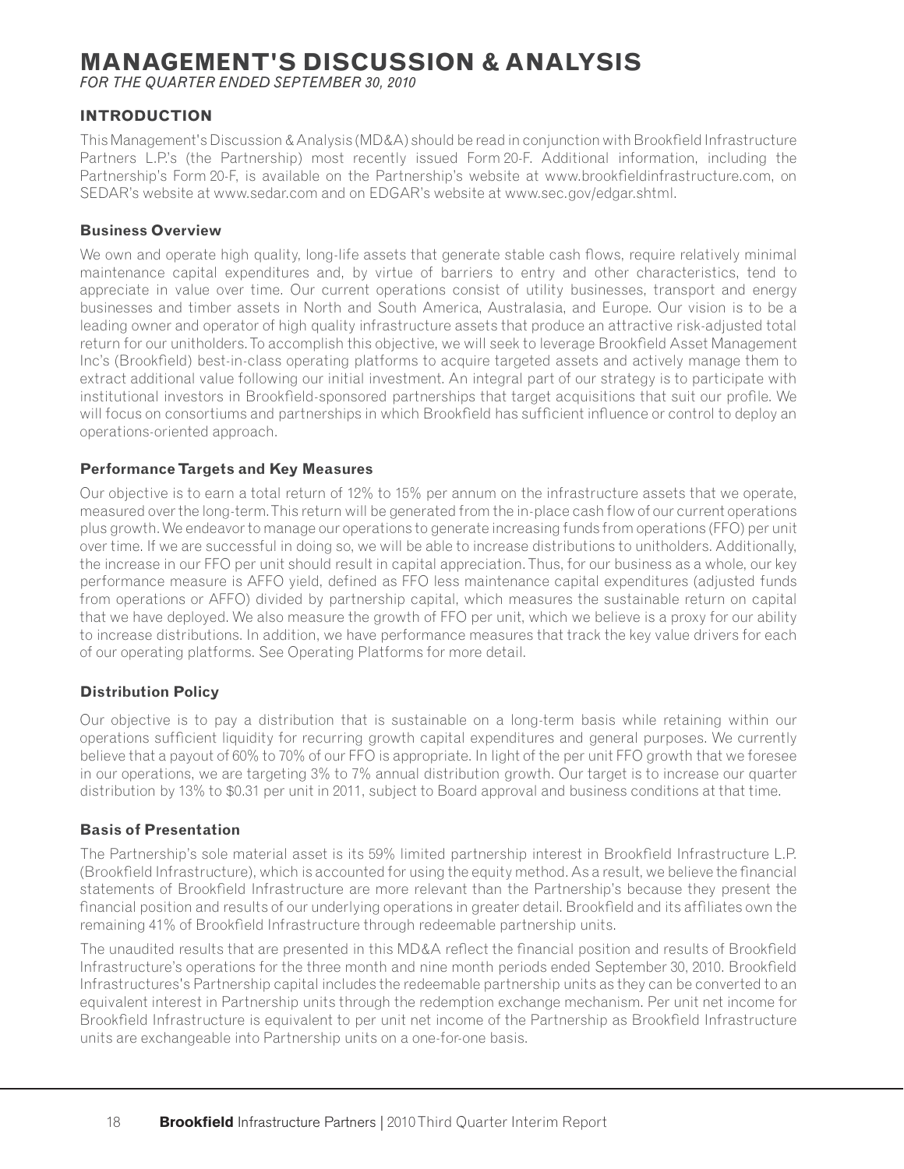# **MANAGEMENT'S DISCUSSION & ANALYSIS**

*FOR THE QUARTER ENDED SEPTEMBER 30, 2010*

## **INTRODUCTION**

This Management's Discussion & Analysis (MD&A) should be read in conjunction with Brookfield Infrastructure Partners L.P.'s (the Partnership) most recently issued Form 20-F. Additional information, including the Partnership's Form 20-F, is available on the Partnership's website at www.brookfieldinfrastructure.com, on SEDAR's website at www.sedar.com and on EDGAR's website at www.sec.gov/edgar.shtml.

#### **Business Overview**

We own and operate high quality, long-life assets that generate stable cash flows, require relatively minimal maintenance capital expenditures and, by virtue of barriers to entry and other characteristics, tend to appreciate in value over time. Our current operations consist of utility businesses, transport and energy businesses and timber assets in North and South America, Australasia, and Europe. Our vision is to be a leading owner and operator of high quality infrastructure assets that produce an attractive risk-adjusted total return for our unitholders. To accomplish this objective, we will seek to leverage Brookfield Asset Management Inc's (Brookfield) best-in-class operating platforms to acquire targeted assets and actively manage them to extract additional value following our initial investment. An integral part of our strategy is to participate with institutional investors in Brookfield-sponsored partnerships that target acquisitions that suit our profile. We will focus on consortiums and partnerships in which Brookfield has sufficient influence or control to deploy an operations-oriented approach.

#### **Performance Targets and Key Measures**

Our objective is to earn a total return of 12% to 15% per annum on the infrastructure assets that we operate, measured over the long-term. This return will be generated from the in-place cash flow of our current operations plus growth. We endeavor to manage our operations to generate increasing funds from operations (FFO) per unit over time. If we are successful in doing so, we will be able to increase distributions to unitholders. Additionally, the increase in our FFO per unit should result in capital appreciation. Thus, for our business as a whole, our key performance measure is AFFO yield, defined as FFO less maintenance capital expenditures (adjusted funds from operations or AFFO) divided by partnership capital, which measures the sustainable return on capital that we have deployed. We also measure the growth of FFO per unit, which we believe is a proxy for our ability to increase distributions. In addition, we have performance measures that track the key value drivers for each of our operating platforms. See Operating Platforms for more detail.

### **Distribution Policy**

Our objective is to pay a distribution that is sustainable on a long-term basis while retaining within our operations sufficient liquidity for recurring growth capital expenditures and general purposes. We currently believe that a payout of 60% to 70% of our FFO is appropriate. In light of the per unit FFO growth that we foresee in our operations, we are targeting 3% to 7% annual distribution growth. Our target is to increase our quarter distribution by 13% to \$0.31 per unit in 2011, subject to Board approval and business conditions at that time.

### **Basis of Presentation**

The Partnership's sole material asset is its 59% limited partnership interest in Brookfield Infrastructure L.P. (Brookfield Infrastructure), which is accounted for using the equity method. As a result, we believe the financial statements of Brookfield Infrastructure are more relevant than the Partnership's because they present the financial position and results of our underlying operations in greater detail. Brookfield and its affiliates own the remaining 41% of Brookfield Infrastructure through redeemable partnership units.

The unaudited results that are presented in this MD&A reflect the financial position and results of Brookfield Infrastructure's operations for the three month and nine month periods ended September 30, 2010. Brookfield Infrastructures's Partnership capital includes the redeemable partnership units as they can be converted to an equivalent interest in Partnership units through the redemption exchange mechanism. Per unit net income for Brookfield Infrastructure is equivalent to per unit net income of the Partnership as Brookfield Infrastructure units are exchangeable into Partnership units on a one-for-one basis.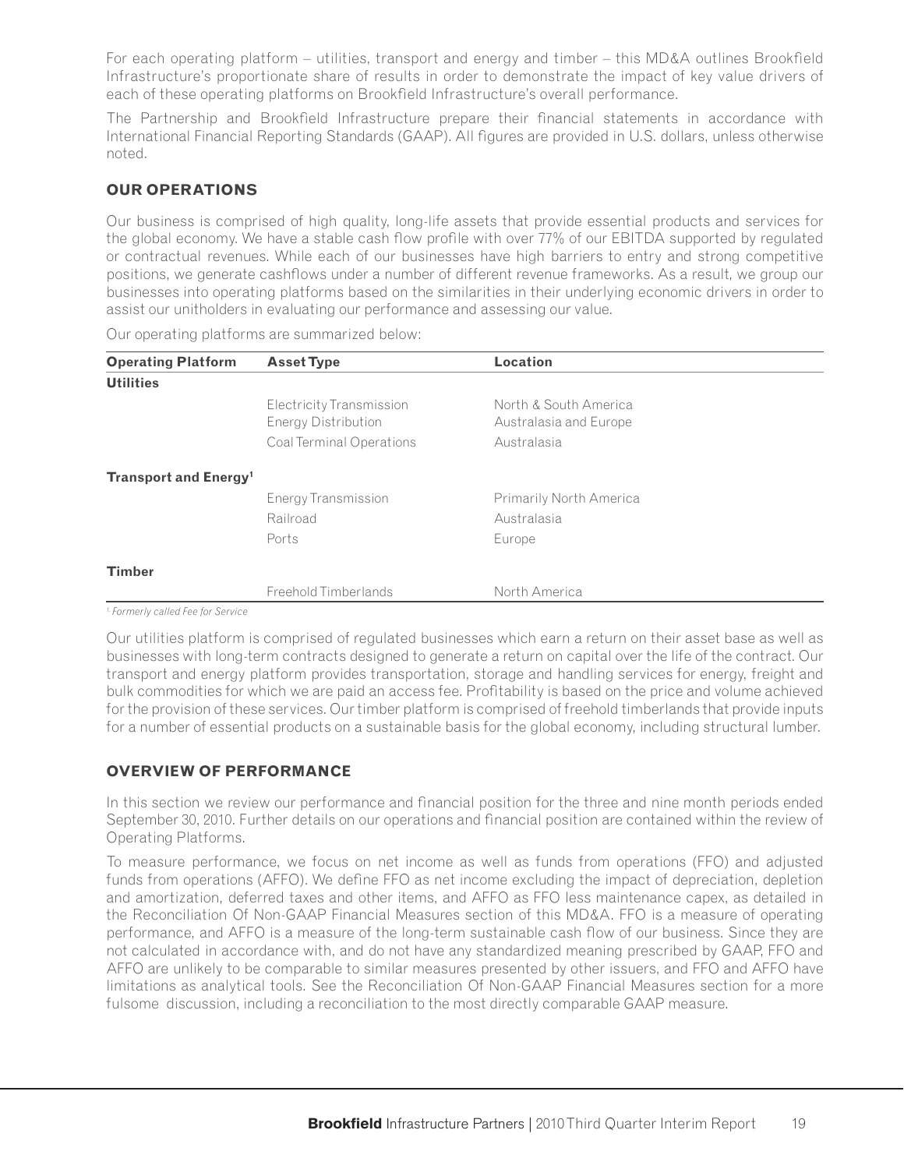For each operating platform – utilities, transport and energy and timber – this MD&A outlines Brookfield Infrastructure's proportionate share of results in order to demonstrate the impact of key value drivers of each of these operating platforms on Brookfield Infrastructure's overall performance.

The Partnership and Brookfield Infrastructure prepare their financial statements in accordance with International Financial Reporting Standards (GAAP). All figures are provided in U.S. dollars, unless otherwise noted.

# **OUR OPERATIONS**

Our business is comprised of high quality, long-life assets that provide essential products and services for the global economy. We have a stable cash flow profile with over 77% of our EBITDA supported by regulated or contractual revenues. While each of our businesses have high barriers to entry and strong competitive positions, we generate cashflows under a number of different revenue frameworks. As a result, we group our businesses into operating platforms based on the similarities in their underlying economic drivers in order to assist our unitholders in evaluating our performance and assessing our value.

| <b>Operating Platform</b>               | <b>Asset Type</b>          | Location                       |  |
|-----------------------------------------|----------------------------|--------------------------------|--|
| <b>Utilities</b>                        |                            |                                |  |
|                                         | Electricity Transmission   | North & South America          |  |
|                                         | <b>Energy Distribution</b> | Australasia and Europe         |  |
|                                         | Coal Terminal Operations   | Australasia                    |  |
| <b>Transport and Energy<sup>1</sup></b> |                            |                                |  |
|                                         | <b>Energy Transmission</b> | <b>Primarily North America</b> |  |
|                                         | Railroad                   | Australasia                    |  |
|                                         | Ports                      | Europe                         |  |
| <b>Timber</b>                           |                            |                                |  |
|                                         | Freehold Timberlands       | North America                  |  |
| 1. Earmarly anllad Ean for Carvina      |                            |                                |  |

Our operating platforms are summarized below:

*1. Formerly called Fee for Service*

Our utilities platform is comprised of regulated businesses which earn a return on their asset base as well as businesses with long-term contracts designed to generate a return on capital over the life of the contract. Our transport and energy platform provides transportation, storage and handling services for energy, freight and bulk commodities for which we are paid an access fee. Profi tability is based on the price and volume achieved for the provision of these services. Our timber platform is comprised of freehold timberlands that provide inputs for a number of essential products on a sustainable basis for the global economy, including structural lumber.

### **OVERVIEW OF PERFORMANCE**

In this section we review our performance and financial position for the three and nine month periods ended September 30, 2010. Further details on our operations and financial position are contained within the review of Operating Platforms.

To measure performance, we focus on net income as well as funds from operations (FFO) and adjusted funds from operations (AFFO). We define FFO as net income excluding the impact of depreciation, depletion and amortization, deferred taxes and other items, and AFFO as FFO less maintenance capex, as detailed in the Reconciliation Of Non-GAAP Financial Measures section of this MD&A. FFO is a measure of operating performance, and AFFO is a measure of the long-term sustainable cash flow of our business. Since they are not calculated in accordance with, and do not have any standardized meaning prescribed by GAAP, FFO and AFFO are unlikely to be comparable to similar measures presented by other issuers, and FFO and AFFO have limitations as analytical tools. See the Reconciliation Of Non-GAAP Financial Measures section for a more fulsome discussion, including a reconciliation to the most directly comparable GAAP measure.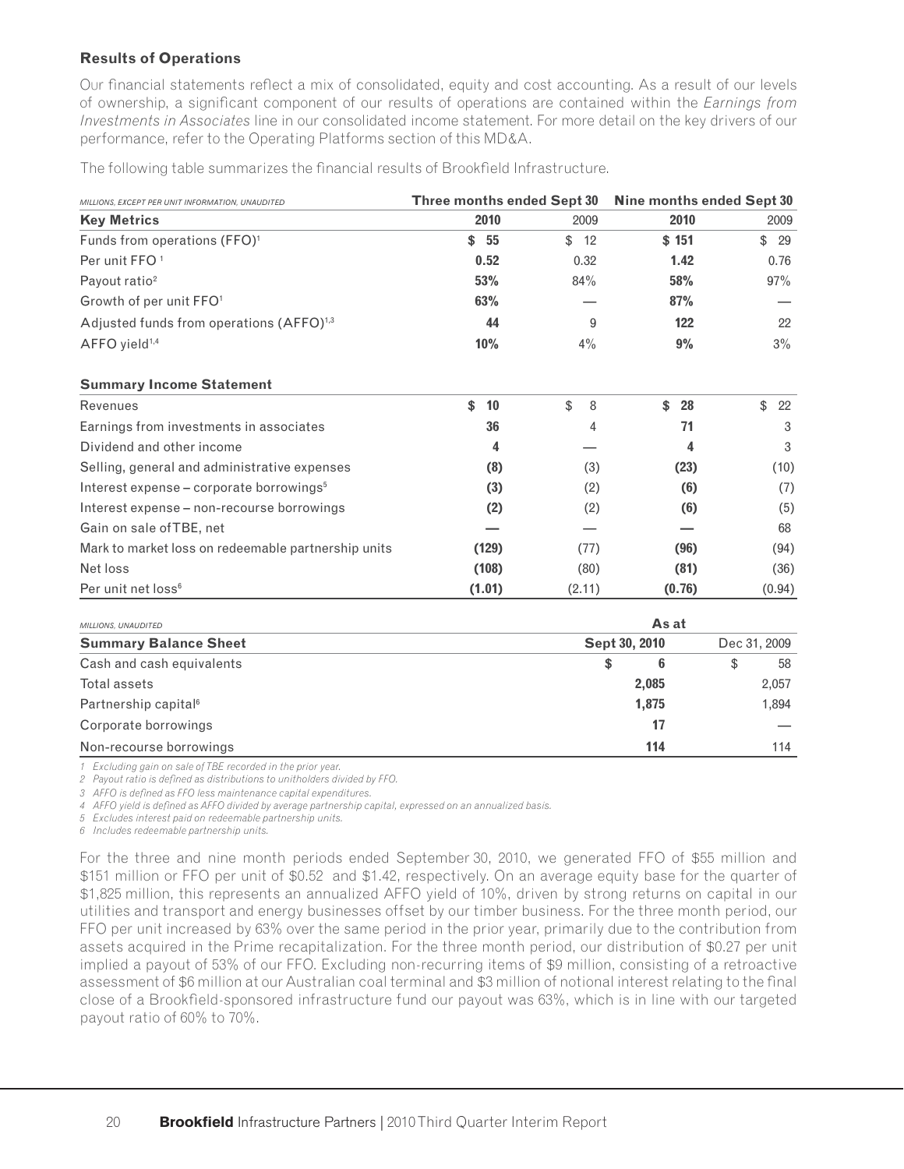### **Results of Operations**

Our financial statements reflect a mix of consolidated, equity and cost accounting. As a result of our levels of ownership, a significant component of our results of operations are contained within the *Earnings from Investments in Associates* line in our consolidated income statement. For more detail on the key drivers of our performance, refer to the Operating Platforms section of this MD&A.

The following table summarizes the financial results of Brookfield Infrastructure.

| MILLIONS, EXCEPT PER UNIT INFORMATION, UNAUDITED     | Three months ended Sept 30 |          | Nine months ended Sept 30 |              |  |  |  |
|------------------------------------------------------|----------------------------|----------|---------------------------|--------------|--|--|--|
| <b>Key Metrics</b>                                   | 2010                       | 2009     | 2010                      | 2009         |  |  |  |
| Funds from operations (FFO) <sup>1</sup>             | 55<br>\$                   | \$<br>12 | \$151                     | \$<br>29     |  |  |  |
| Per unit FFO <sup>1</sup>                            | 0.52                       | 0.32     | 1.42                      | 0.76         |  |  |  |
| Payout ratio <sup>2</sup>                            | 53%                        | 84%      | 58%                       | 97%          |  |  |  |
| Growth of per unit FFO <sup>1</sup>                  | 63%                        |          | 87%                       |              |  |  |  |
| Adjusted funds from operations (AFFO) <sup>1,3</sup> | 44                         | 9        | 122                       | 22           |  |  |  |
| AFFO yield <sup>1,4</sup>                            | 10%                        | 4%       | 9%                        | $3\%$        |  |  |  |
| <b>Summary Income Statement</b>                      |                            |          |                           |              |  |  |  |
| Revenues                                             | 10<br>\$                   | \$<br>8  | \$<br>28                  | \$<br>22     |  |  |  |
| Earnings from investments in associates              | 36                         | 4        | 71                        | 3            |  |  |  |
| Dividend and other income                            | 4                          |          | 4                         | 3            |  |  |  |
| Selling, general and administrative expenses         | (8)                        | (3)      | (23)                      | (10)         |  |  |  |
| Interest expense – corporate borrowings <sup>5</sup> | (3)                        | (2)      | (6)                       | (7)          |  |  |  |
| Interest expense - non-recourse borrowings           | (2)                        | (2)      | (6)                       | (5)          |  |  |  |
| Gain on sale of TBE, net                             |                            |          |                           | 68           |  |  |  |
| Mark to market loss on redeemable partnership units  | (129)                      | (77)     | (96)                      | (94)         |  |  |  |
| Net loss                                             | (108)                      | (80)     | (81)                      | (36)         |  |  |  |
| Per unit net loss <sup>6</sup>                       | (1.01)                     | (2.11)   | (0.76)                    | (0.94)       |  |  |  |
| MILLIONS, UNAUDITED                                  |                            |          | As at                     |              |  |  |  |
| <b>Summary Balance Sheet</b>                         |                            |          | Sept 30, 2010             | Dec 31, 2009 |  |  |  |
| Cash and cash equivalents                            |                            |          | 6<br>\$                   | \$<br>58     |  |  |  |

| Cash and cash equivalents        |       | 58    |
|----------------------------------|-------|-------|
| Total assets                     | 2.085 | 2,057 |
| Partnership capital <sup>6</sup> | 1.875 | 1.894 |
| Corporate borrowings             | 17    |       |
| Non-recourse borrowings          | 114   | 114   |

*1 Excluding gain on sale of TBE recorded in the prior year.*

2 Payout ratio is defined as distributions to unitholders divided by FFO.

*3 AFFO is defi ned as FFO less maintenance capital expenditures.*

*4 AFFO yield is defi ned as AFFO divided by average partnership capital, expressed on an annualized basis.*

*5 Excludes interest paid on redeemable partnership units.*

*6 Includes redeemable partnership units.*

For the three and nine month periods ended September 30, 2010, we generated FFO of \$55 million and \$151 million or FFO per unit of \$0.52 and \$1.42, respectively. On an average equity base for the quarter of \$1,825 million, this represents an annualized AFFO yield of 10%, driven by strong returns on capital in our utilities and transport and energy businesses offset by our timber business. For the three month period, our FFO per unit increased by 63% over the same period in the prior year, primarily due to the contribution from assets acquired in the Prime recapitalization. For the three month period, our distribution of \$0.27 per unit implied a payout of 53% of our FFO. Excluding non-recurring items of \$9 million, consisting of a retroactive assessment of \$6 million at our Australian coal terminal and \$3 million of notional interest relating to the final close of a Brookfield-sponsored infrastructure fund our payout was 63%, which is in line with our targeted payout ratio of 60% to 70%.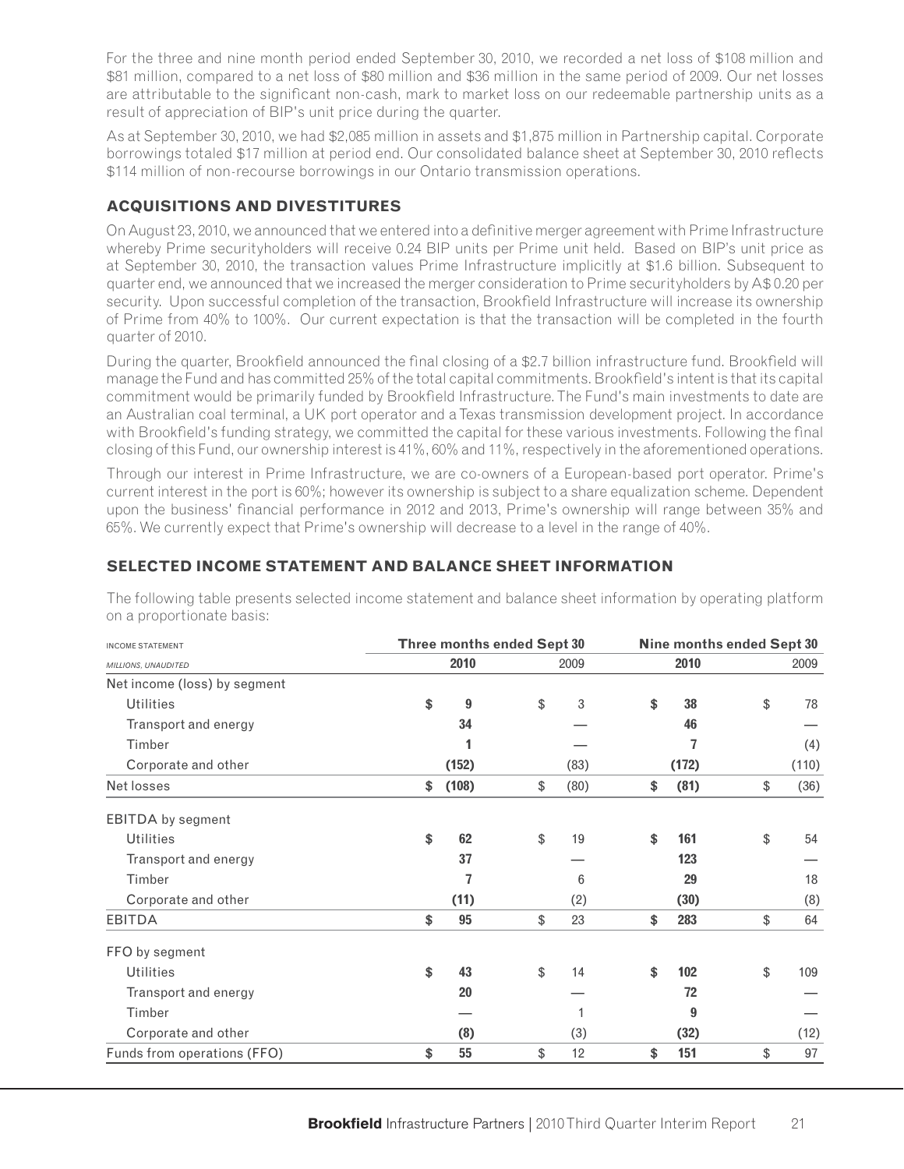For the three and nine month period ended September 30, 2010, we recorded a net loss of \$108 million and \$81 million, compared to a net loss of \$80 million and \$36 million in the same period of 2009. Our net losses are attributable to the significant non-cash, mark to market loss on our redeemable partnership units as a result of appreciation of BIP's unit price during the quarter.

As at September 30, 2010, we had \$2,085 million in assets and \$1,875 million in Partnership capital. Corporate borrowings totaled \$17 million at period end. Our consolidated balance sheet at September 30, 2010 reflects \$114 million of non-recourse borrowings in our Ontario transmission operations.

# **ACQUISITIONS AND DIVESTITURES**

On August 23, 2010, we announced that we entered into a definitive merger agreement with Prime Infrastructure whereby Prime securityholders will receive 0.24 BIP units per Prime unit held. Based on BIP's unit price as at September 30, 2010, the transaction values Prime Infrastructure implicitly at \$1.6 billion. Subsequent to quarter end, we announced that we increased the merger consideration to Prime securityholders by A\$ 0.20 per security. Upon successful completion of the transaction, Brookfield Infrastructure will increase its ownership of Prime from 40% to 100%. Our current expectation is that the transaction will be completed in the fourth quarter of 2010.

During the quarter, Brookfield announced the final closing of a \$2.7 billion infrastructure fund. Brookfield will manage the Fund and has committed 25% of the total capital commitments. Brookfield's intent is that its capital commitment would be primarily funded by Brookfield Infrastructure. The Fund's main investments to date are an Australian coal terminal, a UK port operator and a Texas transmission development project. In accordance with Brookfield's funding strategy, we committed the capital for these various investments. Following the final closing of this Fund, our ownership interest is 41%, 60% and 11%, respectively in the aforementioned operations.

Through our interest in Prime Infrastructure, we are co-owners of a European-based port operator. Prime's current interest in the port is 60%; however its ownership is subject to a share equalization scheme. Dependent upon the business' financial performance in 2012 and 2013, Prime's ownership will range between 35% and 65%. We currently expect that Prime's ownership will decrease to a level in the range of 40%.

# **SELECTED INCOME STATEMENT AND BALANCE SHEET INFORMATION**

| <b>INCOME STATEMENT</b>      | Three months ended Sept 30 |       |  | Nine months ended Sept 30 |    |       |    |       |  |
|------------------------------|----------------------------|-------|--|---------------------------|----|-------|----|-------|--|
| MILLIONS, UNAUDITED          |                            | 2010  |  | 2009                      |    | 2010  |    | 2009  |  |
| Net income (loss) by segment |                            |       |  |                           |    |       |    |       |  |
| <b>Utilities</b>             | \$                         | 9     |  | \$<br>3                   | \$ | 38    | \$ | 78    |  |
| Transport and energy         |                            | 34    |  |                           |    | 46    |    |       |  |
| Timber                       |                            |       |  |                           |    |       |    | (4)   |  |
| Corporate and other          |                            | (152) |  | (83)                      |    | (172) |    | (110) |  |
| Net losses                   | \$                         | (108) |  | \$<br>(80)                | \$ | (81)  | \$ | (36)  |  |
| <b>EBITDA</b> by segment     |                            |       |  |                           |    |       |    |       |  |
| <b>Utilities</b>             | \$                         | 62    |  | \$<br>19                  | \$ | 161   | \$ | 54    |  |
| Transport and energy         |                            | 37    |  |                           |    | 123   |    |       |  |
| Timber                       |                            | 7     |  | 6                         |    | 29    |    | 18    |  |
| Corporate and other          |                            | (11)  |  | (2)                       |    | (30)  |    | (8)   |  |
| <b>EBITDA</b>                | \$                         | 95    |  | \$<br>23                  | \$ | 283   | \$ | 64    |  |
| FFO by segment               |                            |       |  |                           |    |       |    |       |  |
| <b>Utilities</b>             | \$                         | 43    |  | \$<br>14                  | \$ | 102   | \$ | 109   |  |
| Transport and energy         |                            | 20    |  |                           |    | 72    |    |       |  |
| Timber                       |                            |       |  | 1                         |    | 9     |    |       |  |
| Corporate and other          |                            | (8)   |  | (3)                       |    | (32)  |    | (12)  |  |
| Funds from operations (FFO)  | \$                         | 55    |  | \$<br>12                  | \$ | 151   | \$ | 97    |  |

The following table presents selected income statement and balance sheet information by operating platform on a proportionate basis: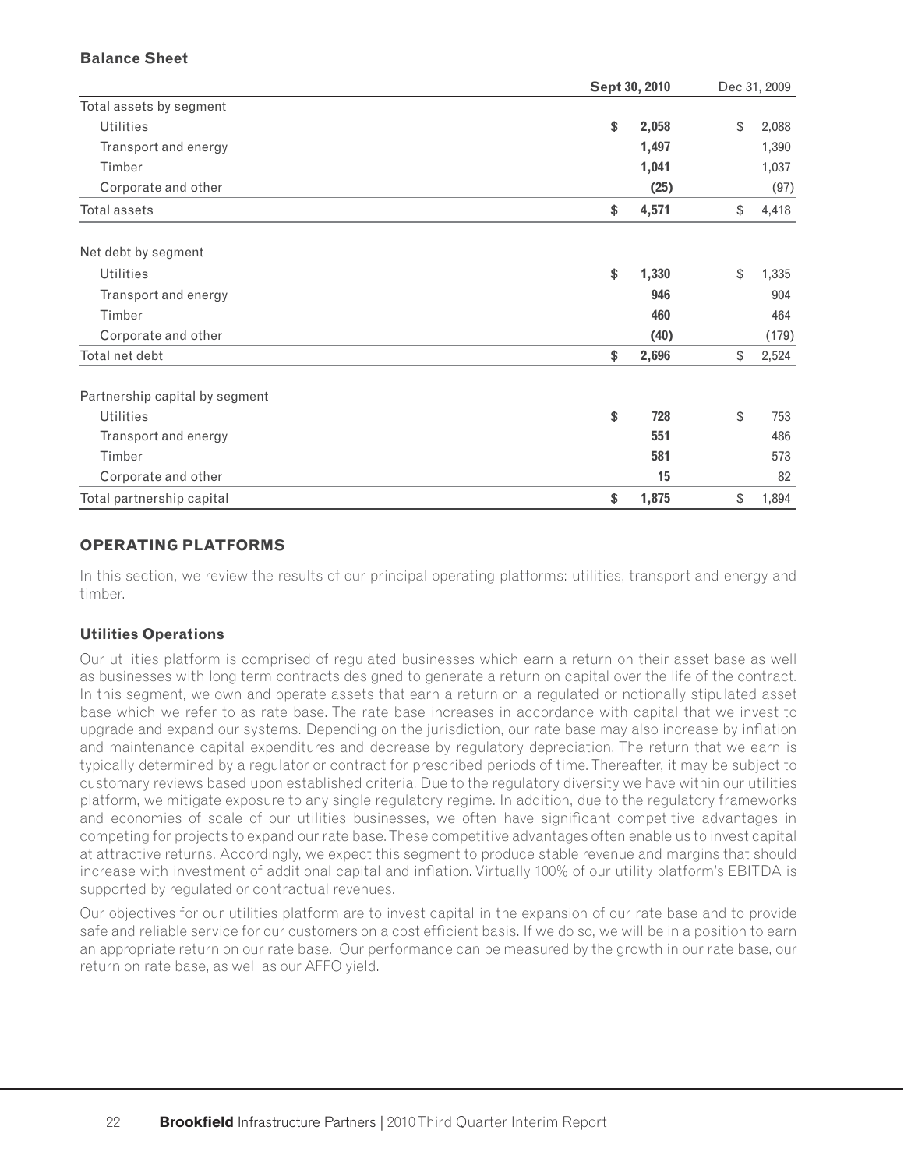## **Balance Sheet**

|                                | Sept 30, 2010 |       | Dec 31, 2009 |       |  |
|--------------------------------|---------------|-------|--------------|-------|--|
| Total assets by segment        |               |       |              |       |  |
| <b>Utilities</b>               | \$            | 2,058 | \$           | 2,088 |  |
| Transport and energy           |               | 1,497 |              | 1,390 |  |
| Timber                         |               | 1,041 |              | 1,037 |  |
| Corporate and other            |               | (25)  |              | (97)  |  |
| <b>Total assets</b>            | \$            | 4,571 | \$           | 4,418 |  |
| Net debt by segment            |               |       |              |       |  |
| <b>Utilities</b>               | \$            | 1,330 | \$           | 1,335 |  |
| Transport and energy           |               | 946   |              | 904   |  |
| Timber                         |               | 460   |              | 464   |  |
| Corporate and other            |               | (40)  |              | (179) |  |
| Total net debt                 | \$            | 2,696 | \$           | 2,524 |  |
| Partnership capital by segment |               |       |              |       |  |
| <b>Utilities</b>               | \$            | 728   | \$           | 753   |  |
| Transport and energy           |               | 551   |              | 486   |  |
| Timber                         |               | 581   |              | 573   |  |
| Corporate and other            |               | 15    |              | 82    |  |
| Total partnership capital      | \$            | 1,875 | \$           | 1,894 |  |

# **OPERATING PLATFORMS**

In this section, we review the results of our principal operating platforms: utilities, transport and energy and timber.

### **Utilities Operations**

Our utilities platform is comprised of regulated businesses which earn a return on their asset base as well as businesses with long term contracts designed to generate a return on capital over the life of the contract. In this segment, we own and operate assets that earn a return on a regulated or notionally stipulated asset base which we refer to as rate base. The rate base increases in accordance with capital that we invest to upgrade and expand our systems. Depending on the jurisdiction, our rate base may also increase by inflation and maintenance capital expenditures and decrease by regulatory depreciation. The return that we earn is typically determined by a regulator or contract for prescribed periods of time. Thereafter, it may be subject to customary reviews based upon established criteria. Due to the regulatory diversity we have within our utilities platform, we mitigate exposure to any single regulatory regime. In addition, due to the regulatory frameworks and economies of scale of our utilities businesses, we often have significant competitive advantages in competing for projects to expand our rate base. These competitive advantages often enable us to invest capital at attractive returns. Accordingly, we expect this segment to produce stable revenue and margins that should increase with investment of additional capital and inflation. Virtually 100% of our utility platform's EBITDA is supported by regulated or contractual revenues.

Our objectives for our utilities platform are to invest capital in the expansion of our rate base and to provide safe and reliable service for our customers on a cost efficient basis. If we do so, we will be in a position to earn an appropriate return on our rate base. Our performance can be measured by the growth in our rate base, our return on rate base, as well as our AFFO yield.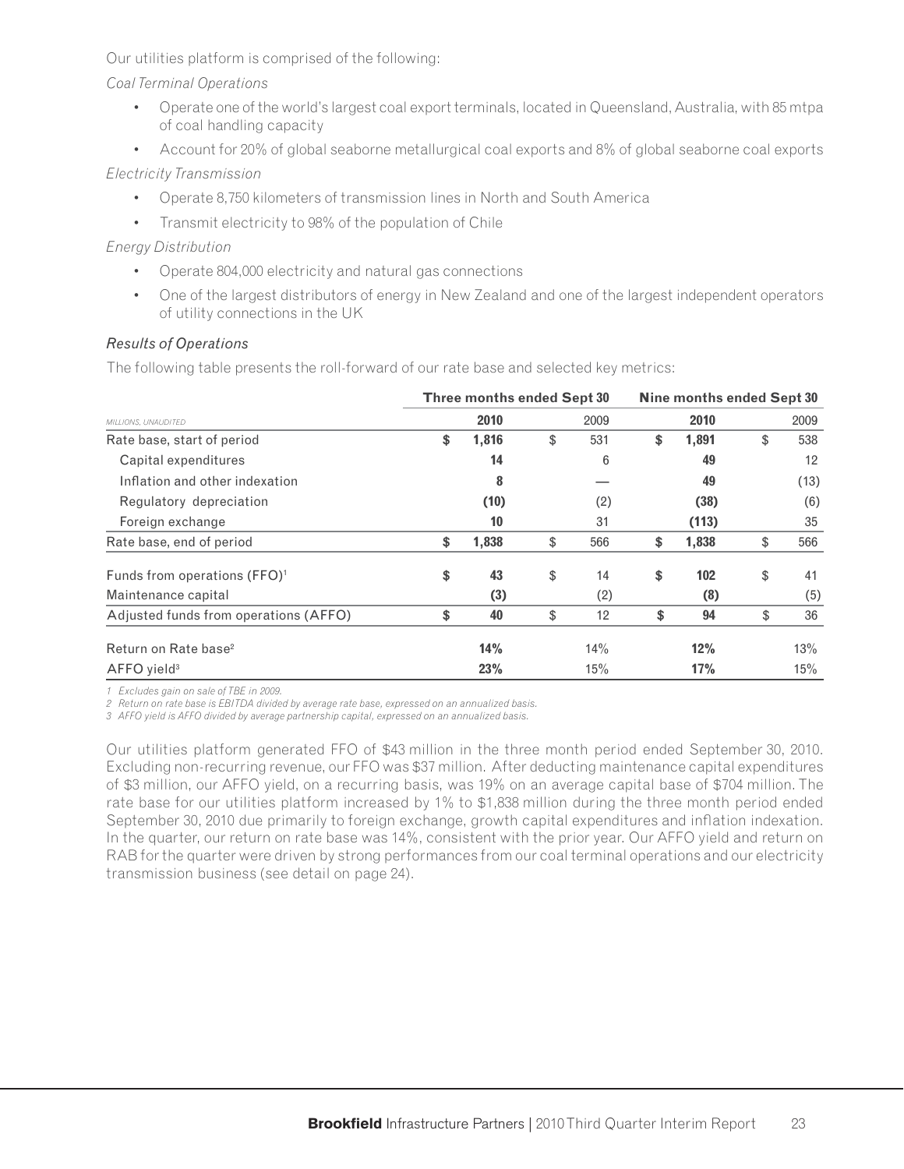Our utilities platform is comprised of the following:

*Coal Terminal Operations*

- Operate one of the world's largest coal export terminals, located in Queensland, Australia, with 85 mtpa of coal handling capacity
- Account for 20% of global seaborne metallurgical coal exports and 8% of global seaborne coal exports

# *Electricity Transmission*

- Operate 8,750 kilometers of transmission lines in North and South America
- Transmit electricity to 98% of the population of Chile

# *Energy Distribution*

- Operate 804,000 electricity and natural gas connections
- One of the largest distributors of energy in New Zealand and one of the largest independent operators of utility connections in the UK

# *Results of Operations*

The following table presents the roll-forward of our rate base and selected key metrics:

|                                          | Three months ended Sept 30 |    | Nine months ended Sept 30 |    |       |    |      |
|------------------------------------------|----------------------------|----|---------------------------|----|-------|----|------|
| MILLIONS, UNAUDITED                      | 2010                       |    | 2009                      |    | 2010  |    | 2009 |
| Rate base, start of period               | \$<br>1,816                | \$ | 531                       | \$ | 1,891 | \$ | 538  |
| Capital expenditures                     | 14                         |    | 6                         |    | 49    |    | 12   |
| Inflation and other indexation           | 8                          |    |                           |    | 49    |    | (13) |
| Regulatory depreciation                  | (10)                       |    | (2)                       |    | (38)  |    | (6)  |
| Foreign exchange                         | 10                         |    | 31                        |    | (113) |    | 35   |
| Rate base, end of period                 | \$<br>1,838                | \$ | 566                       | \$ | 1,838 | \$ | 566  |
| Funds from operations (FFO) <sup>1</sup> | \$<br>43                   | \$ | 14                        | \$ | 102   | \$ | 41   |
| Maintenance capital                      | (3)                        |    | (2)                       |    | (8)   |    | (5)  |
| Adjusted funds from operations (AFFO)    | \$<br>40                   | \$ | 12                        | \$ | 94    | \$ | 36   |
| Return on Rate base <sup>2</sup>         | 14%                        |    | 14%                       |    | 12%   |    | 13%  |
| AFFO yield <sup>3</sup>                  | 23%                        |    | 15%                       |    | 17%   |    | 15%  |

*1 Excludes gain on sale of TBE in 2009.* 

*2 Return on rate base is EBITDA divided by average rate base, expressed on an annualized basis.*

*3 AFFO yield is AFFO divided by average partnership capital, expressed on an annualized basis.* 

Our utilities platform generated FFO of \$43 million in the three month period ended September 30, 2010. Excluding non-recurring revenue, our FFO was \$37 million. After deducting maintenance capital expenditures of \$3 million, our AFFO yield, on a recurring basis, was 19% on an average capital base of \$704 million. The rate base for our utilities platform increased by 1% to \$1,838 million during the three month period ended September 30, 2010 due primarily to foreign exchange, growth capital expenditures and inflation indexation. In the quarter, our return on rate base was 14%, consistent with the prior year. Our AFFO yield and return on RAB for the quarter were driven by strong performances from our coal terminal operations and our electricity transmission business (see detail on page 24).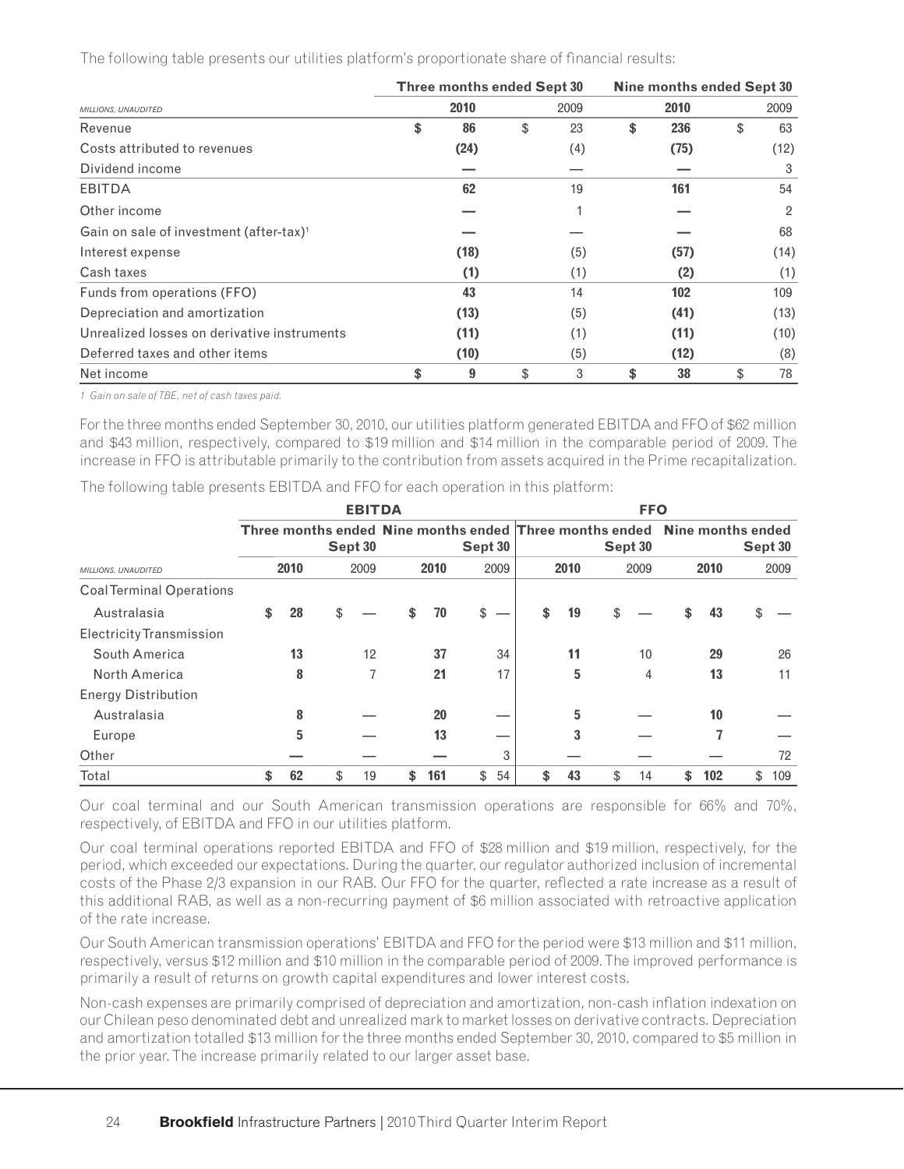The following table presents our utilities platform's proportionate share of financial results:

|                                                     | Three months ended Sept 30 |          | Nine months ended Sept 30 |      |    |                |  |  |
|-----------------------------------------------------|----------------------------|----------|---------------------------|------|----|----------------|--|--|
| MILLIONS, UNAUDITED                                 | 2010                       | 2009     |                           | 2010 |    | 2009           |  |  |
| Revenue                                             | \$<br>86                   | \$<br>23 | \$                        | 236  | \$ | 63             |  |  |
| Costs attributed to revenues                        | (24)                       | (4)      |                           | (75) |    | (12)           |  |  |
| Dividend income                                     |                            |          |                           |      |    | 3              |  |  |
| <b>EBITDA</b>                                       | 62                         | 19       |                           | 161  |    | 54             |  |  |
| Other income                                        |                            |          |                           |      |    | $\overline{2}$ |  |  |
| Gain on sale of investment (after-tax) <sup>1</sup> |                            |          |                           |      |    | 68             |  |  |
| Interest expense                                    | (18)                       | (5)      |                           | (57) |    | (14)           |  |  |
| Cash taxes                                          | (1)                        | (1)      |                           | (2)  |    | (1)            |  |  |
| Funds from operations (FFO)                         | 43                         | 14       |                           | 102  |    | 109            |  |  |
| Depreciation and amortization                       | (13)                       | (5)      |                           | (41) |    | (13)           |  |  |
| Unrealized losses on derivative instruments         | (11)                       | (1)      |                           | (11) |    | (10)           |  |  |
| Deferred taxes and other items                      | (10)                       | (5)      |                           | (12) |    | (8)            |  |  |
| Net income                                          | \$<br>9                    | \$<br>3  | \$                        | 38   | \$ | 78             |  |  |

*1 Gain on sale of TBE, net of cash taxes paid.*

For the three months ended September 30, 2010, our utilities platform generated EBITDA and FFO of \$62 million and \$43 million, respectively, compared to \$19 million and \$14 million in the comparable period of 2009. The increase in FFO is attributable primarily to the contribution from assets acquired in the Prime recapitalization.

The following table presents EBITDA and FFO for each operation in this platform:

|                                 |                                                                                      |    |    |      | <b>EBITDA</b> |         |          | <b>FFO</b> |    |         |         |      |     |      |     |
|---------------------------------|--------------------------------------------------------------------------------------|----|----|------|---------------|---------|----------|------------|----|---------|---------|------|-----|------|-----|
|                                 | Three months ended Nine months ended Three months ended Nine months ended<br>Sept 30 |    |    |      |               | Sept 30 |          |            |    | Sept 30 | Sept 30 |      |     |      |     |
| MILLIONS, UNAUDITED             | 2010                                                                                 |    |    | 2009 |               | 2010    |          | 2010       |    | 2009    |         | 2010 |     | 2009 |     |
| <b>CoalTerminal Operations</b>  |                                                                                      |    |    |      |               |         |          |            |    |         |         |      |     |      |     |
| Australasia                     | \$                                                                                   | 28 |    |      | \$            | 70      | \$       | \$         | 19 | \$      |         |      | 43  |      |     |
| <b>Electricity Transmission</b> |                                                                                      |    |    |      |               |         |          |            |    |         |         |      |     |      |     |
| South America                   |                                                                                      | 13 |    | 12   |               | 37      | 34       |            | 11 |         | 10      |      | 29  |      | 26  |
| North America                   |                                                                                      | 8  |    | 7    |               | 21      | 17       |            | 5  |         | 4       |      | 13  |      | 11  |
| <b>Energy Distribution</b>      |                                                                                      |    |    |      |               |         |          |            |    |         |         |      |     |      |     |
| Australasia                     |                                                                                      | 8  |    |      |               | 20      |          |            | 5  |         |         |      | 10  |      |     |
| Europe                          |                                                                                      | 5  |    |      |               | 13      |          |            | 3  |         |         |      |     |      |     |
| Other                           |                                                                                      |    |    |      |               |         | 3        |            |    |         |         |      |     |      | 72  |
| Total                           | \$                                                                                   | 62 | \$ | 19   | \$            | 161     | \$<br>54 | \$         | 43 | \$      | 14      | \$   | 102 | \$   | 109 |

Our coal terminal and our South American transmission operations are responsible for 66% and 70%, respectively, of EBITDA and FFO in our utilities platform.

Our coal terminal operations reported EBITDA and FFO of \$28 million and \$19 million, respectively, for the period, which exceeded our expectations. During the quarter, our regulator authorized inclusion of incremental costs of the Phase 2/3 expansion in our RAB. Our FFO for the quarter, reflected a rate increase as a result of this additional RAB, as well as a non-recurring payment of \$6 million associated with retroactive application of the rate increase.

Our South American transmission operations' EBITDA and FFO for the period were \$13 million and \$11 million, respectively, versus \$12 million and \$10 million in the comparable period of 2009. The improved performance is primarily a result of returns on growth capital expenditures and lower interest costs.

Non-cash expenses are primarily comprised of depreciation and amortization, non-cash inflation indexation on our Chilean peso denominated debt and unrealized mark to market losses on derivative contracts. Depreciation and amortization totalled \$13 million for the three months ended September 30, 2010, compared to \$5 million in the prior year. The increase primarily related to our larger asset base.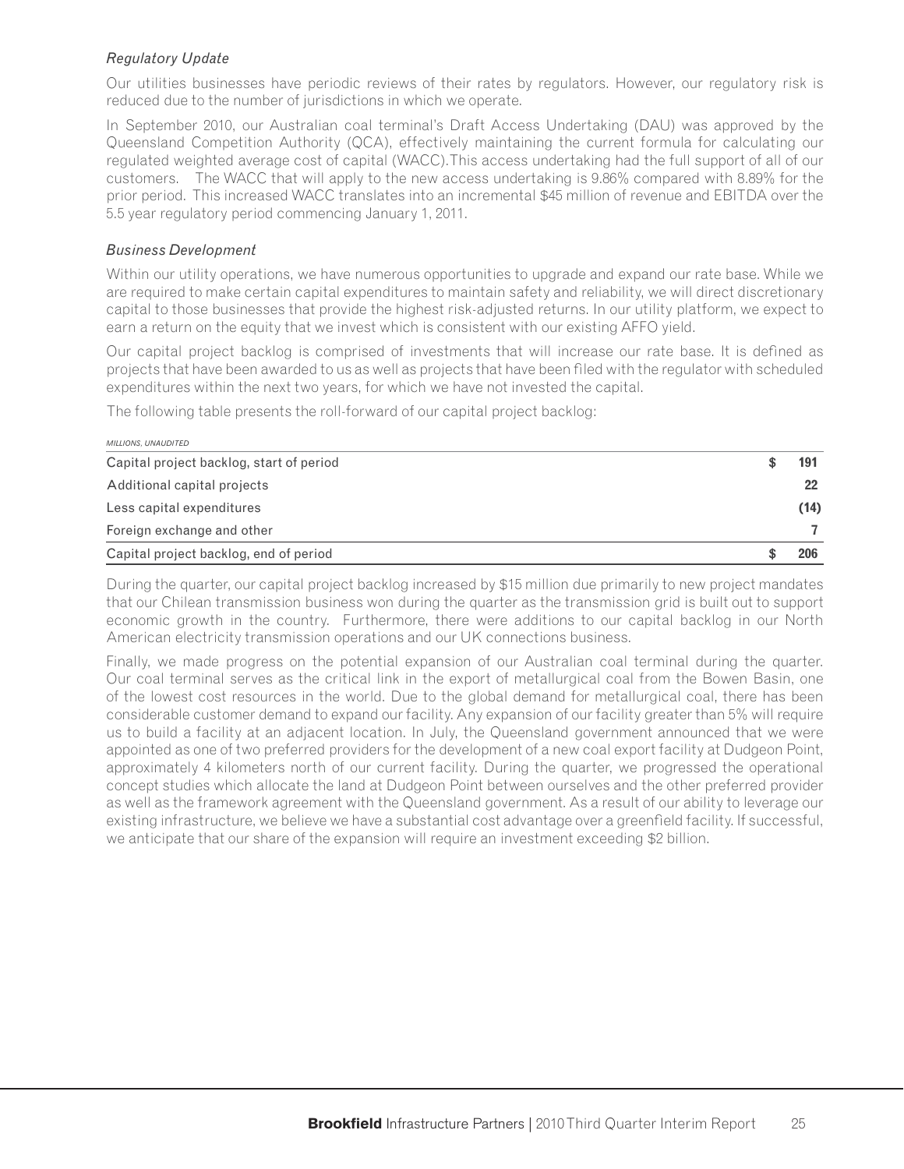## *Regulatory Update*

Our utilities businesses have periodic reviews of their rates by regulators. However, our regulatory risk is reduced due to the number of jurisdictions in which we operate.

In September 2010, our Australian coal terminal's Draft Access Undertaking (DAU) was approved by the Queensland Competition Authority (QCA), effectively maintaining the current formula for calculating our regulated weighted average cost of capital (WACC).This access undertaking had the full support of all of our customers. The WACC that will apply to the new access undertaking is 9.86% compared with 8.89% for the prior period. This increased WACC translates into an incremental \$45 million of revenue and EBITDA over the 5.5 year regulatory period commencing January 1, 2011.

### *Business Development*

Within our utility operations, we have numerous opportunities to upgrade and expand our rate base. While we are required to make certain capital expenditures to maintain safety and reliability, we will direct discretionary capital to those businesses that provide the highest risk-adjusted returns. In our utility platform, we expect to earn a return on the equity that we invest which is consistent with our existing AFFO yield.

Our capital project backlog is comprised of investments that will increase our rate base. It is defined as projects that have been awarded to us as well as projects that have been fi led with the regulator with scheduled expenditures within the next two years, for which we have not invested the capital.

The following table presents the roll-forward of our capital project backlog:

| <b>MILLIONS, UNAUDITED</b>               |      |
|------------------------------------------|------|
| Capital project backlog, start of period | 191  |
| Additional capital projects              | 22   |
| Less capital expenditures                | (14) |
| Foreign exchange and other               |      |
| Capital project backlog, end of period   |      |

During the quarter, our capital project backlog increased by \$15 million due primarily to new project mandates that our Chilean transmission business won during the quarter as the transmission grid is built out to support economic growth in the country. Furthermore, there were additions to our capital backlog in our North American electricity transmission operations and our UK connections business.

Finally, we made progress on the potential expansion of our Australian coal terminal during the quarter. Our coal terminal serves as the critical link in the export of metallurgical coal from the Bowen Basin, one of the lowest cost resources in the world. Due to the global demand for metallurgical coal, there has been considerable customer demand to expand our facility. Any expansion of our facility greater than 5% will require us to build a facility at an adjacent location. In July, the Queensland government announced that we were appointed as one of two preferred providers for the development of a new coal export facility at Dudgeon Point, approximately 4 kilometers north of our current facility. During the quarter, we progressed the operational concept studies which allocate the land at Dudgeon Point between ourselves and the other preferred provider as well as the framework agreement with the Queensland government. As a result of our ability to leverage our existing infrastructure, we believe we have a substantial cost advantage over a greenfield facility. If successful, we anticipate that our share of the expansion will require an investment exceeding \$2 billion.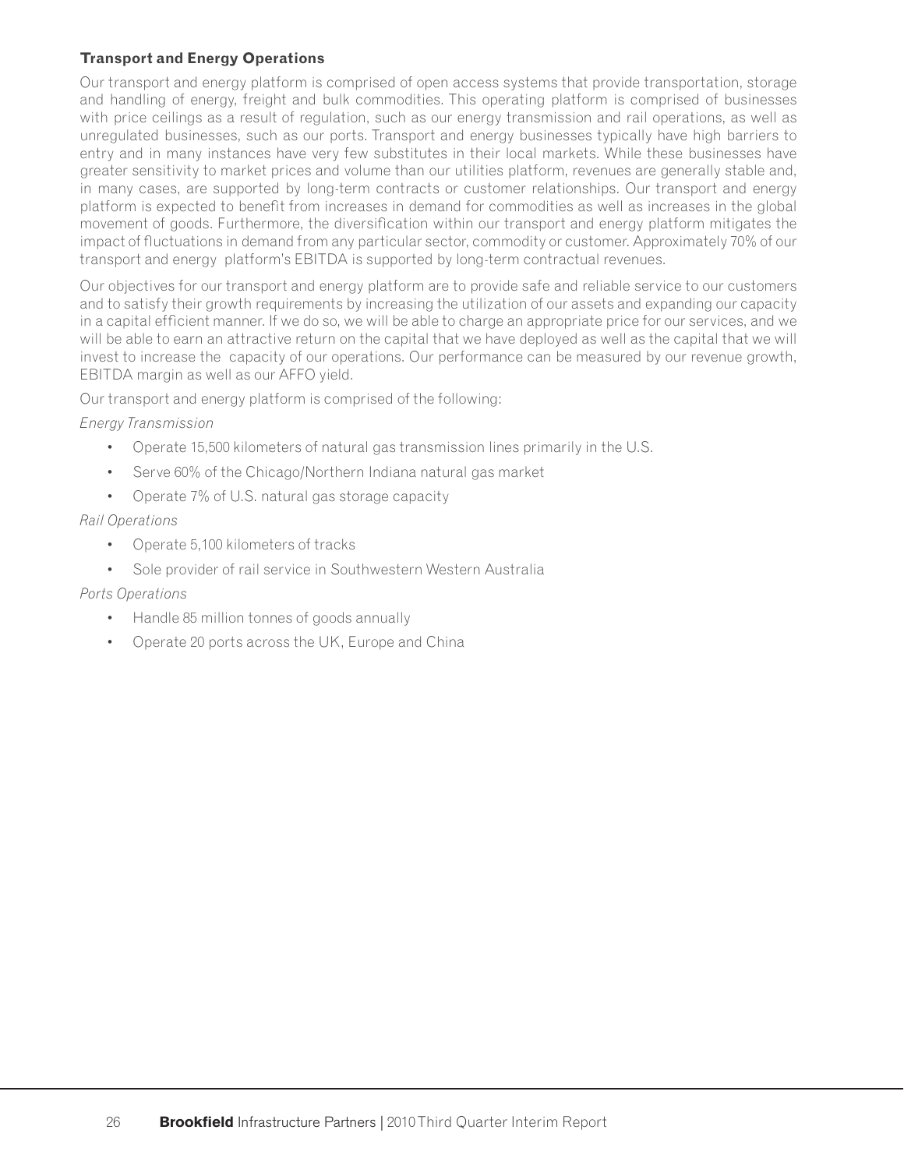# **Transport and Energy Operations**

Our transport and energy platform is comprised of open access systems that provide transportation, storage and handling of energy, freight and bulk commodities. This operating platform is comprised of businesses with price ceilings as a result of regulation, such as our energy transmission and rail operations, as well as unregulated businesses, such as our ports. Transport and energy businesses typically have high barriers to entry and in many instances have very few substitutes in their local markets. While these businesses have greater sensitivity to market prices and volume than our utilities platform, revenues are generally stable and, in many cases, are supported by long-term contracts or customer relationships. Our transport and energy platform is expected to benefit from increases in demand for commodities as well as increases in the global movement of goods. Furthermore, the diversification within our transport and energy platform mitigates the impact of fluctuations in demand from any particular sector, commodity or customer. Approximately 70% of our transport and energy platform's EBITDA is supported by long-term contractual revenues.

Our objectives for our transport and energy platform are to provide safe and reliable service to our customers and to satisfy their growth requirements by increasing the utilization of our assets and expanding our capacity in a capital efficient manner. If we do so, we will be able to charge an appropriate price for our services, and we will be able to earn an attractive return on the capital that we have deployed as well as the capital that we will invest to increase the capacity of our operations. Our performance can be measured by our revenue growth, EBITDA margin as well as our AFFO yield.

Our transport and energy platform is comprised of the following:

### *Energy Transmission*

- Operate 15,500 kilometers of natural gas transmission lines primarily in the U.S.
- Serve 60% of the Chicago/Northern Indiana natural gas market
- Operate 7% of U.S. natural gas storage capacity

### *Rail Operations*

- Operate 5,100 kilometers of tracks
- Sole provider of rail service in Southwestern Western Australia

### *Ports Operations*

- Handle 85 million tonnes of goods annually
- Operate 20 ports across the UK, Europe and China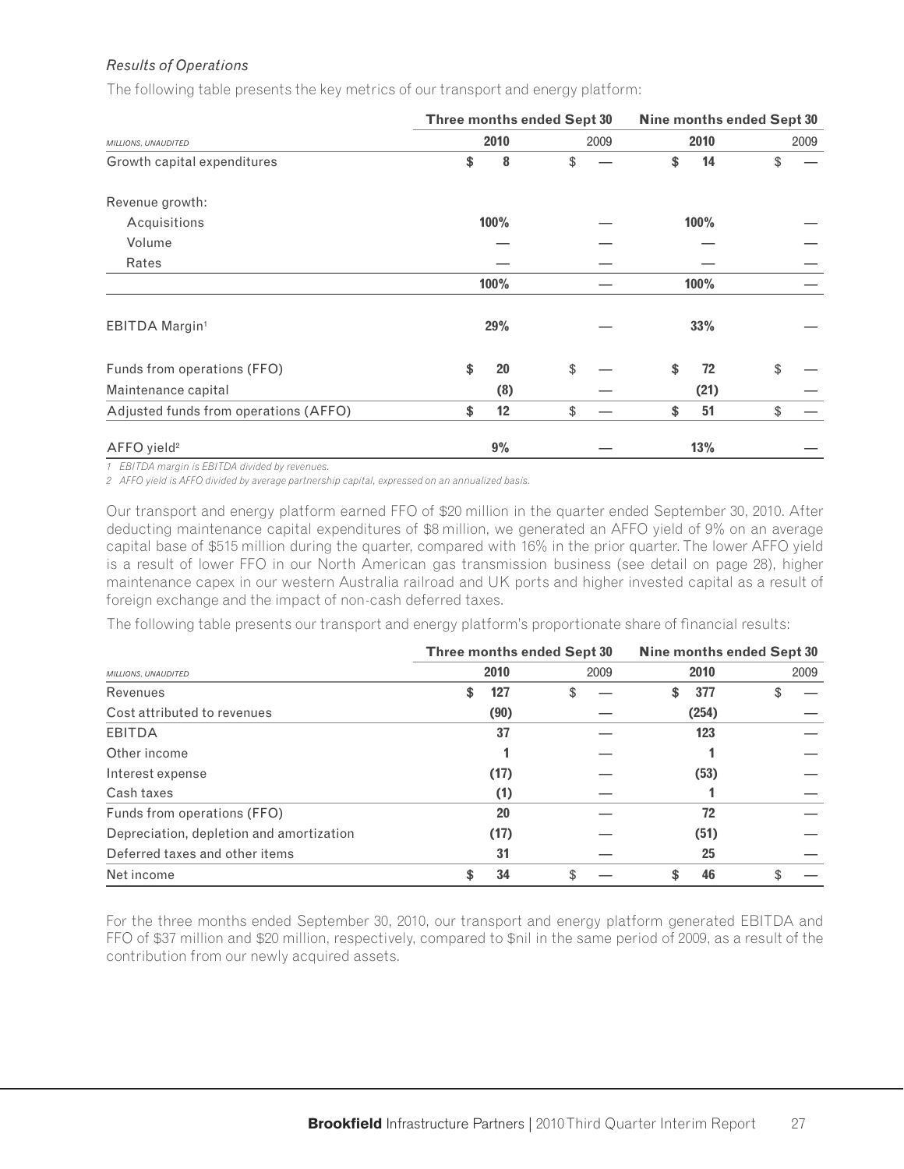# *Results of Operations*

The following table presents the key metrics of our transport and energy platform:

|                                       |          | Three months ended Sept 30 | Nine months ended Sept 30 |      |      |  |  |
|---------------------------------------|----------|----------------------------|---------------------------|------|------|--|--|
| MILLIONS, UNAUDITED                   | 2010     | 2009                       |                           | 2010 | 2009 |  |  |
| Growth capital expenditures           | \$<br>8  | \$                         | \$                        | 14   | \$   |  |  |
| Revenue growth:                       |          |                            |                           |      |      |  |  |
| Acquisitions                          | 100%     |                            |                           | 100% |      |  |  |
| Volume                                |          |                            |                           |      |      |  |  |
| Rates                                 |          |                            |                           |      |      |  |  |
|                                       | 100%     |                            |                           | 100% |      |  |  |
| EBITDA Margin <sup>1</sup>            | 29%      |                            |                           | 33%  |      |  |  |
| Funds from operations (FFO)           | \$<br>20 | \$                         | \$                        | 72   | \$   |  |  |
| Maintenance capital                   | (8)      |                            |                           | (21) |      |  |  |
| Adjusted funds from operations (AFFO) | \$<br>12 | \$                         | \$                        | 51   | \$   |  |  |
| AFFO yield <sup>2</sup>               | 9%       |                            |                           | 13%  |      |  |  |

*1 EBITDA margin is EBITDA divided by revenues.*

*2 AFFO yield is AFFO divided by average partnership capital, expressed on an annualized basis.*

Our transport and energy platform earned FFO of \$20 million in the quarter ended September 30, 2010. After deducting maintenance capital expenditures of \$8 million, we generated an AFFO yield of 9% on an average capital base of \$515 million during the quarter, compared with 16% in the prior quarter. The lower AFFO yield is a result of lower FFO in our North American gas transmission business (see detail on page 28), higher maintenance capex in our western Australia railroad and UK ports and higher invested capital as a result of foreign exchange and the impact of non-cash deferred taxes.

The following table presents our transport and energy platform's proportionate share of financial results:

|                                          |    |      | Three months ended Sept 30 | Nine months ended Sept 30 |          |    |      |  |  |
|------------------------------------------|----|------|----------------------------|---------------------------|----------|----|------|--|--|
| MILLIONS, UNAUDITED                      |    | 2010 | 2009                       |                           | 2010     |    | 2009 |  |  |
| Revenues                                 | \$ | 127  | \$                         |                           | 377<br>S | \$ |      |  |  |
| Cost attributed to revenues              |    | (90) |                            |                           | (254)    |    |      |  |  |
| <b>EBITDA</b>                            |    | 37   |                            |                           | 123      |    |      |  |  |
| Other income                             |    |      |                            |                           |          |    |      |  |  |
| Interest expense                         |    | (17) |                            |                           | (53)     |    |      |  |  |
| Cash taxes                               |    | (1)  |                            |                           |          |    |      |  |  |
| Funds from operations (FFO)              |    | 20   |                            |                           | 72       |    |      |  |  |
| Depreciation, depletion and amortization |    | (17) |                            |                           | (51)     |    |      |  |  |
| Deferred taxes and other items           |    | 31   |                            |                           | 25       |    |      |  |  |
| Net income                               | S  | 34   |                            |                           | 46       | S  |      |  |  |

For the three months ended September 30, 2010, our transport and energy platform generated EBITDA and FFO of \$37 million and \$20 million, respectively, compared to \$nil in the same period of 2009, as a result of the contribution from our newly acquired assets.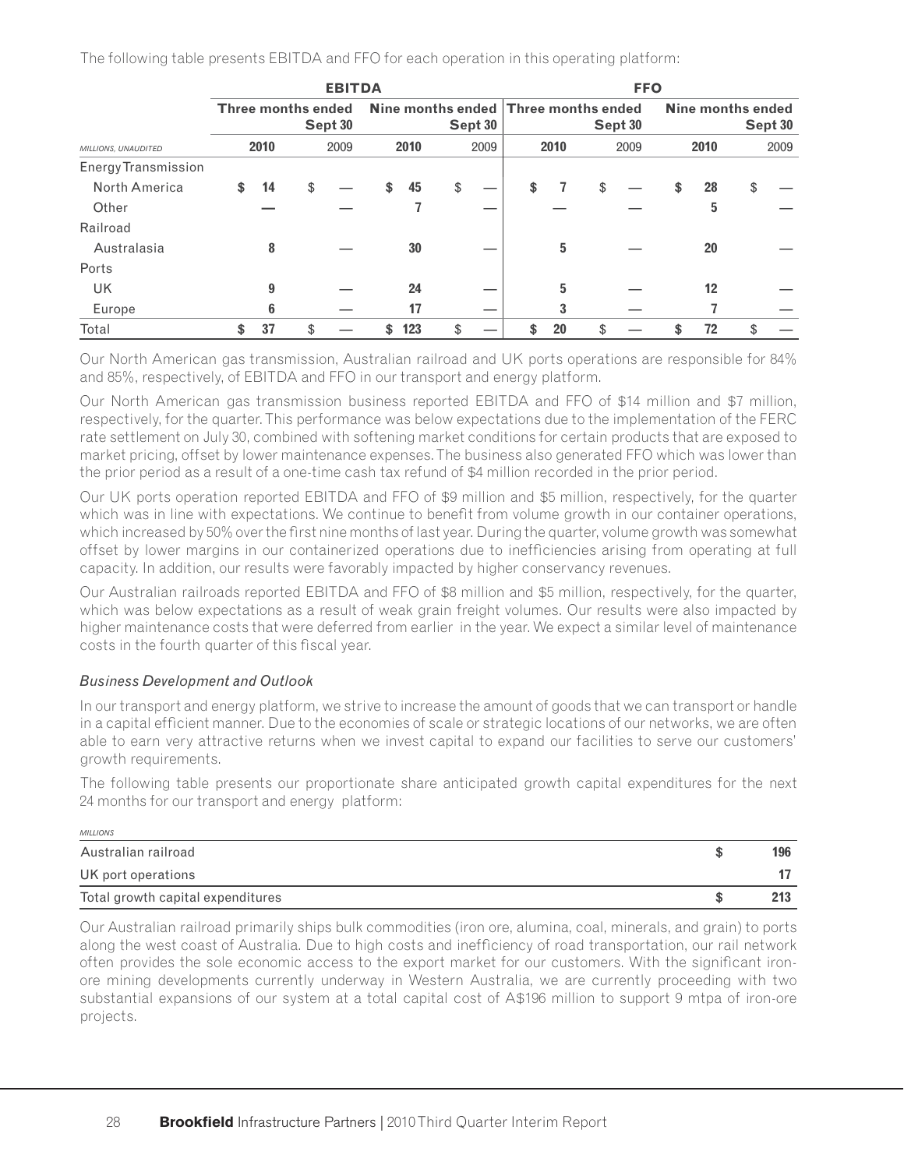The following table presents EBITDA and FFO for each operation in this operating platform:

|                            | <b>EBITDA</b>                                                         |      |    |      |    |      |         |      |    | <b>FFO</b> |                              |      |  |      |    |      |  |
|----------------------------|-----------------------------------------------------------------------|------|----|------|----|------|---------|------|----|------------|------------------------------|------|--|------|----|------|--|
|                            | Nine months ended Three months ended<br>Three months ended<br>Sept 30 |      |    |      |    |      | Sept 30 |      |    | Sept 30    | Nine months ended<br>Sept 30 |      |  |      |    |      |  |
| MILLIONS, UNAUDITED        |                                                                       | 2010 |    | 2009 |    | 2010 |         | 2009 |    | 2010       |                              | 2009 |  | 2010 |    | 2009 |  |
| <b>Energy Transmission</b> |                                                                       |      |    |      |    |      |         |      |    |            |                              |      |  |      |    |      |  |
| North America              | \$                                                                    | 14   | \$ |      | \$ | 45   | \$      |      | \$ | 7          | \$                           |      |  | 28   | \$ |      |  |
| Other                      |                                                                       |      |    |      |    |      |         |      |    |            |                              |      |  | 5    |    |      |  |
| Railroad                   |                                                                       |      |    |      |    |      |         |      |    |            |                              |      |  |      |    |      |  |
| Australasia                |                                                                       | 8    |    |      |    | 30   |         |      |    | 5          |                              |      |  | 20   |    |      |  |
| Ports                      |                                                                       |      |    |      |    |      |         |      |    |            |                              |      |  |      |    |      |  |
| UK                         |                                                                       | 9    |    |      |    | 24   |         |      |    | 5          |                              |      |  | 12   |    |      |  |
| Europe                     |                                                                       | 6    |    |      |    | 17   |         |      |    | 3          |                              |      |  |      |    |      |  |
| Total                      | \$                                                                    | 37   | \$ |      |    | 123  |         |      |    | 20         | \$                           |      |  | 72   | \$ |      |  |

Our North American gas transmission, Australian railroad and UK ports operations are responsible for 84% and 85%, respectively, of EBITDA and FFO in our transport and energy platform.

Our North American gas transmission business reported EBITDA and FFO of \$14 million and \$7 million, respectively, for the quarter. This performance was below expectations due to the implementation of the FERC rate settlement on July 30, combined with softening market conditions for certain products that are exposed to market pricing, offset by lower maintenance expenses. The business also generated FFO which was lower than the prior period as a result of a one-time cash tax refund of \$4 million recorded in the prior period.

Our UK ports operation reported EBITDA and FFO of \$9 million and \$5 million, respectively, for the quarter which was in line with expectations. We continue to benefit from volume growth in our container operations, which increased by 50% over the first nine months of last year. During the quarter, volume growth was somewhat offset by lower margins in our containerized operations due to inefficiencies arising from operating at full capacity. In addition, our results were favorably impacted by higher conservancy revenues.

Our Australian railroads reported EBITDA and FFO of \$8 million and \$5 million, respectively, for the quarter, which was below expectations as a result of weak grain freight volumes. Our results were also impacted by higher maintenance costs that were deferred from earlier in the year. We expect a similar level of maintenance costs in the fourth quarter of this fiscal year.

### *Business Development and Outlook*

In our transport and energy platform, we strive to increase the amount of goods that we can transport or handle in a capital efficient manner. Due to the economies of scale or strategic locations of our networks, we are often able to earn very attractive returns when we invest capital to expand our facilities to serve our customers' growth requirements.

The following table presents our proportionate share anticipated growth capital expenditures for the next 24 months for our transport and energy platform:

| <b>MILLIONS</b>                   |     |
|-----------------------------------|-----|
| Australian railroad               | 196 |
| UK port operations                |     |
| Total growth capital expenditures |     |

Our Australian railroad primarily ships bulk commodities (iron ore, alumina, coal, minerals, and grain) to ports along the west coast of Australia. Due to high costs and inefficiency of road transportation, our rail network often provides the sole economic access to the export market for our customers. With the significant ironore mining developments currently underway in Western Australia, we are currently proceeding with two substantial expansions of our system at a total capital cost of A\$196 million to support 9 mtpa of iron-ore projects.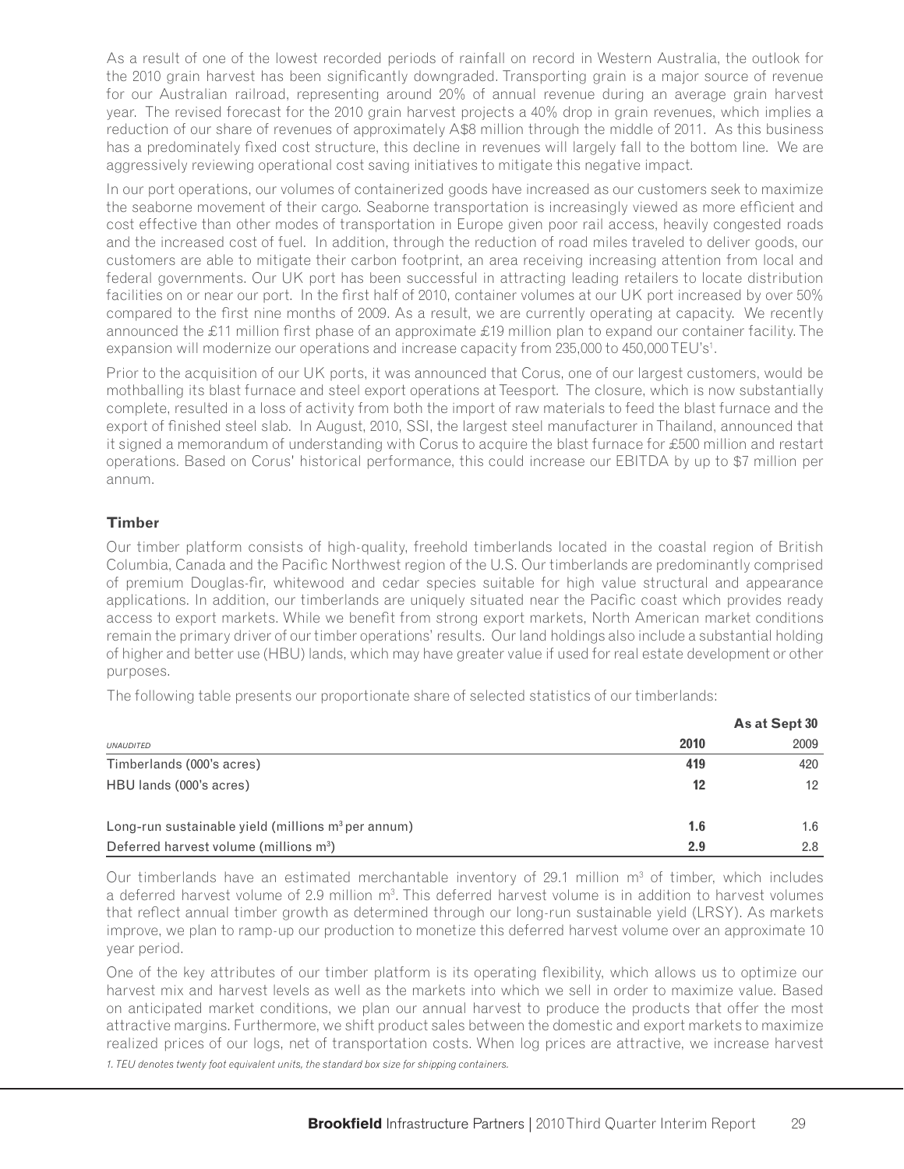As a result of one of the lowest recorded periods of rainfall on record in Western Australia, the outlook for the 2010 grain harvest has been significantly downgraded. Transporting grain is a major source of revenue for our Australian railroad, representing around 20% of annual revenue during an average grain harvest year. The revised forecast for the 2010 grain harvest projects a 40% drop in grain revenues, which implies a reduction of our share of revenues of approximately A\$8 million through the middle of 2011. As this business has a predominately fixed cost structure, this decline in revenues will largely fall to the bottom line. We are aggressively reviewing operational cost saving initiatives to mitigate this negative impact.

In our port operations, our volumes of containerized goods have increased as our customers seek to maximize the seaborne movement of their cargo. Seaborne transportation is increasingly viewed as more efficient and cost effective than other modes of transportation in Europe given poor rail access, heavily congested roads and the increased cost of fuel. In addition, through the reduction of road miles traveled to deliver goods, our customers are able to mitigate their carbon footprint, an area receiving increasing attention from local and federal governments. Our UK port has been successful in attracting leading retailers to locate distribution facilities on or near our port. In the first half of 2010, container volumes at our UK port increased by over 50% compared to the first nine months of 2009. As a result, we are currently operating at capacity. We recently announced the £11 million first phase of an approximate £19 million plan to expand our container facility. The expansion will modernize our operations and increase capacity from 235,000 to 450,000 TEU's<sup>1</sup>.

Prior to the acquisition of our UK ports, it was announced that Corus, one of our largest customers, would be mothballing its blast furnace and steel export operations at Teesport. The closure, which is now substantially complete, resulted in a loss of activity from both the import of raw materials to feed the blast furnace and the export of finished steel slab. In August, 2010, SSI, the largest steel manufacturer in Thailand, announced that it signed a memorandum of understanding with Corus to acquire the blast furnace for £500 million and restart operations. Based on Corus' historical performance, this could increase our EBITDA by up to \$7 million per annum.

# **Timber**

Our timber platform consists of high-quality, freehold timberlands located in the coastal region of British Columbia, Canada and the Pacific Northwest region of the U.S. Our timberlands are predominantly comprised of premium Douglas-fir, whitewood and cedar species suitable for high value structural and appearance applications. In addition, our timberlands are uniquely situated near the Pacific coast which provides ready access to export markets. While we benefit from strong export markets, North American market conditions remain the primary driver of our timber operations' results. Our land holdings also include a substantial holding of higher and better use (HBU) lands, which may have greater value if used for real estate development or other purposes.

The following table presents our proportionate share of selected statistics of our timberlands:

|                                                       | As at Sept 30 |      |  |  |  |  |
|-------------------------------------------------------|---------------|------|--|--|--|--|
| <b>UNAUDITED</b>                                      | 2010          | 2009 |  |  |  |  |
| Timberlands (000's acres)                             | 419           | 420  |  |  |  |  |
| HBU lands (000's acres)                               | 12            | 12   |  |  |  |  |
| Long-run sustainable yield (millions $m^3$ per annum) | 1.6           | 1.6  |  |  |  |  |
| Deferred harvest volume (millions m <sup>3</sup> )    | 2.9           | 2.8  |  |  |  |  |

Our timberlands have an estimated merchantable inventory of 29.1 million  $m<sup>3</sup>$  of timber, which includes a deferred harvest volume of 2.9 million m<sup>3</sup>. This deferred harvest volume is in addition to harvest volumes that reflect annual timber growth as determined through our long-run sustainable yield (LRSY). As markets improve, we plan to ramp-up our production to monetize this deferred harvest volume over an approximate 10 year period.

One of the key attributes of our timber platform is its operating flexibility, which allows us to optimize our harvest mix and harvest levels as well as the markets into which we sell in order to maximize value. Based on anticipated market conditions, we plan our annual harvest to produce the products that offer the most attractive margins. Furthermore, we shift product sales between the domestic and export markets to maximize realized prices of our logs, net of transportation costs. When log prices are attractive, we increase harvest

*1. TEU denotes twenty foot equivalent units, the standard box size for shipping containers.*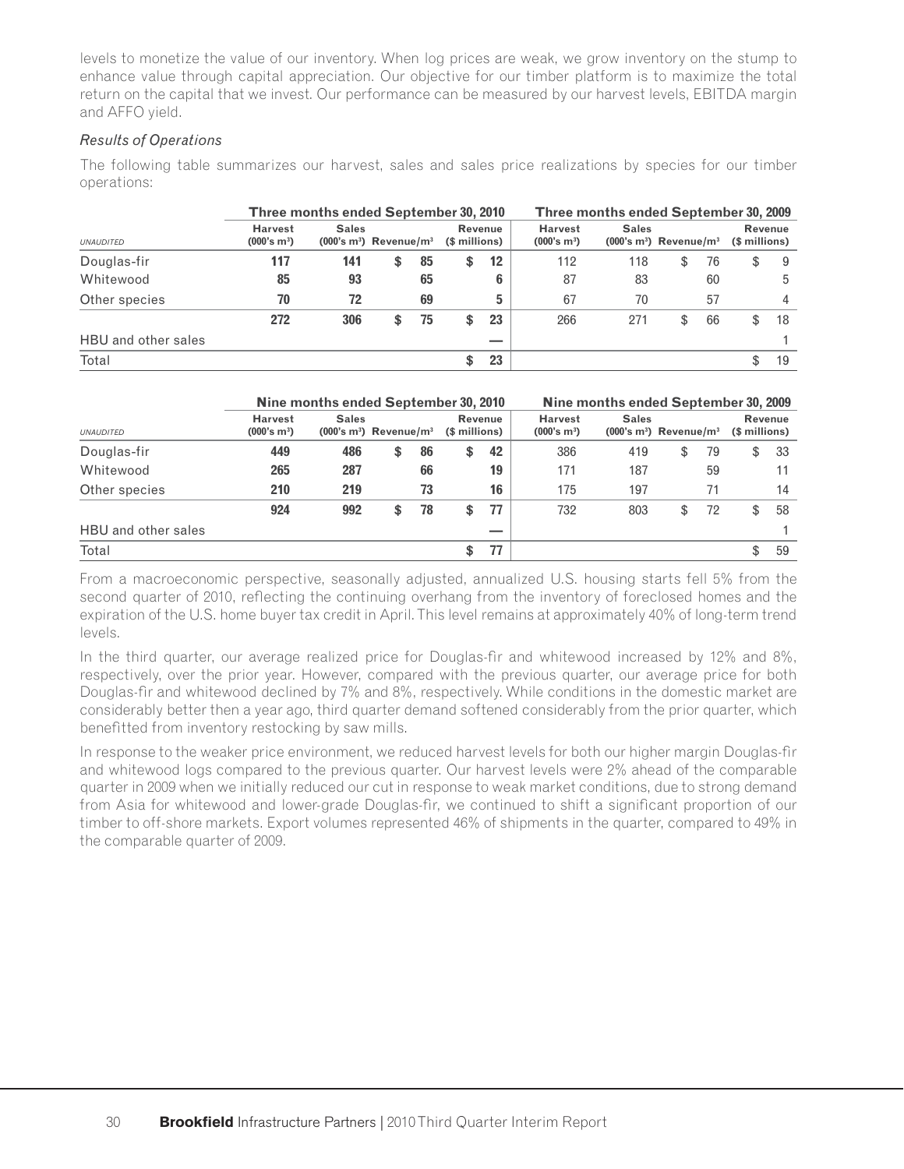levels to monetize the value of our inventory. When log prices are weak, we grow inventory on the stump to enhance value through capital appreciation. Our objective for our timber platform is to maximize the total return on the capital that we invest. Our performance can be measured by our harvest levels, EBITDA margin and AFFO yield.

### *Results of Operations*

The following table summarizes our harvest, sales and sales price realizations by species for our timber operations:

|                     |                                           | Three months ended September 30, 2010               |   |    |               | Three months ended September 30, 2009 |                                           |                                                     |    |    |               |         |
|---------------------|-------------------------------------------|-----------------------------------------------------|---|----|---------------|---------------------------------------|-------------------------------------------|-----------------------------------------------------|----|----|---------------|---------|
| <b>UNAUDITED</b>    | <b>Harvest</b><br>(000's m <sup>3</sup> ) | <b>Sales</b><br>$(000's m3)$ Revenue/m <sup>3</sup> |   |    | (\$ millions) | Revenue                               | <b>Harvest</b><br>(000's m <sup>3</sup> ) | <b>Sales</b><br>$(000's m3)$ Revenue/m <sup>3</sup> |    |    | (\$ millions) | Revenue |
| Douglas-fir         | 117                                       | 141                                                 | S | 85 | \$            | $12 \overline{ }$                     | 112                                       | 118                                                 | \$ | 76 | S             | 9       |
| Whitewood           | 85                                        | 93                                                  |   | 65 |               | 6                                     | 87                                        | 83                                                  |    | 60 |               | 5       |
| Other species       | 70                                        | 72                                                  |   | 69 |               | 5                                     | 67                                        | 70                                                  |    | 57 |               | 4       |
|                     | 272                                       | 306                                                 |   | 75 | S             | 23                                    | 266                                       | 271                                                 | S  | 66 | \$            | 18      |
| HBU and other sales |                                           |                                                     |   |    |               |                                       |                                           |                                                     |    |    |               |         |
| Total               |                                           |                                                     |   |    |               | 23                                    |                                           |                                                     |    |    |               | 19      |

# **Nine months ended September 30, 2010 Nine months ended September 30, 2009**

| <b>UNAUDITED</b>    | <b>Harvest</b><br>(000's m <sup>3</sup> ) | <b>Sales</b><br>$(000's m3)$ Revenue/m <sup>3</sup> |          | <b>Revenue</b><br>(\$ millions) |    | <b>Harvest</b><br>(000's m <sup>3</sup> ) | <b>Sales</b><br>$(000's m3)$ Revenue/m <sup>3</sup> |          | (\$ millions) | <b>Revenue</b> |
|---------------------|-------------------------------------------|-----------------------------------------------------|----------|---------------------------------|----|-------------------------------------------|-----------------------------------------------------|----------|---------------|----------------|
| Douglas-fir         | 449                                       | 486                                                 | \$<br>86 | \$                              | 42 | 386                                       | 419                                                 | \$<br>79 | \$            | 33             |
| Whitewood           | 265                                       | 287                                                 | 66       |                                 | 19 | 171                                       | 187                                                 | 59       |               | 11             |
| Other species       | 210                                       | 219                                                 | 73       |                                 | 16 | 175                                       | 197                                                 | 71       |               | 14             |
|                     | 924                                       | 992                                                 | \$<br>78 |                                 | 77 | 732                                       | 803                                                 | \$<br>72 | S             | 58             |
| HBU and other sales |                                           |                                                     |          |                                 |    |                                           |                                                     |          |               |                |
| Total               |                                           |                                                     |          | Φ                               | 77 |                                           |                                                     |          | S             | 59             |

From a macroeconomic perspective, seasonally adjusted, annualized U.S. housing starts fell 5% from the second quarter of 2010, reflecting the continuing overhang from the inventory of foreclosed homes and the expiration of the U.S. home buyer tax credit in April. This level remains at approximately 40% of long-term trend levels.

In the third quarter, our average realized price for Douglas-fir and whitewood increased by 12% and 8%, respectively, over the prior year. However, compared with the previous quarter, our average price for both Douglas-fir and whitewood declined by 7% and 8%, respectively. While conditions in the domestic market are considerably better then a year ago, third quarter demand softened considerably from the prior quarter, which benefitted from inventory restocking by saw mills.

In response to the weaker price environment, we reduced harvest levels for both our higher margin Douglas-fir and whitewood logs compared to the previous quarter. Our harvest levels were 2% ahead of the comparable quarter in 2009 when we initially reduced our cut in response to weak market conditions, due to strong demand from Asia for whitewood and lower-grade Douglas-fir, we continued to shift a significant proportion of our timber to off-shore markets. Export volumes represented 46% of shipments in the quarter, compared to 49% in the comparable quarter of 2009.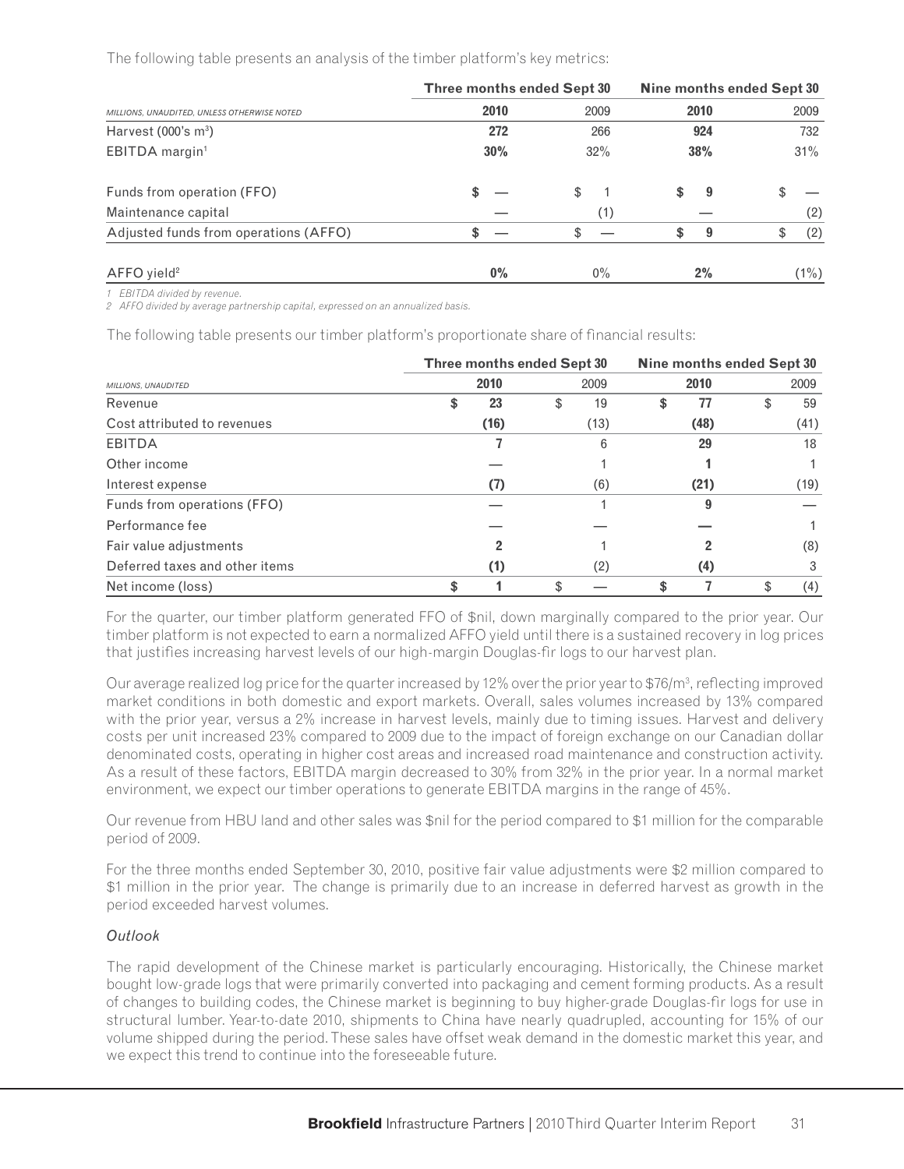The following table presents an analysis of the timber platform's key metrics:

|                                             | Three months ended Sept 30 |     |       | Nine months ended Sept 30 |      |    |         |  |  |
|---------------------------------------------|----------------------------|-----|-------|---------------------------|------|----|---------|--|--|
| MILLIONS, UNAUDITED, UNLESS OTHERWISE NOTED | 2010                       |     | 2009  |                           | 2010 |    | 2009    |  |  |
| Harvest $(000's m3)$                        |                            | 272 | 266   |                           | 924  |    | 732     |  |  |
| EBITDA margin <sup>1</sup>                  | 30%                        |     | 32%   |                           | 38%  |    | 31%     |  |  |
| Funds from operation (FFO)                  |                            |     | \$    | \$.                       | 9    | \$ |         |  |  |
| Maintenance capital                         |                            |     | (1)   |                           |      |    | (2)     |  |  |
| Adjusted funds from operations (AFFO)       | \$                         |     |       | \$                        | 9    | \$ | (2)     |  |  |
| $AFFO$ yield <sup>2</sup>                   |                            | 0%  | $0\%$ |                           | 2%   |    | $(1\%)$ |  |  |

*1 EBITDA divided by revenue.*

*2 AFFO divided by average partnership capital, expressed on an annualized basis.*

The following table presents our timber platform's proportionate share of financial results:

|                                |    | <b>Three months ended Sept 30</b> |      |      | Nine months ended Sept 30 |      |      |      |  |  |
|--------------------------------|----|-----------------------------------|------|------|---------------------------|------|------|------|--|--|
| MILLIONS, UNAUDITED            |    |                                   | 2009 |      | 2010                      |      | 2009 |      |  |  |
| Revenue                        | \$ | 23                                | S    | 19   | \$                        | 77   |      | 59   |  |  |
| Cost attributed to revenues    |    | (16)                              |      | (13) |                           | (48) |      | (41) |  |  |
| <b>EBITDA</b>                  |    |                                   |      | 6    |                           | 29   |      | 18   |  |  |
| Other income                   |    |                                   |      |      |                           |      |      |      |  |  |
| Interest expense               |    | (7)                               |      | (6)  |                           | (21) |      | (19) |  |  |
| Funds from operations (FFO)    |    |                                   |      |      |                           |      |      |      |  |  |
| Performance fee                |    |                                   |      |      |                           |      |      |      |  |  |
| Fair value adjustments         |    |                                   |      |      |                           |      |      | (8)  |  |  |
| Deferred taxes and other items |    | (1)                               |      | (2)  |                           | (4)  |      | 3    |  |  |
| Net income (loss)              | \$ |                                   |      |      | \$                        |      |      | (4)  |  |  |

For the quarter, our timber platform generated FFO of \$nil, down marginally compared to the prior year. Our timber platform is not expected to earn a normalized AFFO yield until there is a sustained recovery in log prices that justifies increasing harvest levels of our high-margin Douglas-fir logs to our harvest plan.

Our average realized log price for the quarter increased by 12% over the prior year to \$76/m<sup>3</sup>, reflecting improved market conditions in both domestic and export markets. Overall, sales volumes increased by 13% compared with the prior year, versus a 2% increase in harvest levels, mainly due to timing issues. Harvest and delivery costs per unit increased 23% compared to 2009 due to the impact of foreign exchange on our Canadian dollar denominated costs, operating in higher cost areas and increased road maintenance and construction activity. As a result of these factors, EBITDA margin decreased to 30% from 32% in the prior year. In a normal market environment, we expect our timber operations to generate EBITDA margins in the range of 45%.

Our revenue from HBU land and other sales was \$nil for the period compared to \$1 million for the comparable period of 2009.

For the three months ended September 30, 2010, positive fair value adjustments were \$2 million compared to \$1 million in the prior year. The change is primarily due to an increase in deferred harvest as growth in the period exceeded harvest volumes.

### *Outlook*

The rapid development of the Chinese market is particularly encouraging. Historically, the Chinese market bought low-grade logs that were primarily converted into packaging and cement forming products. As a result of changes to building codes, the Chinese market is beginning to buy higher-grade Douglas-fi r logs for use in structural lumber. Year-to-date 2010, shipments to China have nearly quadrupled, accounting for 15% of our volume shipped during the period. These sales have offset weak demand in the domestic market this year, and we expect this trend to continue into the foreseeable future.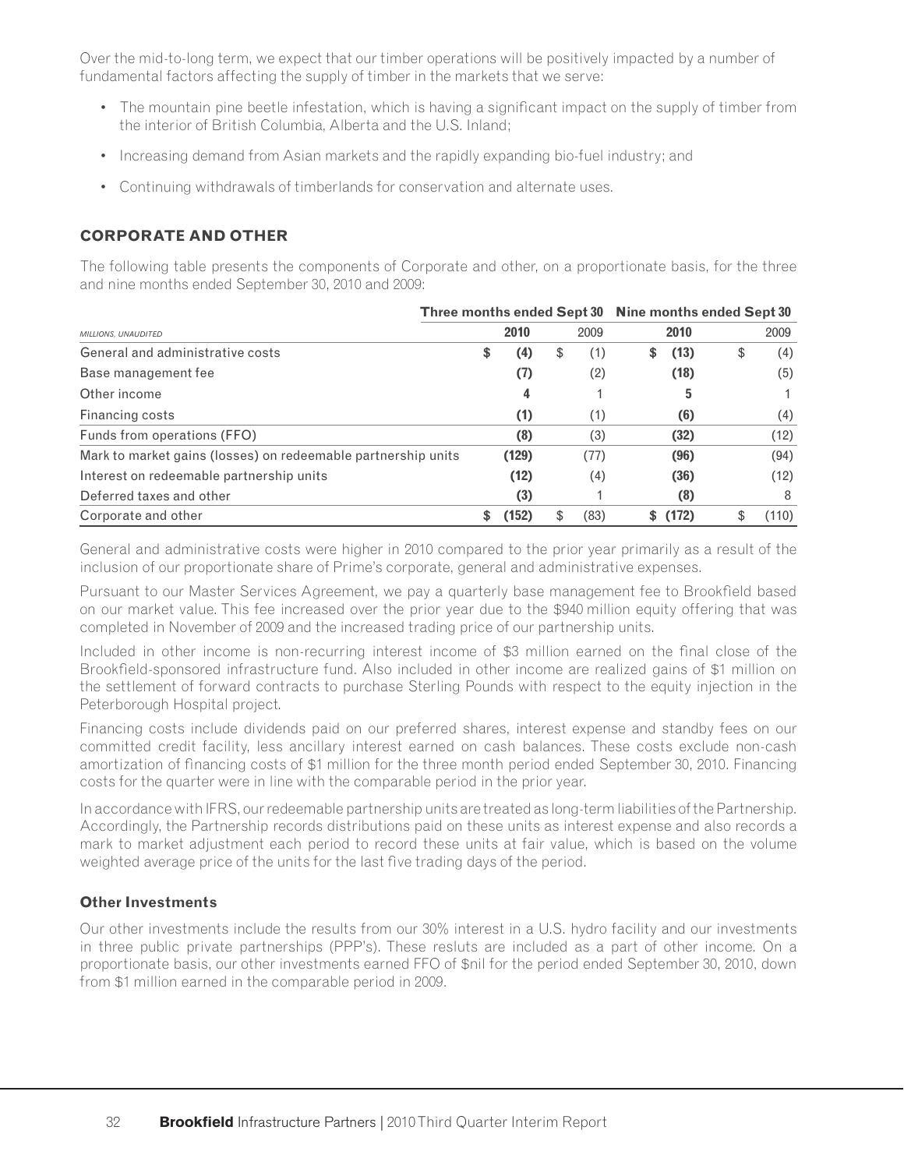Over the mid-to-long term, we expect that our timber operations will be positively impacted by a number of fundamental factors affecting the supply of timber in the markets that we serve:

- The mountain pine beetle infestation, which is having a significant impact on the supply of timber from the interior of British Columbia, Alberta and the U.S. Inland;
- Increasing demand from Asian markets and the rapidly expanding bio-fuel industry; and
- Continuing withdrawals of timberlands for conservation and alternate uses.

# **CORPORATE AND OTHER**

The following table presents the components of Corporate and other, on a proportionate basis, for the three and nine months ended September 30, 2010 and 2009:

|                                                               | Three months ended Sept 30 |       |      | Nine months ended Sept 30 |   |       |    |       |  |
|---------------------------------------------------------------|----------------------------|-------|------|---------------------------|---|-------|----|-------|--|
| MILLIONS, UNAUDITED                                           |                            | 2010  | 2009 |                           |   | 2010  |    | 2009  |  |
| General and administrative costs                              | \$                         | (4)   | \$   | (1)                       | S | (13)  | \$ | (4)   |  |
| Base management fee                                           |                            | (7)   |      | (2)                       |   | (18)  |    | (5)   |  |
| Other income                                                  |                            | 4     |      |                           |   | 5     |    |       |  |
| Financing costs                                               |                            | (1)   |      | (1)                       |   | (6)   |    | (4)   |  |
| Funds from operations (FFO)                                   |                            | (8)   |      | (3)                       |   | (32)  |    | (12)  |  |
| Mark to market gains (losses) on redeemable partnership units |                            | (129) |      | (77)                      |   | (96)  |    | (94)  |  |
| Interest on redeemable partnership units                      |                            | (12)  |      | (4)                       |   | (36)  |    | (12)  |  |
| Deferred taxes and other                                      |                            | (3)   |      |                           |   | (8)   |    | 8     |  |
| Corporate and other                                           |                            | (152) |      | (83)                      |   | (172) |    | (110) |  |

General and administrative costs were higher in 2010 compared to the prior year primarily as a result of the inclusion of our proportionate share of Prime's corporate, general and administrative expenses.

Pursuant to our Master Services Agreement, we pay a quarterly base management fee to Brookfield based on our market value. This fee increased over the prior year due to the \$940 million equity offering that was completed in November of 2009 and the increased trading price of our partnership units.

Included in other income is non-recurring interest income of \$3 million earned on the final close of the Brookfield-sponsored infrastructure fund. Also included in other income are realized gains of \$1 million on the settlement of forward contracts to purchase Sterling Pounds with respect to the equity injection in the Peterborough Hospital project.

Financing costs include dividends paid on our preferred shares, interest expense and standby fees on our committed credit facility, less ancillary interest earned on cash balances. These costs exclude non-cash amortization of financing costs of \$1 million for the three month period ended September 30, 2010. Financing costs for the quarter were in line with the comparable period in the prior year.

In accordance with IFRS, our redeemable partnership units are treated as long-term liabilities of the Partnership. Accordingly, the Partnership records distributions paid on these units as interest expense and also records a mark to market adjustment each period to record these units at fair value, which is based on the volume weighted average price of the units for the last five trading days of the period.

### **Other Investments**

Our other investments include the results from our 30% interest in a U.S. hydro facility and our investments in three public private partnerships (PPP's). These resluts are included as a part of other income. On a proportionate basis, our other investments earned FFO of \$nil for the period ended September 30, 2010, down from \$1 million earned in the comparable period in 2009.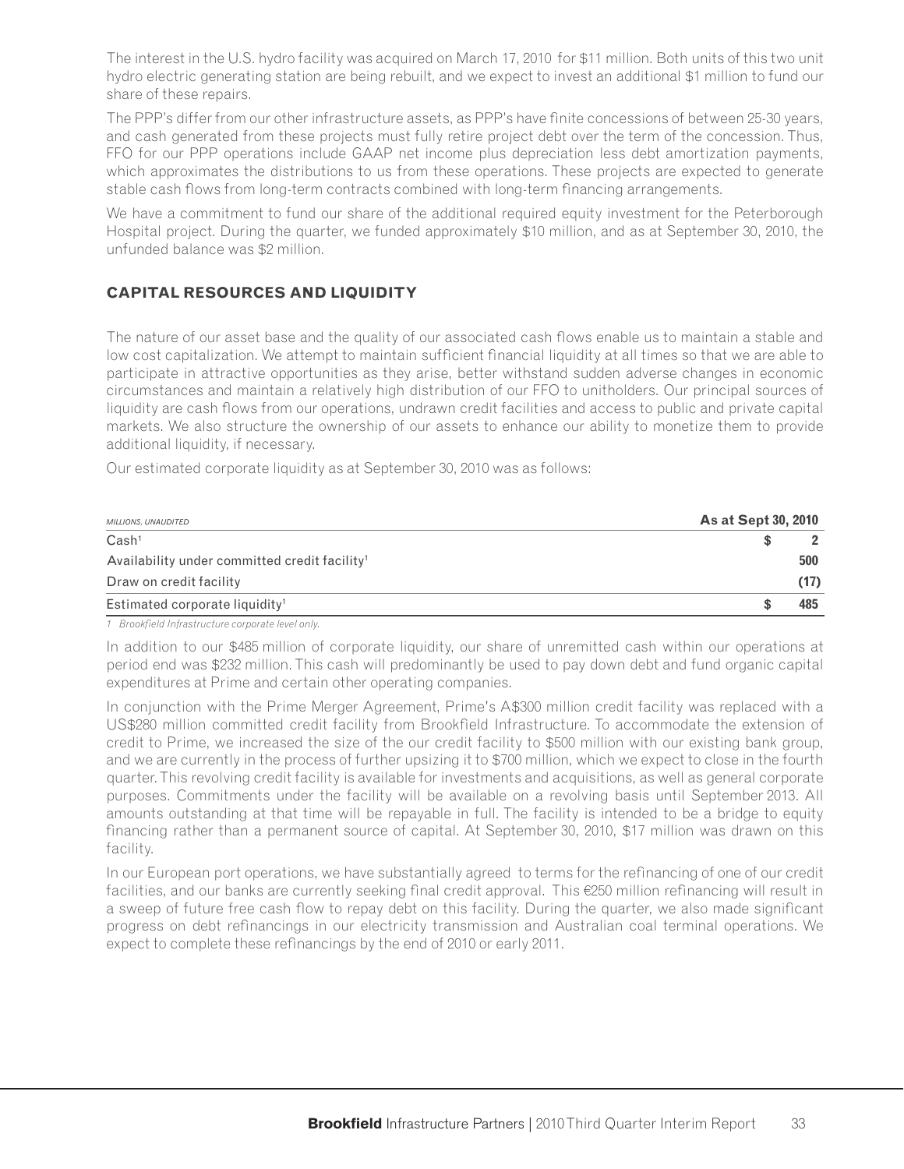The interest in the U.S. hydro facility was acquired on March 17, 2010 for \$11 million. Both units of this two unit hydro electric generating station are being rebuilt, and we expect to invest an additional \$1 million to fund our share of these repairs.

The PPP's differ from our other infrastructure assets, as PPP's have finite concessions of between 25-30 years, and cash generated from these projects must fully retire project debt over the term of the concession. Thus, FFO for our PPP operations include GAAP net income plus depreciation less debt amortization payments, which approximates the distributions to us from these operations. These projects are expected to generate stable cash flows from long-term contracts combined with long-term financing arrangements.

We have a commitment to fund our share of the additional required equity investment for the Peterborough Hospital project. During the quarter, we funded approximately \$10 million, and as at September 30, 2010, the unfunded balance was \$2 million.

# **CAPITAL RESOURCES AND LIQUIDITY**

The nature of our asset base and the quality of our associated cash flows enable us to maintain a stable and low cost capitalization. We attempt to maintain sufficient financial liquidity at all times so that we are able to participate in attractive opportunities as they arise, better withstand sudden adverse changes in economic circumstances and maintain a relatively high distribution of our FFO to unitholders. Our principal sources of liquidity are cash flows from our operations, undrawn credit facilities and access to public and private capital markets. We also structure the ownership of our assets to enhance our ability to monetize them to provide additional liquidity, if necessary.

Our estimated corporate liquidity as at September 30, 2010 was as follows:

| <b>MILLIONS, UNAUDITED</b>                                | <b>As at Sept 30, 2010</b> |
|-----------------------------------------------------------|----------------------------|
| Cash <sup>1</sup>                                         |                            |
| Availability under committed credit facility <sup>1</sup> | 500                        |
| Draw on credit facility                                   | (17)                       |
| Estimated corporate liquidity <sup>1</sup>                | 485                        |
|                                                           |                            |

*1* Brookfield Infrastructure corporate level only.

In addition to our \$485 million of corporate liquidity, our share of unremitted cash within our operations at period end was \$232 million. This cash will predominantly be used to pay down debt and fund organic capital expenditures at Prime and certain other operating companies.

In conjunction with the Prime Merger Agreement, Prime's A\$300 million credit facility was replaced with a US\$280 million committed credit facility from Brookfield Infrastructure. To accommodate the extension of credit to Prime, we increased the size of the our credit facility to \$500 million with our existing bank group, and we are currently in the process of further upsizing it to \$700 million, which we expect to close in the fourth quarter. This revolving credit facility is available for investments and acquisitions, as well as general corporate purposes. Commitments under the facility will be available on a revolving basis until September 2013. All amounts outstanding at that time will be repayable in full. The facility is intended to be a bridge to equity financing rather than a permanent source of capital. At September 30, 2010, \$17 million was drawn on this facility.

In our European port operations, we have substantially agreed to terms for the refinancing of one of our credit facilities, and our banks are currently seeking final credit approval. This €250 million refinancing will result in a sweep of future free cash flow to repay debt on this facility. During the quarter, we also made significant progress on debt refinancings in our electricity transmission and Australian coal terminal operations. We expect to complete these refinancings by the end of 2010 or early 2011.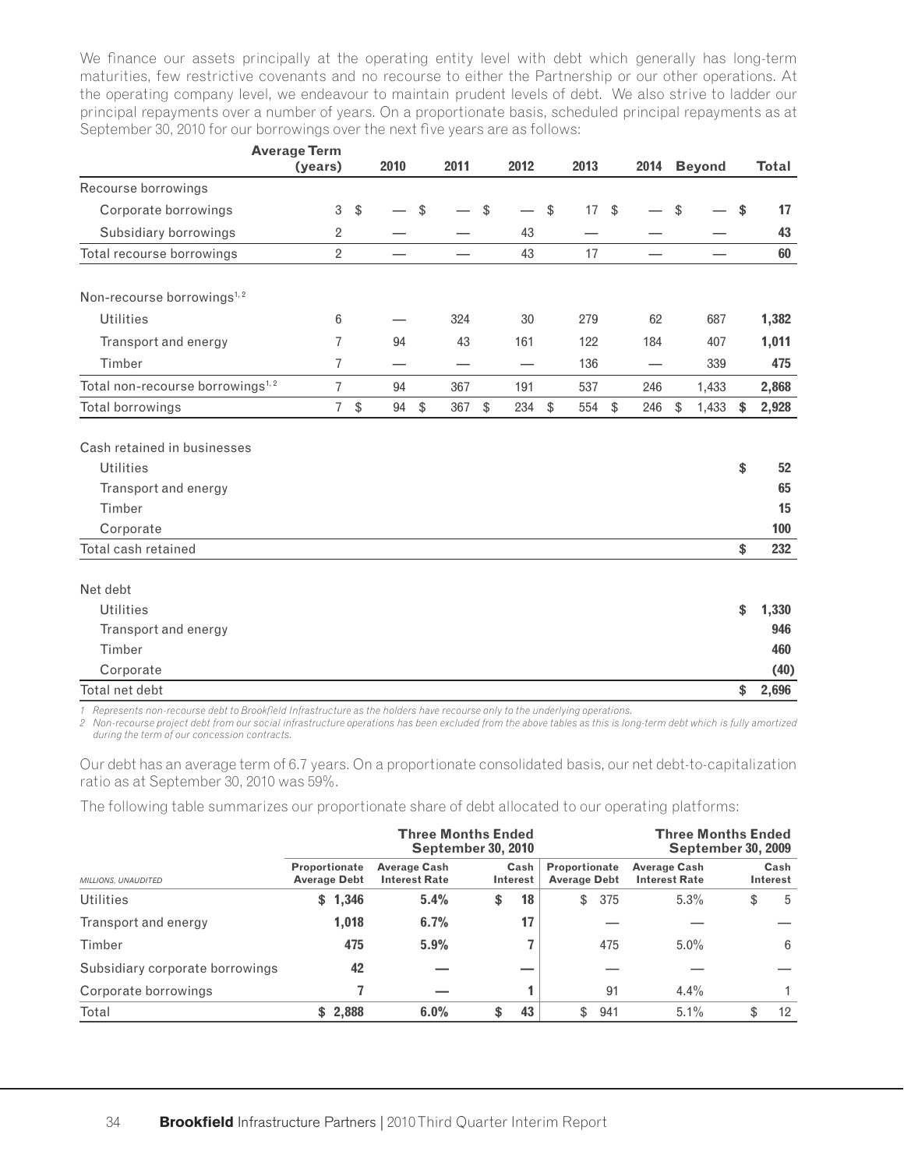We finance our assets principally at the operating entity level with debt which generally has long-term maturities, few restrictive covenants and no recourse to either the Partnership or our other operations. At the operating company level, we endeavour to maintain prudent levels of debt. We also strive to ladder our principal repayments over a number of years. On a proportionate basis, scheduled principal repayments as at September 30, 2010 for our borrowings over the next five years are as follows:

|                                              | <b>Average Term</b> |               |                          |               |      |           |               |      |               |     |             |             |
|----------------------------------------------|---------------------|---------------|--------------------------|---------------|------|-----------|---------------|------|---------------|-----|-------------|-------------|
|                                              | (years)             |               | 2010                     |               | 2011 | 2012      |               | 2013 |               |     | 2014 Beyond | Total       |
| Recourse borrowings                          |                     |               |                          |               |      |           |               |      |               |     |             |             |
| Corporate borrowings                         | 3                   | $\sqrt[6]{2}$ |                          | $\sqrt[6]{2}$ |      | \$        | \$            | 17   | $\sqrt[6]{2}$ |     | \$          | \$<br>17    |
| Subsidiary borrowings                        | 2                   |               |                          |               |      | 43        |               |      |               |     |             | 43          |
| Total recourse borrowings                    | $\overline{2}$      |               |                          |               |      | 43        |               | 17   |               |     |             | 60          |
| Non-recourse borrowings <sup>1,2</sup>       |                     |               |                          |               |      |           |               |      |               |     |             |             |
| <b>Utilities</b>                             | 6                   |               |                          |               | 324  | 30        |               | 279  |               | 62  | 687         | 1,382       |
| Transport and energy                         | 7                   |               | 94                       |               | 43   | 161       |               | 122  |               | 184 | 407         | 1,011       |
| Timber                                       | 7                   |               | $\overline{\phantom{0}}$ |               |      |           |               | 136  |               |     | 339         | 475         |
| Total non-recourse borrowings <sup>1,2</sup> | $\overline{7}$      |               | 94                       |               | 367  | 191       |               | 537  |               | 246 | 1,433       | 2,868       |
| Total borrowings                             | $\overline{7}$      | $\frac{1}{2}$ | 94                       | \$            | 367  | \$<br>234 | $\frac{1}{2}$ | 554  | $\sqrt[6]{2}$ | 246 | \$<br>1,433 | \$<br>2,928 |
|                                              |                     |               |                          |               |      |           |               |      |               |     |             |             |
| Cash retained in businesses                  |                     |               |                          |               |      |           |               |      |               |     |             |             |
| <b>Utilities</b>                             |                     |               |                          |               |      |           |               |      |               |     |             | \$<br>52    |
| Transport and energy                         |                     |               |                          |               |      |           |               |      |               |     |             | 65          |
| Timber                                       |                     |               |                          |               |      |           |               |      |               |     |             | 15          |
| Corporate                                    |                     |               |                          |               |      |           |               |      |               |     |             | 100         |
| Total cash retained                          |                     |               |                          |               |      |           |               |      |               |     |             | \$<br>232   |
|                                              |                     |               |                          |               |      |           |               |      |               |     |             |             |
| Net debt                                     |                     |               |                          |               |      |           |               |      |               |     |             |             |
| <b>Utilities</b>                             |                     |               |                          |               |      |           |               |      |               |     |             | \$<br>1,330 |
| Transport and energy                         |                     |               |                          |               |      |           |               |      |               |     |             | 946         |
| Timber                                       |                     |               |                          |               |      |           |               |      |               |     |             | 460         |
| Corporate                                    |                     |               |                          |               |      |           |               |      |               |     |             | (40)        |
| Total net debt                               |                     |               |                          |               |      |           |               |      |               |     |             | \$<br>2,696 |

1 Represents non-recourse debt to Brookfield Infrastructure as the holders have recourse only to the underlying operations.

*2 Non-recourse project debt from our social infrastructure operations has been excluded from the above tables as this is long-term debt which is fully amortized during the term of our concession contracts.*

Our debt has an average term of 6.7 years. On a proportionate consolidated basis, our net debt-to-capitalization ratio as at September 30, 2010 was 59%.

The following table summarizes our proportionate share of debt allocated to our operating platforms:

|                                 |                                      | <b>Three Months Ended</b><br><b>September 30, 2010</b>          | <b>Three Months Ended</b><br><b>September 30, 2009</b> |                                      |      |                  |  |
|---------------------------------|--------------------------------------|-----------------------------------------------------------------|--------------------------------------------------------|--------------------------------------|------|------------------|--|
| MILLIONS, UNAUDITED             | Proportionate<br><b>Average Debt</b> | <b>Average Cash</b><br>Cash<br><b>Interest Rate</b><br>Interest |                                                        | Proportionate<br><b>Average Debt</b> |      | Cash<br>Interest |  |
| <b>Utilities</b>                | 1,346<br>\$                          | 5.4%                                                            | 18<br>\$                                               | 375<br>\$                            | 5.3% | \$<br>5          |  |
| Transport and energy            | 1,018                                | 6.7%                                                            | 17                                                     |                                      |      |                  |  |
| Timber                          | 475                                  | 5.9%                                                            |                                                        | 475                                  | 5.0% | 6                |  |
| Subsidiary corporate borrowings | 42                                   |                                                                 |                                                        |                                      |      |                  |  |
| Corporate borrowings            |                                      |                                                                 |                                                        | 91                                   | 4.4% |                  |  |
| Total                           | \$2,888                              | 6.0%                                                            | 43<br>\$.                                              | 941<br>\$                            | 5.1% | 12<br>\$         |  |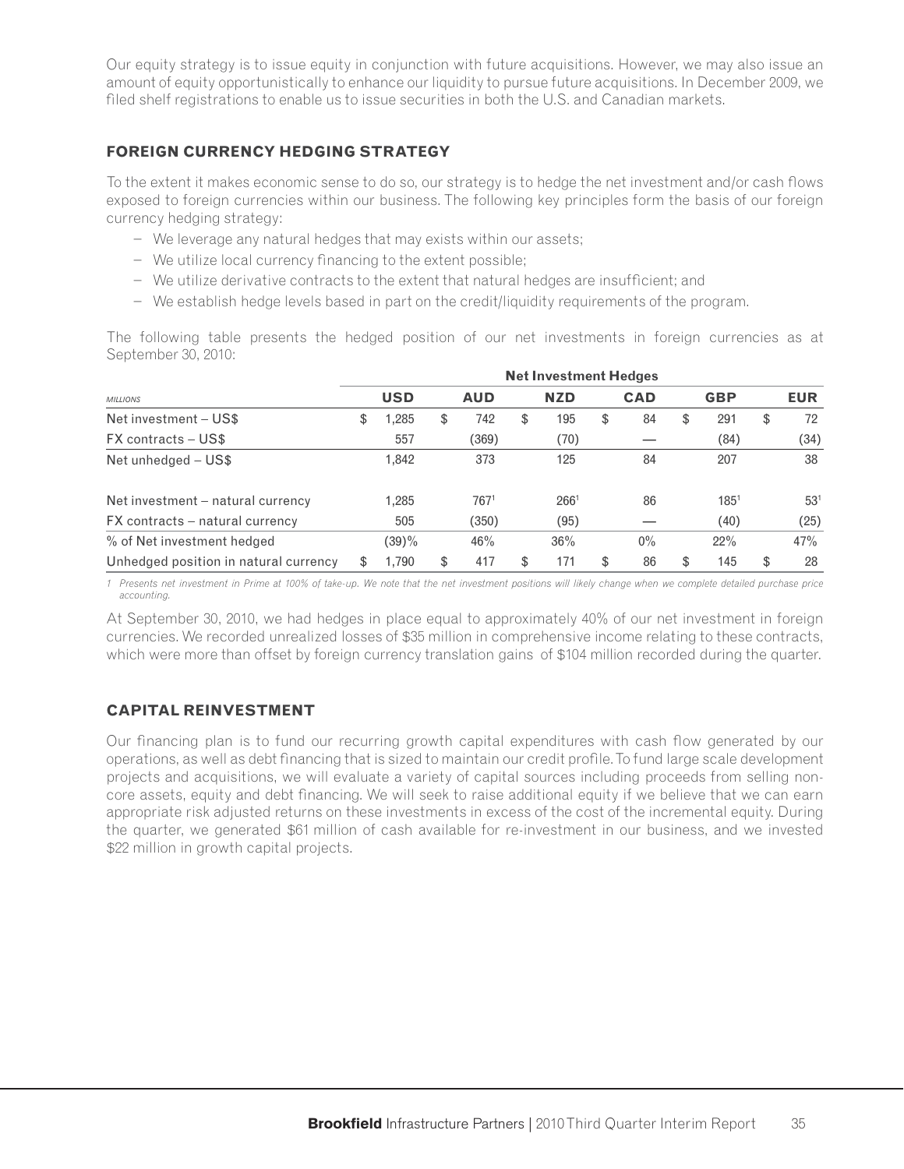Our equity strategy is to issue equity in conjunction with future acquisitions. However, we may also issue an amount of equity opportunistically to enhance our liquidity to pursue future acquisitions. In December 2009, we filed shelf registrations to enable us to issue securities in both the U.S. and Canadian markets.

# **FOREIGN CURRENCY HEDGING STRATEGY**

To the extent it makes economic sense to do so, our strategy is to hedge the net investment and/or cash flows exposed to foreign currencies within our business. The following key principles form the basis of our foreign currency hedging strategy:

- − We leverage any natural hedges that may exists within our assets;
- − We utilize local currency financing to the extent possible;
- − We utilize derivative contracts to the extent that natural hedges are insufficient; and
- − We establish hedge levels based in part on the credit/liquidity requirements of the program.

The following table presents the hedged position of our net investments in foreign currencies as at September 30, 2010:

|                                       |   | <b>Net Investment Hedges</b> |   |            |    |                  |    |            |    |            |    |                 |
|---------------------------------------|---|------------------------------|---|------------|----|------------------|----|------------|----|------------|----|-----------------|
| <b>MILLIONS</b>                       |   | <b>USD</b>                   |   | <b>AUD</b> |    | <b>NZD</b>       |    | <b>CAD</b> |    | <b>GBP</b> |    | <b>EUR</b>      |
| Net investment - US\$                 | S | ,285                         | S | 742        | \$ | 195              | \$ | 84         | \$ | 291        | \$ | 72              |
| FX contracts - US\$                   |   | 557                          |   | (369)      |    | (70)             |    |            |    | (84)       |    | (34)            |
| Net unhedged - US\$                   |   | 1.842                        |   | 373        |    | 125              |    | 84         |    | 207        |    | 38              |
| Net investment – natural currency     |   | 1.285                        |   | 7671       |    | 266 <sup>1</sup> |    | 86         |    | $185^{1}$  |    | 53 <sup>1</sup> |
| FX contracts – natural currency       |   | 505                          |   | (350)      |    | (95)             |    |            |    | (40)       |    | (25)            |
| % of Net investment hedged            |   | $(39)\%$                     |   | 46%        |    | 36%              |    | $0\%$      |    | 22%        |    | 47%             |
| Unhedged position in natural currency | S | 1.790                        |   | 417        | S  | 171              | \$ | 86         | \$ | 145        | \$ | 28              |

*1 Presents net investment in Prime at 100% of take-up. We note that the net investment positions will likely change when we complete detailed purchase price accounting.*

At September 30, 2010, we had hedges in place equal to approximately 40% of our net investment in foreign currencies. We recorded unrealized losses of \$35 million in comprehensive income relating to these contracts, which were more than offset by foreign currency translation gains of \$104 million recorded during the quarter.

# **CAPITAL REINVESTMENT**

Our financing plan is to fund our recurring growth capital expenditures with cash flow generated by our operations, as well as debt financing that is sized to maintain our credit profile. To fund large scale development projects and acquisitions, we will evaluate a variety of capital sources including proceeds from selling noncore assets, equity and debt financing. We will seek to raise additional equity if we believe that we can earn appropriate risk adjusted returns on these investments in excess of the cost of the incremental equity. During the quarter, we generated \$61 million of cash available for re-investment in our business, and we invested \$22 million in growth capital projects.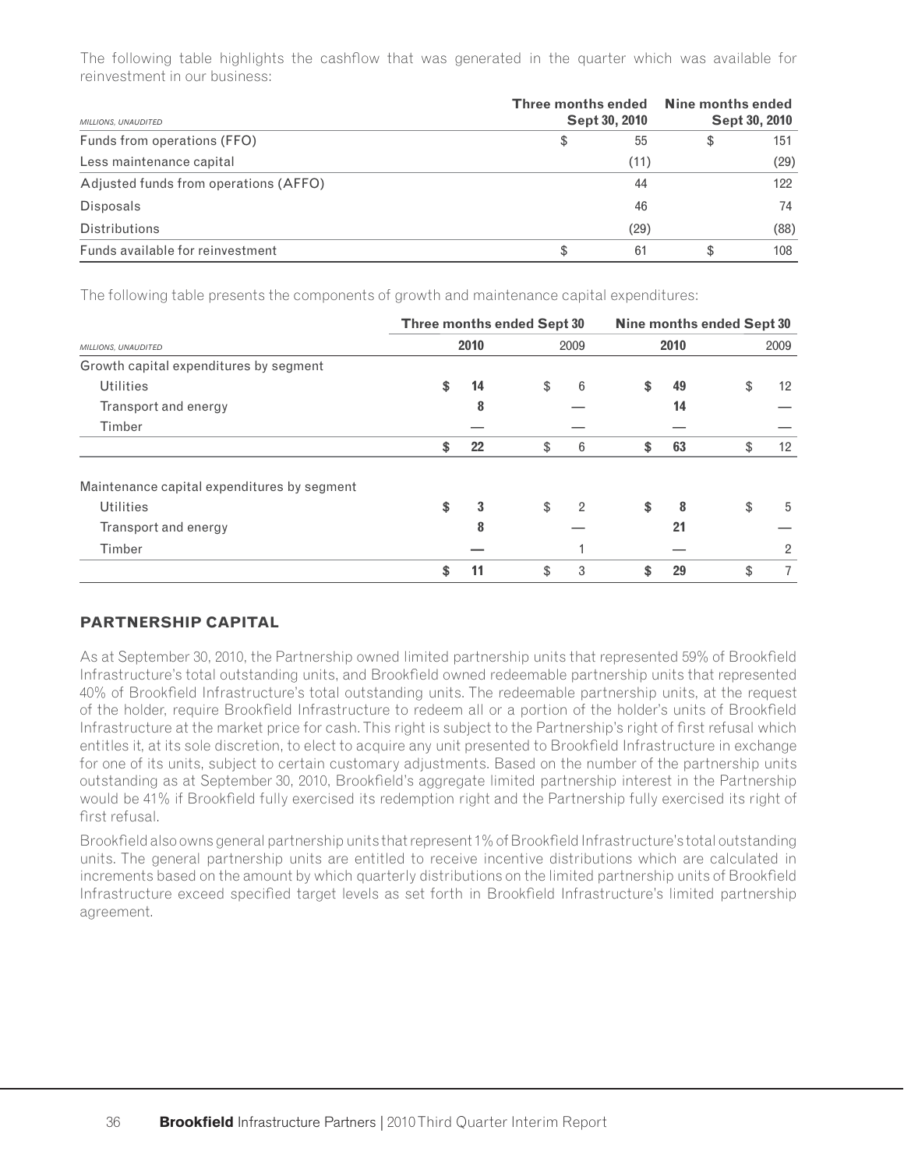The following table highlights the cashflow that was generated in the quarter which was available for reinvestment in our business:

| MILLIONS, UNAUDITED                   | Sept 30, 2010 | Three months ended Nine months ended<br>Sept 30, 2010 |    |      |
|---------------------------------------|---------------|-------------------------------------------------------|----|------|
| Funds from operations (FFO)           | \$            | 55                                                    | \$ | 151  |
| Less maintenance capital              |               | (11)                                                  |    | (29) |
| Adjusted funds from operations (AFFO) |               | 44                                                    |    | 122  |
| <b>Disposals</b>                      |               | 46                                                    |    | 74   |
| <b>Distributions</b>                  |               | (29)                                                  |    | (88) |
| Funds available for reinvestment      | S             | 61                                                    | S  | 108  |

The following table presents the components of growth and maintenance capital expenditures:

|                                             | Three months ended Sept 30 |    |                |    | Nine months ended Sept 30 |    |                 |  |
|---------------------------------------------|----------------------------|----|----------------|----|---------------------------|----|-----------------|--|
| MILLIONS, UNAUDITED                         | 2010                       |    | 2009           |    | 2010                      |    | 2009            |  |
| Growth capital expenditures by segment      |                            |    |                |    |                           |    |                 |  |
| <b>Utilities</b>                            | \$<br>14                   | \$ | 6              | \$ | 49                        | \$ | 12              |  |
| Transport and energy                        | 8                          |    |                |    | 14                        |    |                 |  |
| Timber                                      |                            |    |                |    |                           |    |                 |  |
|                                             | \$<br>22                   | \$ | 6              |    | 63                        |    | 12 <sup>°</sup> |  |
| Maintenance capital expenditures by segment |                            |    |                |    |                           |    |                 |  |
| <b>Utilities</b>                            | \$<br>3                    | \$ | $\overline{2}$ | \$ | 8                         | \$ | 5               |  |
| Transport and energy                        | 8                          |    |                |    | 21                        |    |                 |  |
| Timber                                      |                            |    |                |    |                           |    | 2               |  |
|                                             | \$<br>11                   | \$ | 3              |    | 29                        | \$ |                 |  |

# **PARTNERSHIP CAPITAL**

As at September 30, 2010, the Partnership owned limited partnership units that represented 59% of Brookfield Infrastructure's total outstanding units, and Brookfield owned redeemable partnership units that represented 40% of Brookfield Infrastructure's total outstanding units. The redeemable partnership units, at the request of the holder, require Brookfield Infrastructure to redeem all or a portion of the holder's units of Brookfield Infrastructure at the market price for cash. This right is subject to the Partnership's right of first refusal which entitles it, at its sole discretion, to elect to acquire any unit presented to Brookfield Infrastructure in exchange for one of its units, subject to certain customary adjustments. Based on the number of the partnership units outstanding as at September 30, 2010, Brookfield's aggregate limited partnership interest in the Partnership would be 41% if Brookfield fully exercised its redemption right and the Partnership fully exercised its right of first refusal.

Brookfield also owns general partnership units that represent 1% of Brookfield Infrastructure's total outstanding units. The general partnership units are entitled to receive incentive distributions which are calculated in increments based on the amount by which quarterly distributions on the limited partnership units of Brookfield Infrastructure exceed specified target levels as set forth in Brookfield Infrastructure's limited partnership agreement.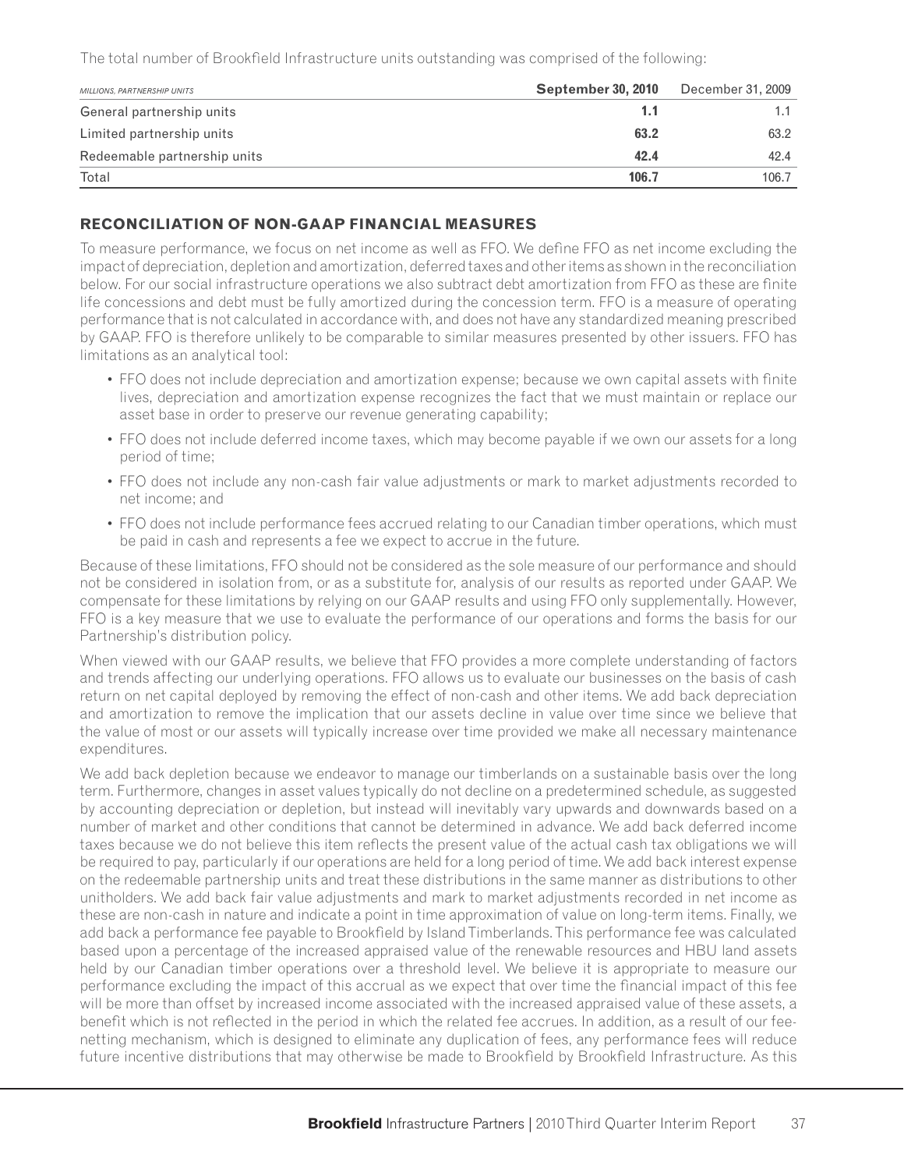The total number of Brookfield Infrastructure units outstanding was comprised of the following:

| MILLIONS, PARTNERSHIP UNITS  | <b>September 30, 2010</b> | December 31, 2009 |
|------------------------------|---------------------------|-------------------|
| General partnership units    | 1.1                       |                   |
| Limited partnership units    | 63.2                      | 63.2              |
| Redeemable partnership units | 42.4                      | 42.4              |
| Total                        | 106.7                     | 106.7             |

# **RECONCILIATION OF NON-GAAP FINANCIAL MEASURES**

To measure performance, we focus on net income as well as FFO. We define FFO as net income excluding the impact of depreciation, depletion and amortization, deferred taxes and other items as shown in the reconciliation below. For our social infrastructure operations we also subtract debt amortization from FFO as these are finite life concessions and debt must be fully amortized during the concession term. FFO is a measure of operating performance that is not calculated in accordance with, and does not have any standardized meaning prescribed by GAAP. FFO is therefore unlikely to be comparable to similar measures presented by other issuers. FFO has limitations as an analytical tool:

- FFO does not include depreciation and amortization expense; because we own capital assets with finite lives, depreciation and amortization expense recognizes the fact that we must maintain or replace our asset base in order to preserve our revenue generating capability;
- FFO does not include deferred income taxes, which may become payable if we own our assets for a long period of time;
- FFO does not include any non-cash fair value adjustments or mark to market adjustments recorded to net income; and
- FFO does not include performance fees accrued relating to our Canadian timber operations, which must be paid in cash and represents a fee we expect to accrue in the future.

Because of these limitations, FFO should not be considered as the sole measure of our performance and should not be considered in isolation from, or as a substitute for, analysis of our results as reported under GAAP. We compensate for these limitations by relying on our GAAP results and using FFO only supplementally. However, FFO is a key measure that we use to evaluate the performance of our operations and forms the basis for our Partnership's distribution policy.

When viewed with our GAAP results, we believe that FFO provides a more complete understanding of factors and trends affecting our underlying operations. FFO allows us to evaluate our businesses on the basis of cash return on net capital deployed by removing the effect of non-cash and other items. We add back depreciation and amortization to remove the implication that our assets decline in value over time since we believe that the value of most or our assets will typically increase over time provided we make all necessary maintenance expenditures.

We add back depletion because we endeavor to manage our timberlands on a sustainable basis over the long term. Furthermore, changes in asset values typically do not decline on a predetermined schedule, as suggested by accounting depreciation or depletion, but instead will inevitably vary upwards and downwards based on a number of market and other conditions that cannot be determined in advance. We add back deferred income taxes because we do not believe this item reflects the present value of the actual cash tax obligations we will be required to pay, particularly if our operations are held for a long period of time. We add back interest expense on the redeemable partnership units and treat these distributions in the same manner as distributions to other unitholders. We add back fair value adjustments and mark to market adjustments recorded in net income as these are non-cash in nature and indicate a point in time approximation of value on long-term items. Finally, we add back a performance fee payable to Brookfield by Island Timberlands. This performance fee was calculated based upon a percentage of the increased appraised value of the renewable resources and HBU land assets held by our Canadian timber operations over a threshold level. We believe it is appropriate to measure our performance excluding the impact of this accrual as we expect that over time the financial impact of this fee will be more than offset by increased income associated with the increased appraised value of these assets, a benefit which is not reflected in the period in which the related fee accrues. In addition, as a result of our feenetting mechanism, which is designed to eliminate any duplication of fees, any performance fees will reduce future incentive distributions that may otherwise be made to Brookfield by Brookfield Infrastructure. As this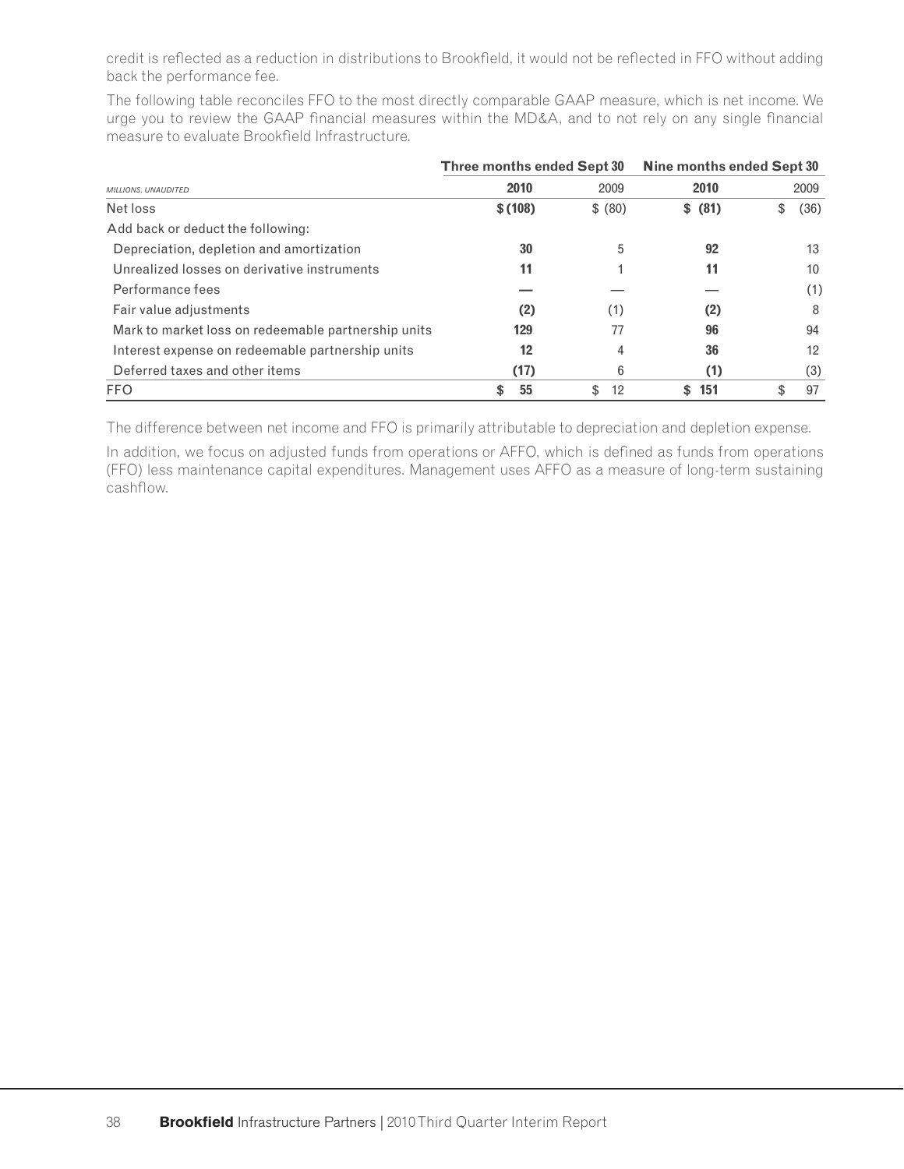credit is reflected as a reduction in distributions to Brookfield, it would not be reflected in FFO without adding back the performance fee.

The following table reconciles FFO to the most directly comparable GAAP measure, which is net income. We urge you to review the GAAP financial measures within the MD&A, and to not rely on any single financial measure to evaluate Brookfield Infrastructure.

|                                                     | Three months ended Sept 30 |          | Nine months ended Sept 30 |            |  |  |
|-----------------------------------------------------|----------------------------|----------|---------------------------|------------|--|--|
| MILLIONS, UNAUDITED                                 | 2010                       | 2009     | 2010                      | 2009       |  |  |
| Net loss                                            | \$(108)                    | \$ (80)  | \$ (81)                   | (36)<br>\$ |  |  |
| Add back or deduct the following:                   |                            |          |                           |            |  |  |
| Depreciation, depletion and amortization            | 30                         | 5        | 92                        | 13         |  |  |
| Unrealized losses on derivative instruments         | 11                         |          | 11                        | 10         |  |  |
| Performance fees                                    |                            |          |                           | (1)        |  |  |
| Fair value adjustments                              | (2)                        | (1)      | (2)                       | 8          |  |  |
| Mark to market loss on redeemable partnership units | 129                        | 77       | 96                        | 94         |  |  |
| Interest expense on redeemable partnership units    | 12                         | 4        | 36                        | 12         |  |  |
| Deferred taxes and other items                      | (17)                       | 6        | (1)                       | (3)        |  |  |
| <b>FFO</b>                                          | 55<br>S                    | 12<br>\$ | 151<br>S.                 | 97<br>\$   |  |  |

The difference between net income and FFO is primarily attributable to depreciation and depletion expense.

In addition, we focus on adjusted funds from operations or AFFO, which is defined as funds from operations (FFO) less maintenance capital expenditures. Management uses AFFO as a measure of long-term sustaining cashflow.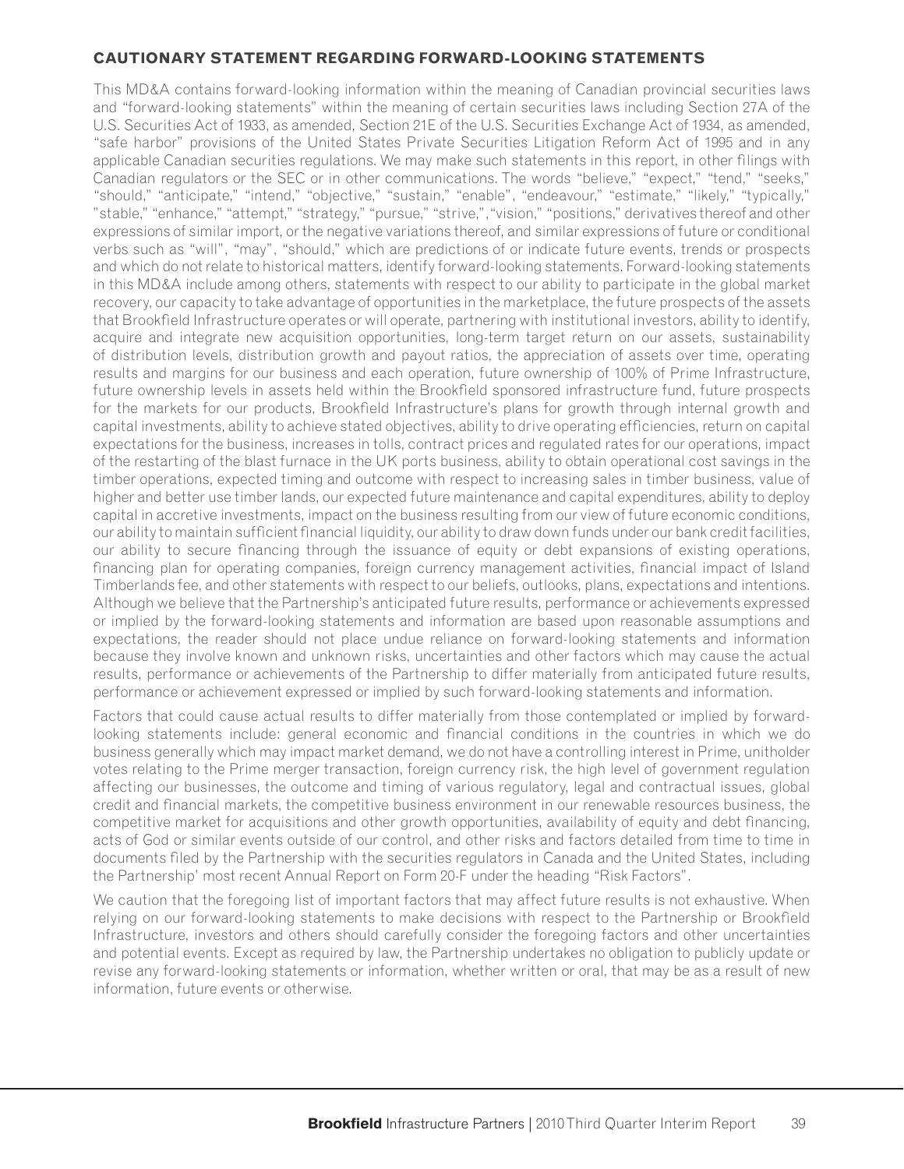### **CAUTIONARY STATEMENT REGARDING FORWARD-LOOKING STATEMENTS**

This MD&A contains forward-looking information within the meaning of Canadian provincial securities laws and "forward-looking statements" within the meaning of certain securities laws including Section 27A of the U.S. Securities Act of 1933, as amended, Section 21E of the U.S. Securities Exchange Act of 1934, as amended, "safe harbor" provisions of the United States Private Securities Litigation Reform Act of 1995 and in any applicable Canadian securities regulations. We may make such statements in this report, in other filings with Canadian regulators or the SEC or in other communications. The words "believe," "expect," "tend," "seeks," "should," "anticipate," "intend," "objective," "sustain," "enable", "endeavour," "estimate," "likely," "typically," "stable," "enhance," "attempt," "strategy," "pursue," "strive,","vision," "positions," derivatives thereof and other expressions of similar import, or the negative variations thereof, and similar expressions of future or conditional verbs such as "will", "may", "should," which are predictions of or indicate future events, trends or prospects and which do not relate to historical matters, identify forward-looking statements. Forward-looking statements in this MD&A include among others, statements with respect to our ability to participate in the global market recovery, our capacity to take advantage of opportunities in the marketplace, the future prospects of the assets that Brookfield Infrastructure operates or will operate, partnering with institutional investors, ability to identify, acquire and integrate new acquisition opportunities, long-term target return on our assets, sustainability of distribution levels, distribution growth and payout ratios, the appreciation of assets over time, operating results and margins for our business and each operation, future ownership of 100% of Prime Infrastructure, future ownership levels in assets held within the Brookfield sponsored infrastructure fund, future prospects for the markets for our products, Brookfield Infrastructure's plans for growth through internal growth and capital investments, ability to achieve stated objectives, ability to drive operating efficiencies, return on capital expectations for the business, increases in tolls, contract prices and regulated rates for our operations, impact of the restarting of the blast furnace in the UK ports business, ability to obtain operational cost savings in the timber operations, expected timing and outcome with respect to increasing sales in timber business, value of higher and better use timber lands, our expected future maintenance and capital expenditures, ability to deploy capital in accretive investments, impact on the business resulting from our view of future economic conditions, our ability to maintain sufficient financial liquidity, our ability to draw down funds under our bank credit facilities, our ability to secure financing through the issuance of equity or debt expansions of existing operations, financing plan for operating companies, foreign currency management activities, financial impact of Island Timberlands fee, and other statements with respect to our beliefs, outlooks, plans, expectations and intentions. Although we believe that the Partnership's anticipated future results, performance or achievements expressed or implied by the forward-looking statements and information are based upon reasonable assumptions and expectations, the reader should not place undue reliance on forward-looking statements and information because they involve known and unknown risks, uncertainties and other factors which may cause the actual results, performance or achievements of the Partnership to differ materially from anticipated future results, performance or achievement expressed or implied by such forward-looking statements and information.

Factors that could cause actual results to differ materially from those contemplated or implied by forwardlooking statements include: general economic and financial conditions in the countries in which we do business generally which may impact market demand, we do not have a controlling interest in Prime, unitholder votes relating to the Prime merger transaction, foreign currency risk, the high level of government regulation affecting our businesses, the outcome and timing of various regulatory, legal and contractual issues, global credit and financial markets, the competitive business environment in our renewable resources business, the competitive market for acquisitions and other growth opportunities, availability of equity and debt financing, acts of God or similar events outside of our control, and other risks and factors detailed from time to time in documents filed by the Partnership with the securities regulators in Canada and the United States, including the Partnership' most recent Annual Report on Form 20-F under the heading "Risk Factors".

We caution that the foregoing list of important factors that may affect future results is not exhaustive. When relying on our forward-looking statements to make decisions with respect to the Partnership or Brookfield Infrastructure, investors and others should carefully consider the foregoing factors and other uncertainties and potential events. Except as required by law, the Partnership undertakes no obligation to publicly update or revise any forward-looking statements or information, whether written or oral, that may be as a result of new information, future events or otherwise.